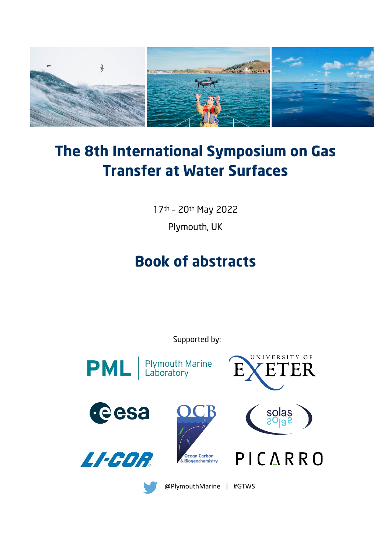

# **The 8th International Symposium on Gas Transfer at Water Surfaces**

17th – 20th May 2022

Plymouth, UK

# **Book of abstracts**

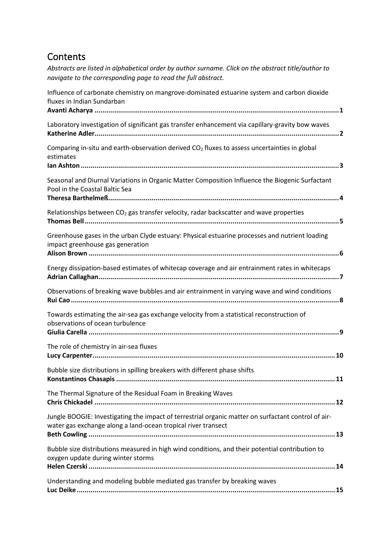### **Contents**

| navigate to the corresponding page to read the full abstract.                                                                                                        |
|----------------------------------------------------------------------------------------------------------------------------------------------------------------------|
| Influence of carbonate chemistry on mangrove-dominated estuarine system and carbon dioxide<br>fluxes in Indian Sundarban                                             |
| Laboratory investigation of significant gas transfer enhancement via capillary-gravity bow waves                                                                     |
| Comparing in-situ and earth-observation derived CO <sub>2</sub> fluxes to assess uncertainties in global<br>estimates                                                |
| Seasonal and Diurnal Variations in Organic Matter Composition Influence the Biogenic Surfactant<br>Pool in the Coastal Baltic Sea                                    |
| Relationships between $CO2$ gas transfer velocity, radar backscatter and wave properties                                                                             |
| Greenhouse gases in the urban Clyde estuary: Physical estuarine processes and nutrient loading<br>impact greenhouse gas generation                                   |
| Energy dissipation-based estimates of whitecap coverage and air entrainment rates in whitecaps                                                                       |
| Observations of breaking wave bubbles and air entrainment in varying wave and wind conditions                                                                        |
| Towards estimating the air-sea gas exchange velocity from a statistical reconstruction of<br>observations of ocean turbulence                                        |
| The role of chemistry in air-sea fluxes                                                                                                                              |
| Bubble size distributions in spilling breakers with different phase shifts                                                                                           |
| The Thermal Signature of the Residual Foam in Breaking Waves                                                                                                         |
| Jungle BOOGIE: Investigating the impact of terrestrial organic matter on surfactant control of air-<br>water gas exchange along a land-ocean tropical river transect |
| Bubble size distributions measured in high wind conditions, and their potential contribution to<br>oxygen update during winter storms                                |
| Understanding and modeling bubble mediated gas transfer by breaking waves                                                                                            |

*Abstracts are listed in alphabetical order by author surname. Click on the abstract title/author to*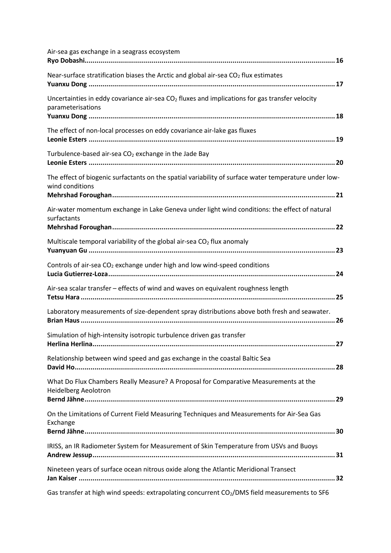| Air-sea gas exchange in a seagrass ecosystem                                                                             |
|--------------------------------------------------------------------------------------------------------------------------|
| Near-surface stratification biases the Arctic and global air-sea CO <sub>2</sub> flux estimates                          |
| Uncertainties in eddy covariance air-sea $CO2$ fluxes and implications for gas transfer velocity<br>parameterisations    |
| The effect of non-local processes on eddy covariance air-lake gas fluxes                                                 |
| Turbulence-based air-sea $CO2$ exchange in the Jade Bay                                                                  |
| The effect of biogenic surfactants on the spatial variability of surface water temperature under low-<br>wind conditions |
| Air-water momentum exchange in Lake Geneva under light wind conditions: the effect of natural<br>surfactants             |
| Multiscale temporal variability of the global air-sea $CO2$ flux anomaly                                                 |
| Controls of air-sea CO <sub>2</sub> exchange under high and low wind-speed conditions                                    |
| Air-sea scalar transfer - effects of wind and waves on equivalent roughness length                                       |
| Laboratory measurements of size-dependent spray distributions above both fresh and seawater.                             |
| Simulation of high-intensity isotropic turbulence driven gas transfer                                                    |
| Relationship between wind speed and gas exchange in the coastal Baltic Sea                                               |
| What Do Flux Chambers Really Measure? A Proposal for Comparative Measurements at the<br><b>Heidelberg Aeolotron</b>      |
| On the Limitations of Current Field Measuring Techniques and Measurements for Air-Sea Gas<br>Exchange                    |
| IRISS, an IR Radiometer System for Measurement of Skin Temperature from USVs and Buoys                                   |
| Nineteen years of surface ocean nitrous oxide along the Atlantic Meridional Transect                                     |
| Gas transfer at high wind speeds: extrapolating concurrent CO <sub>2</sub> /DMS field measurements to SF6                |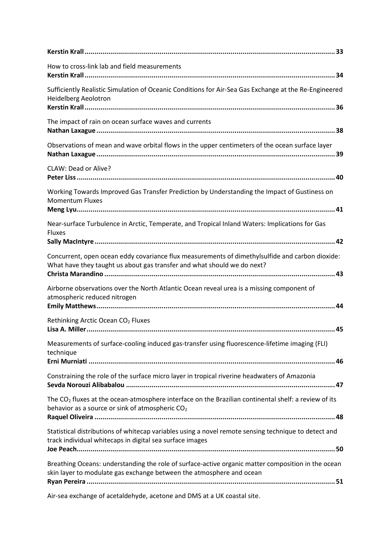| How to cross-link lab and field measurements                                                                                                                               |
|----------------------------------------------------------------------------------------------------------------------------------------------------------------------------|
| Sufficiently Realistic Simulation of Oceanic Conditions for Air-Sea Gas Exchange at the Re-Engineered<br><b>Heidelberg Aeolotron</b>                                       |
| The impact of rain on ocean surface waves and currents                                                                                                                     |
| Observations of mean and wave orbital flows in the upper centimeters of the ocean surface layer                                                                            |
| CLAW: Dead or Alive?                                                                                                                                                       |
| Working Towards Improved Gas Transfer Prediction by Understanding the Impact of Gustiness on<br><b>Momentum Fluxes</b>                                                     |
| Near-surface Turbulence in Arctic, Temperate, and Tropical Inland Waters: Implications for Gas<br><b>Fluxes</b>                                                            |
| Concurrent, open ocean eddy covariance flux measurements of dimethylsulfide and carbon dioxide:<br>What have they taught us about gas transfer and what should we do next? |
| Airborne observations over the North Atlantic Ocean reveal urea is a missing component of<br>atmospheric reduced nitrogen                                                  |
| Rethinking Arctic Ocean CO <sub>2</sub> Fluxes                                                                                                                             |
| Measurements of surface-cooling induced gas-transfer using fluorescence-lifetime imaging (FLI)<br>technique                                                                |
| Constraining the role of the surface micro layer in tropical riverine headwaters of Amazonia                                                                               |
| The $CO2$ fluxes at the ocean-atmosphere interface on the Brazilian continental shelf: a review of its<br>behavior as a source or sink of atmospheric CO <sub>2</sub>      |
| Statistical distributions of whitecap variables using a novel remote sensing technique to detect and<br>track individual whitecaps in digital sea surface images           |
| Breathing Oceans: understanding the role of surface-active organic matter composition in the ocean<br>skin layer to modulate gas exchange between the atmosphere and ocean |

[Air-sea exchange of acetaldehyde, acetone and DMS at a UK coastal site.](#page-58-0)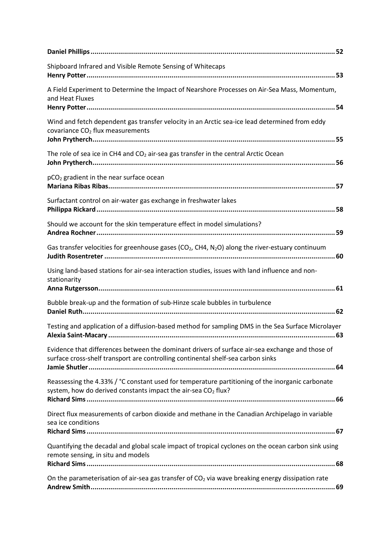| Shipboard Infrared and Visible Remote Sensing of Whitecaps                                                                                                                          |
|-------------------------------------------------------------------------------------------------------------------------------------------------------------------------------------|
| A Field Experiment to Determine the Impact of Nearshore Processes on Air-Sea Mass, Momentum,<br>and Heat Fluxes                                                                     |
| Wind and fetch dependent gas transfer velocity in an Arctic sea-ice lead determined from eddy<br>covariance CO <sub>2</sub> flux measurements                                       |
| The role of sea ice in CH4 and CO <sub>2</sub> air-sea gas transfer in the central Arctic Ocean                                                                                     |
| pCO <sub>2</sub> gradient in the near surface ocean                                                                                                                                 |
| Surfactant control on air-water gas exchange in freshwater lakes                                                                                                                    |
| Should we account for the skin temperature effect in model simulations?                                                                                                             |
| Gas transfer velocities for greenhouse gases (CO <sub>2</sub> , CH4, N <sub>2</sub> O) along the river-estuary continuum                                                            |
| Using land-based stations for air-sea interaction studies, issues with land influence and non-<br>stationarity                                                                      |
| Bubble break-up and the formation of sub-Hinze scale bubbles in turbulence                                                                                                          |
| Testing and application of a diffusion-based method for sampling DMS in the Sea Surface Microlayer                                                                                  |
| Evidence that differences between the dominant drivers of surface air-sea exchange and those of<br>surface cross-shelf transport are controlling continental shelf-sea carbon sinks |
| Reassessing the 4.33% / °C constant used for temperature partitioning of the inorganic carbonate<br>system, how do derived constants impact the air-sea CO2 flux?                   |
| Direct flux measurements of carbon dioxide and methane in the Canadian Archipelago in variable<br>sea ice conditions                                                                |
| Quantifying the decadal and global scale impact of tropical cyclones on the ocean carbon sink using<br>remote sensing, in situ and models                                           |
| On the parameterisation of air-sea gas transfer of CO <sub>2</sub> via wave breaking energy dissipation rate                                                                        |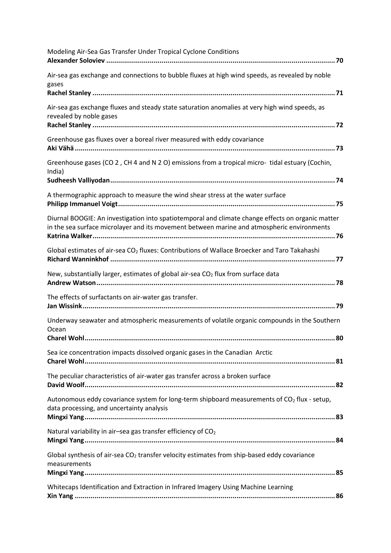| Modeling Air-Sea Gas Transfer Under Tropical Cyclone Conditions                                                                                                                                 |
|-------------------------------------------------------------------------------------------------------------------------------------------------------------------------------------------------|
| Air-sea gas exchange and connections to bubble fluxes at high wind speeds, as revealed by noble<br>gases                                                                                        |
| Air-sea gas exchange fluxes and steady state saturation anomalies at very high wind speeds, as<br>revealed by noble gases                                                                       |
| Greenhouse gas fluxes over a boreal river measured with eddy covariance                                                                                                                         |
| Greenhouse gases (CO 2, CH 4 and N 2 O) emissions from a tropical micro- tidal estuary (Cochin,<br>India)                                                                                       |
| A thermographic approach to measure the wind shear stress at the water surface                                                                                                                  |
| Diurnal BOOGIE: An investigation into spatiotemporal and climate change effects on organic matter<br>in the sea surface microlayer and its movement between marine and atmospheric environments |
| Global estimates of air-sea CO <sub>2</sub> fluxes: Contributions of Wallace Broecker and Taro Takahashi                                                                                        |
| New, substantially larger, estimates of global air-sea CO <sub>2</sub> flux from surface data                                                                                                   |
| The effects of surfactants on air-water gas transfer.                                                                                                                                           |
| Underway seawater and atmospheric measurements of volatile organic compounds in the Southern<br>Ocean                                                                                           |
| Sea ice concentration impacts dissolved organic gases in the Canadian Arctic                                                                                                                    |
| The peculiar characteristics of air-water gas transfer across a broken surface                                                                                                                  |
| Autonomous eddy covariance system for long-term shipboard measurements of CO2 flux - setup,<br>data processing, and uncertainty analysis                                                        |
| Natural variability in air-sea gas transfer efficiency of CO <sub>2</sub>                                                                                                                       |
| Global synthesis of air-sea CO <sub>2</sub> transfer velocity estimates from ship-based eddy covariance<br>measurements                                                                         |
| Whitecaps Identification and Extraction in Infrared Imagery Using Machine Learning                                                                                                              |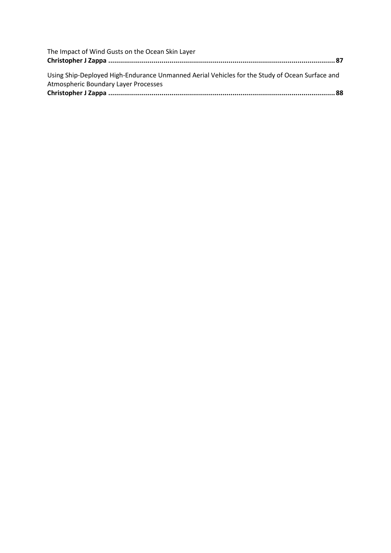| The Impact of Wind Gusts on the Ocean Skin Layer                                               |  |
|------------------------------------------------------------------------------------------------|--|
|                                                                                                |  |
| Using Ship-Deployed High-Endurance Unmanned Aerial Vehicles for the Study of Ocean Surface and |  |
| <b>Atmospheric Boundary Layer Processes</b>                                                    |  |
|                                                                                                |  |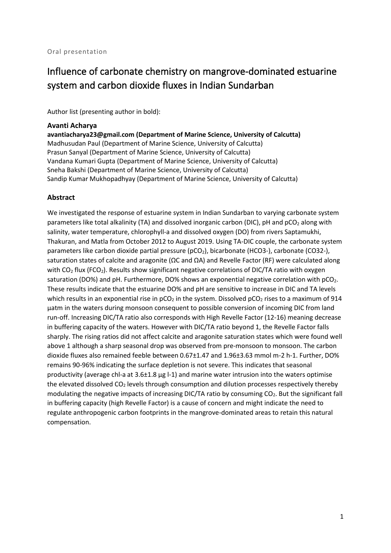### <span id="page-7-0"></span>Influence of carbonate chemistry on mangrove-dominated estuarine system and carbon dioxide fluxes in Indian Sundarban

Author list (presenting author in bold):

#### <span id="page-7-1"></span>**Avanti Acharya**

**avantiacharya23@gmail.com (Department of Marine Science, University of Calcutta)** Madhusudan Paul (Department of Marine Science, University of Calcutta) Prasun Sanyal (Department of Marine Science, University of Calcutta) Vandana Kumari Gupta (Department of Marine Science, University of Calcutta) Sneha Bakshi (Department of Marine Science, University of Calcutta) Sandip Kumar Mukhopadhyay (Department of Marine Science, University of Calcutta)

#### **Abstract**

We investigated the response of estuarine system in Indian Sundarban to varying carbonate system parameters like total alkalinity (TA) and dissolved inorganic carbon (DIC), pH and pCO<sub>2</sub> along with salinity, water temperature, chlorophyll-a and dissolved oxygen (DO) from rivers Saptamukhi, Thakuran, and Matla from October 2012 to August 2019. Using TA-DIC couple, the carbonate system parameters like carbon dioxide partial pressure (pCO<sub>2</sub>), bicarbonate (HCO3-), carbonate (CO32-), saturation states of calcite and aragonite (ΩC and ΩA) and Revelle Factor (RF) were calculated along with CO<sub>2</sub> flux (FCO<sub>2</sub>). Results show significant negative correlations of DIC/TA ratio with oxygen saturation (DO%) and pH. Furthermore, DO% shows an exponential negative correlation with  $pCO<sub>2</sub>$ . These results indicate that the estuarine DO% and pH are sensitive to increase in DIC and TA levels which results in an exponential rise in  $pCO<sub>2</sub>$  in the system. Dissolved  $pCO<sub>2</sub>$  rises to a maximum of 914 µatm in the waters during monsoon consequent to possible conversion of incoming DIC from land run-off. Increasing DIC/TA ratio also corresponds with High Revelle Factor (12-16) meaning decrease in buffering capacity of the waters. However with DIC/TA ratio beyond 1, the Revelle Factor falls sharply. The rising ratios did not affect calcite and aragonite saturation states which were found well above 1 although a sharp seasonal drop was observed from pre-monsoon to monsoon. The carbon dioxide fluxes also remained feeble between 0.67±1.47 and 1.96±3.63 mmol m-2 h-1. Further, DO% remains 90-96% indicating the surface depletion is not severe. This indicates that seasonal productivity (average chl-a at 3.6±1.8 µg l-1) and marine water intrusion into the waters optimise the elevated dissolved  $CO<sub>2</sub>$  levels through consumption and dilution processes respectively thereby modulating the negative impacts of increasing DIC/TA ratio by consuming  $CO<sub>2</sub>$ . But the significant fall in buffering capacity (high Revelle Factor) is a cause of concern and might indicate the need to regulate anthropogenic carbon footprints in the mangrove-dominated areas to retain this natural compensation.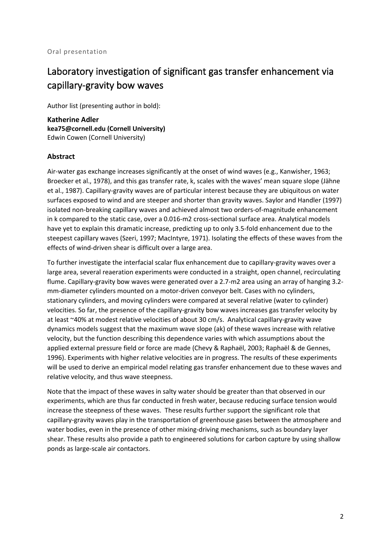# <span id="page-8-0"></span>Laboratory investigation of significant gas transfer enhancement via capillary-gravity bow waves

Author list (presenting author in bold):

<span id="page-8-1"></span>**Katherine Adler kea75@cornell.edu (Cornell University)** Edwin Cowen (Cornell University)

#### **Abstract**

Air-water gas exchange increases significantly at the onset of wind waves (e.g., Kanwisher, 1963; Broecker et al., 1978), and this gas transfer rate, k, scales with the waves' mean square slope (Jähne et al., 1987). Capillary-gravity waves are of particular interest because they are ubiquitous on water surfaces exposed to wind and are steeper and shorter than gravity waves. Saylor and Handler (1997) isolated non-breaking capillary waves and achieved almost two orders-of-magnitude enhancement in k compared to the static case, over a 0.016-m2 cross-sectional surface area. Analytical models have yet to explain this dramatic increase, predicting up to only 3.5-fold enhancement due to the steepest capillary waves (Szeri, 1997; MacIntyre, 1971). Isolating the effects of these waves from the effects of wind-driven shear is difficult over a large area.

To further investigate the interfacial scalar flux enhancement due to capillary-gravity waves over a large area, several reaeration experiments were conducted in a straight, open channel, recirculating flume. Capillary-gravity bow waves were generated over a 2.7-m2 area using an array of hanging 3.2 mm-diameter cylinders mounted on a motor-driven conveyor belt. Cases with no cylinders, stationary cylinders, and moving cylinders were compared at several relative (water to cylinder) velocities. So far, the presence of the capillary-gravity bow waves increases gas transfer velocity by at least ~40% at modest relative velocities of about 30 cm/s. Analytical capillary-gravity wave dynamics models suggest that the maximum wave slope (ak) of these waves increase with relative velocity, but the function describing this dependence varies with which assumptions about the applied external pressure field or force are made (Chevy & Raphaël, 2003; Raphaël & de Gennes, 1996). Experiments with higher relative velocities are in progress. The results of these experiments will be used to derive an empirical model relating gas transfer enhancement due to these waves and relative velocity, and thus wave steepness.

Note that the impact of these waves in salty water should be greater than that observed in our experiments, which are thus far conducted in fresh water, because reducing surface tension would increase the steepness of these waves. These results further support the significant role that capillary-gravity waves play in the transportation of greenhouse gases between the atmosphere and water bodies, even in the presence of other mixing-driving mechanisms, such as boundary layer shear. These results also provide a path to engineered solutions for carbon capture by using shallow ponds as large-scale air contactors.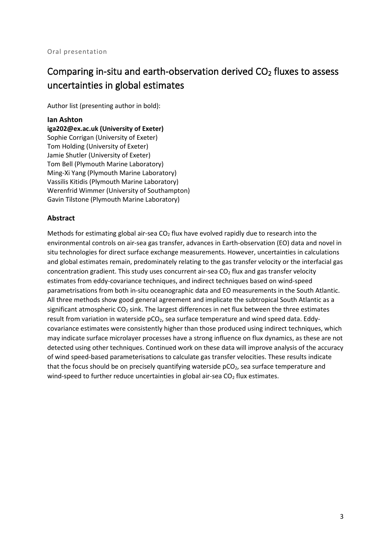### <span id="page-9-0"></span>Comparing in-situ and earth-observation derived  $CO<sub>2</sub>$  fluxes to assess uncertainties in global estimates

Author list (presenting author in bold):

#### <span id="page-9-1"></span>**Ian Ashton**

**iga202@ex.ac.uk (University of Exeter)** Sophie Corrigan (University of Exeter) Tom Holding (University of Exeter) Jamie Shutler (University of Exeter) Tom Bell (Plymouth Marine Laboratory) Ming-Xi Yang (Plymouth Marine Laboratory) Vassilis Kitidis (Plymouth Marine Laboratory) Werenfrid Wimmer (University of Southampton) Gavin Tilstone (Plymouth Marine Laboratory)

#### **Abstract**

Methods for estimating global air-sea  $CO<sub>2</sub>$  flux have evolved rapidly due to research into the environmental controls on air-sea gas transfer, advances in Earth-observation (EO) data and novel in situ technologies for direct surface exchange measurements. However, uncertainties in calculations and global estimates remain, predominately relating to the gas transfer velocity or the interfacial gas concentration gradient. This study uses concurrent air-sea  $CO<sub>2</sub>$  flux and gas transfer velocity estimates from eddy-covariance techniques, and indirect techniques based on wind-speed parametrisations from both in-situ oceanographic data and EO measurements in the South Atlantic. All three methods show good general agreement and implicate the subtropical South Atlantic as a significant atmospheric  $CO<sub>2</sub>$  sink. The largest differences in net flux between the three estimates result from variation in waterside  $pCO<sub>2</sub>$ , sea surface temperature and wind speed data. Eddycovariance estimates were consistently higher than those produced using indirect techniques, which may indicate surface microlayer processes have a strong influence on flux dynamics, as these are not detected using other techniques. Continued work on these data will improve analysis of the accuracy of wind speed-based parameterisations to calculate gas transfer velocities. These results indicate that the focus should be on precisely quantifying waterside  $pCO<sub>2</sub>$ , sea surface temperature and wind-speed to further reduce uncertainties in global air-sea  $CO<sub>2</sub>$  flux estimates.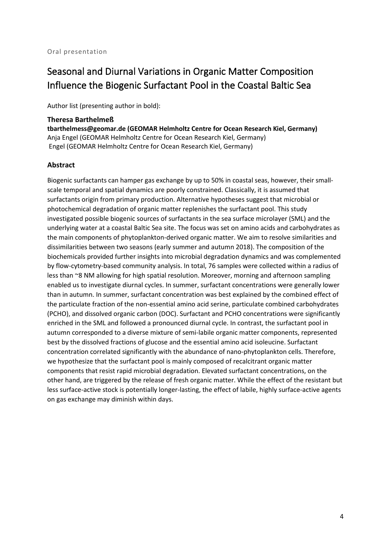# <span id="page-10-0"></span>Seasonal and Diurnal Variations in Organic Matter Composition Influence the Biogenic Surfactant Pool in the Coastal Baltic Sea

Author list (presenting author in bold):

#### <span id="page-10-1"></span>**Theresa Barthelmeß**

**tbarthelmess@geomar.de (GEOMAR Helmholtz Centre for Ocean Research Kiel, Germany)** Anja Engel (GEOMAR Helmholtz Centre for Ocean Research Kiel, Germany) Engel (GEOMAR Helmholtz Centre for Ocean Research Kiel, Germany)

#### **Abstract**

Biogenic surfactants can hamper gas exchange by up to 50% in coastal seas, however, their smallscale temporal and spatial dynamics are poorly constrained. Classically, it is assumed that surfactants origin from primary production. Alternative hypotheses suggest that microbial or photochemical degradation of organic matter replenishes the surfactant pool. This study investigated possible biogenic sources of surfactants in the sea surface microlayer (SML) and the underlying water at a coastal Baltic Sea site. The focus was set on amino acids and carbohydrates as the main components of phytoplankton-derived organic matter. We aim to resolve similarities and dissimilarities between two seasons (early summer and autumn 2018). The composition of the biochemicals provided further insights into microbial degradation dynamics and was complemented by flow-cytometry-based community analysis. In total, 76 samples were collected within a radius of less than ~8 NM allowing for high spatial resolution. Moreover, morning and afternoon sampling enabled us to investigate diurnal cycles. In summer, surfactant concentrations were generally lower than in autumn. In summer, surfactant concentration was best explained by the combined effect of the particulate fraction of the non-essential amino acid serine, particulate combined carbohydrates (PCHO), and dissolved organic carbon (DOC). Surfactant and PCHO concentrations were significantly enriched in the SML and followed a pronounced diurnal cycle. In contrast, the surfactant pool in autumn corresponded to a diverse mixture of semi-labile organic matter components, represented best by the dissolved fractions of glucose and the essential amino acid isoleucine. Surfactant concentration correlated significantly with the abundance of nano-phytoplankton cells. Therefore, we hypothesize that the surfactant pool is mainly composed of recalcitrant organic matter components that resist rapid microbial degradation. Elevated surfactant concentrations, on the other hand, are triggered by the release of fresh organic matter. While the effect of the resistant but less surface-active stock is potentially longer-lasting, the effect of labile, highly surface-active agents on gas exchange may diminish within days.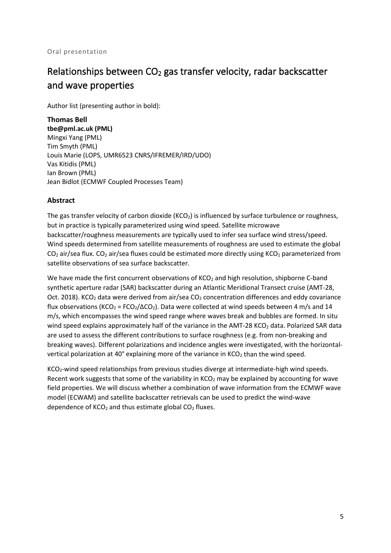# <span id="page-11-0"></span>Relationships between CO<sub>2</sub> gas transfer velocity, radar backscatter and wave properties

Author list (presenting author in bold):

<span id="page-11-1"></span>**Thomas Bell tbe@pml.ac.uk (PML)** Mingxi Yang (PML) Tim Smyth (PML) Louis Marie (LOPS, UMR6523 CNRS/IFREMER/IRD/UDO) Vas Kitidis (PML) Ian Brown (PML) Jean Bidlot (ECMWF Coupled Processes Team)

#### **Abstract**

The gas transfer velocity of carbon dioxide ( $KCO<sub>2</sub>$ ) is influenced by surface turbulence or roughness, but in practice is typically parameterized using wind speed. Satellite microwave backscatter/roughness measurements are typically used to infer sea surface wind stress/speed. Wind speeds determined from satellite measurements of roughness are used to estimate the global  $CO<sub>2</sub>$  air/sea flux. CO<sub>2</sub> air/sea fluxes could be estimated more directly using KCO<sub>2</sub> parameterized from satellite observations of sea surface backscatter.

We have made the first concurrent observations of KCO<sub>2</sub> and high resolution, shipborne C-band synthetic aperture radar (SAR) backscatter during an Atlantic Meridional Transect cruise (AMT-28, Oct. 2018). KCO<sub>2</sub> data were derived from air/sea CO<sub>2</sub> concentration differences and eddy covariance flux observations (KCO<sub>2</sub> = FCO<sub>2</sub>/ $\triangle CO_2$ ). Data were collected at wind speeds between 4 m/s and 14 m/s, which encompasses the wind speed range where waves break and bubbles are formed. In situ wind speed explains approximately half of the variance in the AMT-28 KCO<sub>2</sub> data. Polarized SAR data are used to assess the different contributions to surface roughness (e.g. from non-breaking and breaking waves). Different polarizations and incidence angles were investigated, with the horizontalvertical polarization at 40 $^{\circ}$  explaining more of the variance in KCO<sub>2</sub> than the wind speed.

KCO2-wind speed relationships from previous studies diverge at intermediate-high wind speeds. Recent work suggests that some of the variability in  $KCO<sub>2</sub>$  may be explained by accounting for wave field properties. We will discuss whether a combination of wave information from the ECMWF wave model (ECWAM) and satellite backscatter retrievals can be used to predict the wind-wave dependence of  $KCO<sub>2</sub>$  and thus estimate global  $CO<sub>2</sub>$  fluxes.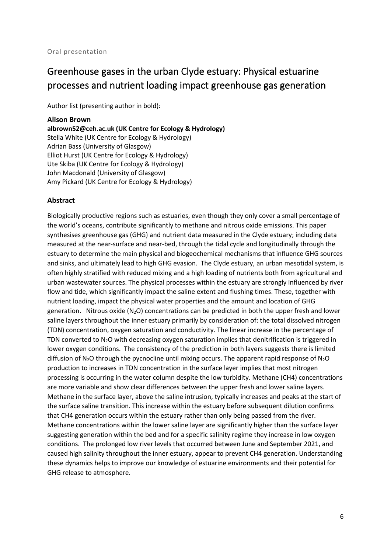### <span id="page-12-0"></span>Greenhouse gases in the urban Clyde estuary: Physical estuarine processes and nutrient loading impact greenhouse gas generation

Author list (presenting author in bold):

#### <span id="page-12-1"></span>**Alison Brown**

**albrown52@ceh.ac.uk (UK Centre for Ecology & Hydrology)** Stella White (UK Centre for Ecology & Hydrology) Adrian Bass (University of Glasgow) Elliot Hurst (UK Centre for Ecology & Hydrology) Ute Skiba (UK Centre for Ecology & Hydrology) John Macdonald (University of Glasgow) Amy Pickard (UK Centre for Ecology & Hydrology)

#### **Abstract**

Biologically productive regions such as estuaries, even though they only cover a small percentage of the world's oceans, contribute significantly to methane and nitrous oxide emissions. This paper synthesises greenhouse gas (GHG) and nutrient data measured in the Clyde estuary; including data measured at the near-surface and near-bed, through the tidal cycle and longitudinally through the estuary to determine the main physical and biogeochemical mechanisms that influence GHG sources and sinks, and ultimately lead to high GHG evasion. The Clyde estuary, an urban mesotidal system, is often highly stratified with reduced mixing and a high loading of nutrients both from agricultural and urban wastewater sources. The physical processes within the estuary are strongly influenced by river flow and tide, which significantly impact the saline extent and flushing times. These, together with nutrient loading, impact the physical water properties and the amount and location of GHG generation. Nitrous oxide  $(N_2O)$  concentrations can be predicted in both the upper fresh and lower saline layers throughout the inner estuary primarily by consideration of: the total dissolved nitrogen (TDN) concentration, oxygen saturation and conductivity. The linear increase in the percentage of TDN converted to  $N_2O$  with decreasing oxygen saturation implies that denitrification is triggered in lower oxygen conditions. The consistency of the prediction in both layers suggests there is limited diffusion of  $N_2O$  through the pycnocline until mixing occurs. The apparent rapid response of  $N_2O$ production to increases in TDN concentration in the surface layer implies that most nitrogen processing is occurring in the water column despite the low turbidity. Methane (CH4) concentrations are more variable and show clear differences between the upper fresh and lower saline layers. Methane in the surface layer, above the saline intrusion, typically increases and peaks at the start of the surface saline transition. This increase within the estuary before subsequent dilution confirms that CH4 generation occurs within the estuary rather than only being passed from the river. Methane concentrations within the lower saline layer are significantly higher than the surface layer suggesting generation within the bed and for a specific salinity regime they increase in low oxygen conditions. The prolonged low river levels that occurred between June and September 2021, and caused high salinity throughout the inner estuary, appear to prevent CH4 generation. Understanding these dynamics helps to improve our knowledge of estuarine environments and their potential for GHG release to atmosphere.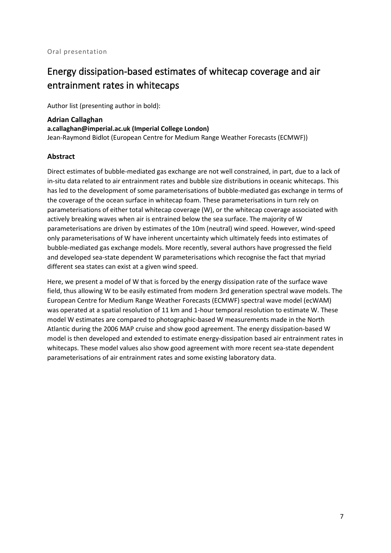### <span id="page-13-0"></span>Energy dissipation-based estimates of whitecap coverage and air entrainment rates in whitecaps

Author list (presenting author in bold):

<span id="page-13-1"></span>**Adrian Callaghan a.callaghan@imperial.ac.uk (Imperial College London)** Jean-Raymond Bidlot (European Centre for Medium Range Weather Forecasts (ECMWF))

#### **Abstract**

Direct estimates of bubble-mediated gas exchange are not well constrained, in part, due to a lack of in-situ data related to air entrainment rates and bubble size distributions in oceanic whitecaps. This has led to the development of some parameterisations of bubble-mediated gas exchange in terms of the coverage of the ocean surface in whitecap foam. These parameterisations in turn rely on parameterisations of either total whitecap coverage (W), or the whitecap coverage associated with actively breaking waves when air is entrained below the sea surface. The majority of W parameterisations are driven by estimates of the 10m (neutral) wind speed. However, wind-speed only parameterisations of W have inherent uncertainty which ultimately feeds into estimates of bubble-mediated gas exchange models. More recently, several authors have progressed the field and developed sea-state dependent W parameterisations which recognise the fact that myriad different sea states can exist at a given wind speed.

Here, we present a model of W that is forced by the energy dissipation rate of the surface wave field, thus allowing W to be easily estimated from modern 3rd generation spectral wave models. The European Centre for Medium Range Weather Forecasts (ECMWF) spectral wave model (ecWAM) was operated at a spatial resolution of 11 km and 1-hour temporal resolution to estimate W. These model W estimates are compared to photographic-based W measurements made in the North Atlantic during the 2006 MAP cruise and show good agreement. The energy dissipation-based W model is then developed and extended to estimate energy-dissipation based air entrainment rates in whitecaps. These model values also show good agreement with more recent sea-state dependent parameterisations of air entrainment rates and some existing laboratory data.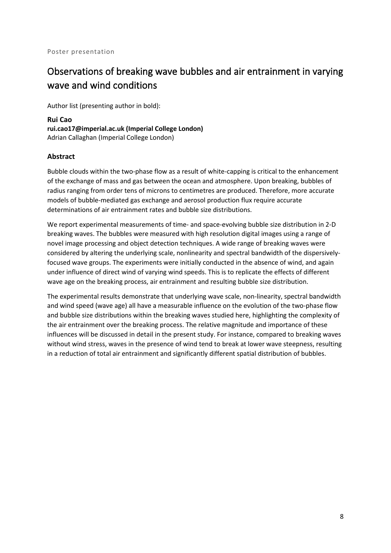# <span id="page-14-0"></span>Observations of breaking wave bubbles and air entrainment in varying wave and wind conditions

Author list (presenting author in bold):

<span id="page-14-1"></span>**Rui Cao rui.cao17@imperial.ac.uk (Imperial College London)** Adrian Callaghan (Imperial College London)

#### **Abstract**

Bubble clouds within the two-phase flow as a result of white-capping is critical to the enhancement of the exchange of mass and gas between the ocean and atmosphere. Upon breaking, bubbles of radius ranging from order tens of microns to centimetres are produced. Therefore, more accurate models of bubble-mediated gas exchange and aerosol production flux require accurate determinations of air entrainment rates and bubble size distributions.

We report experimental measurements of time- and space-evolving bubble size distribution in 2-D breaking waves. The bubbles were measured with high resolution digital images using a range of novel image processing and object detection techniques. A wide range of breaking waves were considered by altering the underlying scale, nonlinearity and spectral bandwidth of the dispersivelyfocused wave groups. The experiments were initially conducted in the absence of wind, and again under influence of direct wind of varying wind speeds. This is to replicate the effects of different wave age on the breaking process, air entrainment and resulting bubble size distribution.

The experimental results demonstrate that underlying wave scale, non-linearity, spectral bandwidth and wind speed (wave age) all have a measurable influence on the evolution of the two-phase flow and bubble size distributions within the breaking waves studied here, highlighting the complexity of the air entrainment over the breaking process. The relative magnitude and importance of these influences will be discussed in detail in the present study. For instance, compared to breaking waves without wind stress, waves in the presence of wind tend to break at lower wave steepness, resulting in a reduction of total air entrainment and significantly different spatial distribution of bubbles.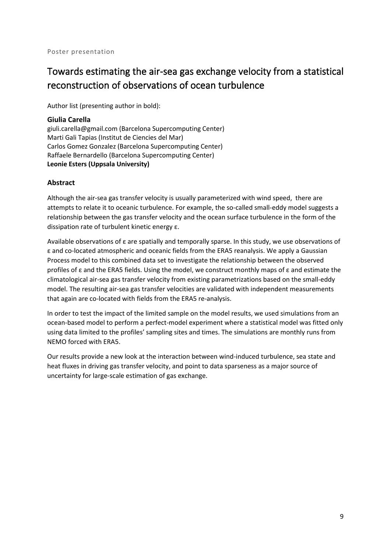# <span id="page-15-0"></span>Towards estimating the air-sea gas exchange velocity from a statistical reconstruction of observations of ocean turbulence

Author list (presenting author in bold):

#### <span id="page-15-1"></span>**Giulia Carella**

giuli.carella@gmail.com (Barcelona Supercomputing Center) Marti Gali Tapias (Institut de Ciencies del Mar) Carlos Gomez Gonzalez (Barcelona Supercomputing Center) Raffaele Bernardello (Barcelona Supercomputing Center) **Leonie Esters (Uppsala University)**

#### **Abstract**

Although the air-sea gas transfer velocity is usually parameterized with wind speed, there are attempts to relate it to oceanic turbulence. For example, the so-called small-eddy model suggests a relationship between the gas transfer velocity and the ocean surface turbulence in the form of the dissipation rate of turbulent kinetic energy ε.

Available observations of ε are spatially and temporally sparse. In this study, we use observations of ε and co-located atmospheric and oceanic fields from the ERA5 reanalysis. We apply a Gaussian Process model to this combined data set to investigate the relationship between the observed profiles of ε and the ERA5 fields. Using the model, we construct monthly maps of ε and estimate the climatological air-sea gas transfer velocity from existing parametrizations based on the small-eddy model. The resulting air-sea gas transfer velocities are validated with independent measurements that again are co-located with fields from the ERA5 re-analysis.

In order to test the impact of the limited sample on the model results, we used simulations from an ocean-based model to perform a perfect-model experiment where a statistical model was fitted only using data limited to the profiles' sampling sites and times. The simulations are monthly runs from NEMO forced with ERA5.

Our results provide a new look at the interaction between wind-induced turbulence, sea state and heat fluxes in driving gas transfer velocity, and point to data sparseness as a major source of uncertainty for large-scale estimation of gas exchange.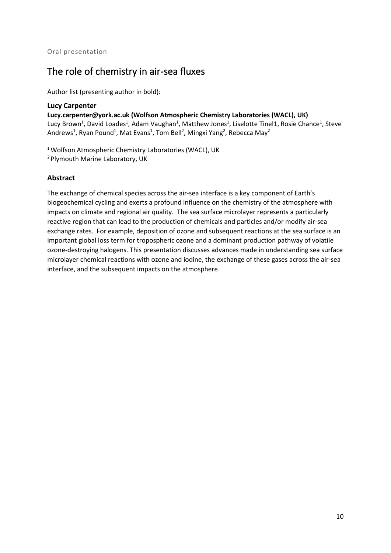### <span id="page-16-0"></span>The role of chemistry in air-sea fluxes

Author list (presenting author in bold):

#### <span id="page-16-1"></span>**Lucy Carpenter**

**Lucy.carpenter@york.ac.uk (Wolfson Atmospheric Chemistry Laboratories (WACL), UK)** Lucy Brown<sup>1</sup>, David Loades<sup>1</sup>, Adam Vaughan<sup>1</sup>, Matthew Jones<sup>1</sup>, Liselotte Tinel1, Rosie Chance<sup>1</sup>, Steve Andrews<sup>1</sup>, Ryan Pound<sup>1</sup>, Mat Evans<sup>1</sup>, Tom Bell<sup>2</sup>, Mingxi Yang<sup>2</sup>, Rebecca May<sup>2</sup>

<sup>1</sup> Wolfson Atmospheric Chemistry Laboratories (WACL), UK 2 Plymouth Marine Laboratory, UK

#### **Abstract**

The exchange of chemical species across the air-sea interface is a key component of Earth's biogeochemical cycling and exerts a profound influence on the chemistry of the atmosphere with impacts on climate and regional air quality. The sea surface microlayer represents a particularly reactive region that can lead to the production of chemicals and particles and/or modify air-sea exchange rates. For example, deposition of ozone and subsequent reactions at the sea surface is an important global loss term for tropospheric ozone and a dominant production pathway of volatile ozone-destroying halogens. This presentation discusses advances made in understanding sea surface microlayer chemical reactions with ozone and iodine, the exchange of these gases across the air-sea interface, and the subsequent impacts on the atmosphere.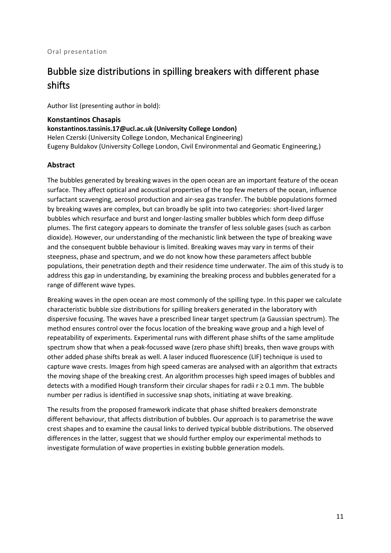# <span id="page-17-0"></span>Bubble size distributions in spilling breakers with different phase shifts

Author list (presenting author in bold):

#### <span id="page-17-1"></span>**Konstantinos Chasapis**

**konstantinos.tassinis.17@ucl.ac.uk (University College London)** Helen Czerski (University College London, Mechanical Engineering) Eugeny Buldakov (University College London, Civil Environmental and Geomatic Engineering,)

#### **Abstract**

The bubbles generated by breaking waves in the open ocean are an important feature of the ocean surface. They affect optical and acoustical properties of the top few meters of the ocean, influence surfactant scavenging, aerosol production and air-sea gas transfer. The bubble populations formed by breaking waves are complex, but can broadly be split into two categories: short-lived larger bubbles which resurface and burst and longer-lasting smaller bubbles which form deep diffuse plumes. The first category appears to dominate the transfer of less soluble gases (such as carbon dioxide). However, our understanding of the mechanistic link between the type of breaking wave and the consequent bubble behaviour is limited. Breaking waves may vary in terms of their steepness, phase and spectrum, and we do not know how these parameters affect bubble populations, their penetration depth and their residence time underwater. The aim of this study is to address this gap in understanding, by examining the breaking process and bubbles generated for a range of different wave types.

Breaking waves in the open ocean are most commonly of the spilling type. In this paper we calculate characteristic bubble size distributions for spilling breakers generated in the laboratory with dispersive focusing. The waves have a prescribed linear target spectrum (a Gaussian spectrum). The method ensures control over the focus location of the breaking wave group and a high level of repeatability of experiments. Experimental runs with different phase shifts of the same amplitude spectrum show that when a peak-focussed wave (zero phase shift) breaks, then wave groups with other added phase shifts break as well. A laser induced fluorescence (LIF) technique is used to capture wave crests. Images from high speed cameras are analysed with an algorithm that extracts the moving shape of the breaking crest. An algorithm processes high speed images of bubbles and detects with a modified Hough transform their circular shapes for radii  $r \ge 0.1$  mm. The bubble number per radius is identified in successive snap shots, initiating at wave breaking.

The results from the proposed framework indicate that phase shifted breakers demonstrate different behaviour, that affects distribution of bubbles. Our approach is to parametrise the wave crest shapes and to examine the causal links to derived typical bubble distributions. The observed differences in the latter, suggest that we should further employ our experimental methods to investigate formulation of wave properties in existing bubble generation models.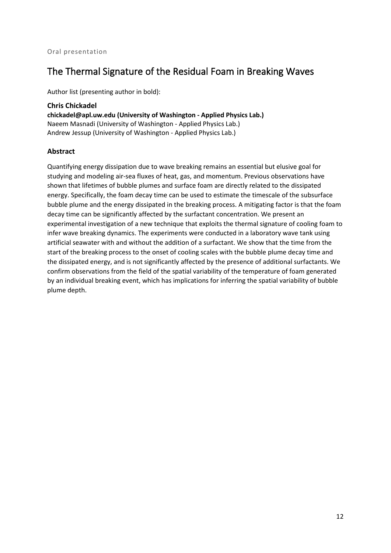### <span id="page-18-0"></span>The Thermal Signature of the Residual Foam in Breaking Waves

Author list (presenting author in bold):

<span id="page-18-1"></span>**Chris Chickadel chickadel@apl.uw.edu (University of Washington - Applied Physics Lab.)** Naeem Masnadi (University of Washington - Applied Physics Lab.) Andrew Jessup (University of Washington - Applied Physics Lab.)

#### **Abstract**

Quantifying energy dissipation due to wave breaking remains an essential but elusive goal for studying and modeling air-sea fluxes of heat, gas, and momentum. Previous observations have shown that lifetimes of bubble plumes and surface foam are directly related to the dissipated energy. Specifically, the foam decay time can be used to estimate the timescale of the subsurface bubble plume and the energy dissipated in the breaking process. A mitigating factor is that the foam decay time can be significantly affected by the surfactant concentration. We present an experimental investigation of a new technique that exploits the thermal signature of cooling foam to infer wave breaking dynamics. The experiments were conducted in a laboratory wave tank using artificial seawater with and without the addition of a surfactant. We show that the time from the start of the breaking process to the onset of cooling scales with the bubble plume decay time and the dissipated energy, and is not significantly affected by the presence of additional surfactants. We confirm observations from the field of the spatial variability of the temperature of foam generated by an individual breaking event, which has implications for inferring the spatial variability of bubble plume depth.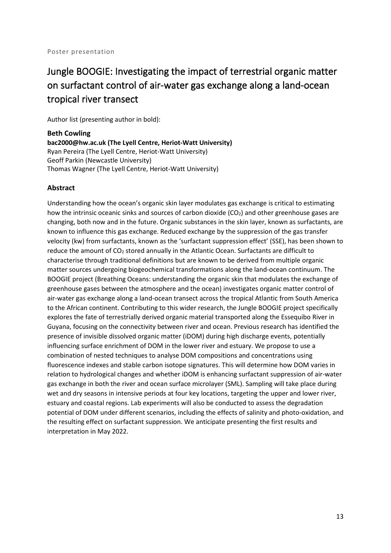# <span id="page-19-0"></span>Jungle BOOGIE: Investigating the impact of terrestrial organic matter on surfactant control of air-water gas exchange along a land-ocean tropical river transect

Author list (presenting author in bold):

<span id="page-19-1"></span>**Beth Cowling bac2000@hw.ac.uk (The Lyell Centre, Heriot-Watt University)** Ryan Pereira (The Lyell Centre, Heriot-Watt University) Geoff Parkin (Newcastle University) Thomas Wagner (The Lyell Centre, Heriot-Watt University)

#### **Abstract**

Understanding how the ocean's organic skin layer modulates gas exchange is critical to estimating how the intrinsic oceanic sinks and sources of carbon dioxide  $(CO<sub>2</sub>)$  and other greenhouse gases are changing, both now and in the future. Organic substances in the skin layer, known as surfactants, are known to influence this gas exchange. Reduced exchange by the suppression of the gas transfer velocity (kw) from surfactants, known as the 'surfactant suppression effect' (SSE), has been shown to reduce the amount of CO<sub>2</sub> stored annually in the Atlantic Ocean. Surfactants are difficult to characterise through traditional definitions but are known to be derived from multiple organic matter sources undergoing biogeochemical transformations along the land-ocean continuum. The BOOGIE project (Breathing Oceans: understanding the organic skin that modulates the exchange of greenhouse gases between the atmosphere and the ocean) investigates organic matter control of air-water gas exchange along a land-ocean transect across the tropical Atlantic from South America to the African continent. Contributing to this wider research, the Jungle BOOGIE project specifically explores the fate of terrestrially derived organic material transported along the Essequibo River in Guyana, focusing on the connectivity between river and ocean. Previous research has identified the presence of invisible dissolved organic matter (iDOM) during high discharge events, potentially influencing surface enrichment of DOM in the lower river and estuary. We propose to use a combination of nested techniques to analyse DOM compositions and concentrations using fluorescence indexes and stable carbon isotope signatures. This will determine how DOM varies in relation to hydrological changes and whether iDOM is enhancing surfactant suppression of air-water gas exchange in both the river and ocean surface microlayer (SML). Sampling will take place during wet and dry seasons in intensive periods at four key locations, targeting the upper and lower river, estuary and coastal regions. Lab experiments will also be conducted to assess the degradation potential of DOM under different scenarios, including the effects of salinity and photo-oxidation, and the resulting effect on surfactant suppression. We anticipate presenting the first results and interpretation in May 2022.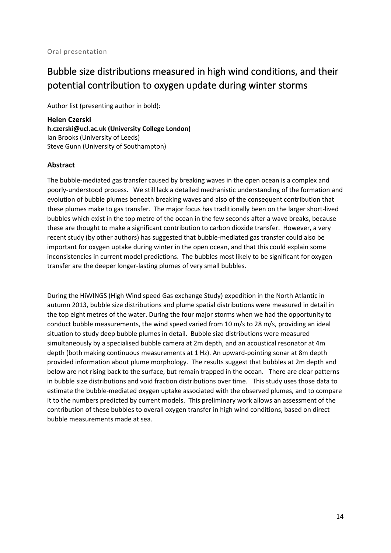## <span id="page-20-0"></span>Bubble size distributions measured in high wind conditions, and their potential contribution to oxygen update during winter storms

Author list (presenting author in bold):

<span id="page-20-1"></span>**Helen Czerski h.czerski@ucl.ac.uk (University College London)** Ian Brooks (University of Leeds) Steve Gunn (University of Southampton)

#### **Abstract**

The bubble-mediated gas transfer caused by breaking waves in the open ocean is a complex and poorly-understood process. We still lack a detailed mechanistic understanding of the formation and evolution of bubble plumes beneath breaking waves and also of the consequent contribution that these plumes make to gas transfer. The major focus has traditionally been on the larger short-lived bubbles which exist in the top metre of the ocean in the few seconds after a wave breaks, because these are thought to make a significant contribution to carbon dioxide transfer. However, a very recent study (by other authors) has suggested that bubble-mediated gas transfer could also be important for oxygen uptake during winter in the open ocean, and that this could explain some inconsistencies in current model predictions. The bubbles most likely to be significant for oxygen transfer are the deeper longer-lasting plumes of very small bubbles.

During the HiWINGS (High Wind speed Gas exchange Study) expedition in the North Atlantic in autumn 2013, bubble size distributions and plume spatial distributions were measured in detail in the top eight metres of the water. During the four major storms when we had the opportunity to conduct bubble measurements, the wind speed varied from 10 m/s to 28 m/s, providing an ideal situation to study deep bubble plumes in detail. Bubble size distributions were measured simultaneously by a specialised bubble camera at 2m depth, and an acoustical resonator at 4m depth (both making continuous measurements at 1 Hz). An upward-pointing sonar at 8m depth provided information about plume morphology. The results suggest that bubbles at 2m depth and below are not rising back to the surface, but remain trapped in the ocean. There are clear patterns in bubble size distributions and void fraction distributions over time. This study uses those data to estimate the bubble-mediated oxygen uptake associated with the observed plumes, and to compare it to the numbers predicted by current models. This preliminary work allows an assessment of the contribution of these bubbles to overall oxygen transfer in high wind conditions, based on direct bubble measurements made at sea.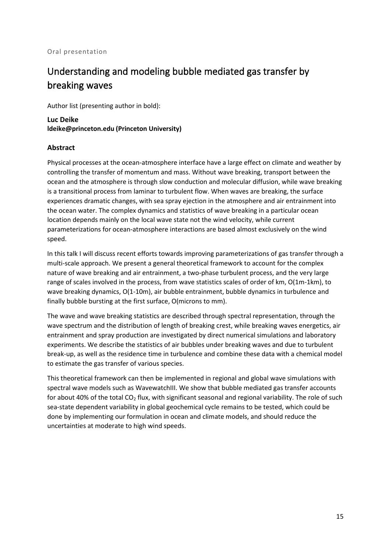# <span id="page-21-0"></span>Understanding and modeling bubble mediated gas transfer by breaking waves

Author list (presenting author in bold):

<span id="page-21-1"></span>**Luc Deike ldeike@princeton.edu (Princeton University)**

#### **Abstract**

Physical processes at the ocean-atmosphere interface have a large effect on climate and weather by controlling the transfer of momentum and mass. Without wave breaking, transport between the ocean and the atmosphere is through slow conduction and molecular diffusion, while wave breaking is a transitional process from laminar to turbulent flow. When waves are breaking, the surface experiences dramatic changes, with sea spray ejection in the atmosphere and air entrainment into the ocean water. The complex dynamics and statistics of wave breaking in a particular ocean location depends mainly on the local wave state not the wind velocity, while current parameterizations for ocean-atmosphere interactions are based almost exclusively on the wind speed.

In this talk I will discuss recent efforts towards improving parameterizations of gas transfer through a multi-scale approach. We present a general theoretical framework to account for the complex nature of wave breaking and air entrainment, a two-phase turbulent process, and the very large range of scales involved in the process, from wave statistics scales of order of km, O(1m-1km), to wave breaking dynamics, O(1-10m), air bubble entrainment, bubble dynamics in turbulence and finally bubble bursting at the first surface, O(microns to mm).

The wave and wave breaking statistics are described through spectral representation, through the wave spectrum and the distribution of length of breaking crest, while breaking waves energetics, air entrainment and spray production are investigated by direct numerical simulations and laboratory experiments. We describe the statistics of air bubbles under breaking waves and due to turbulent break-up, as well as the residence time in turbulence and combine these data with a chemical model to estimate the gas transfer of various species.

This theoretical framework can then be implemented in regional and global wave simulations with spectral wave models such as WavewatchIII. We show that bubble mediated gas transfer accounts for about 40% of the total  $CO<sub>2</sub>$  flux, with significant seasonal and regional variability. The role of such sea-state dependent variability in global geochemical cycle remains to be tested, which could be done by implementing our formulation in ocean and climate models, and should reduce the uncertainties at moderate to high wind speeds.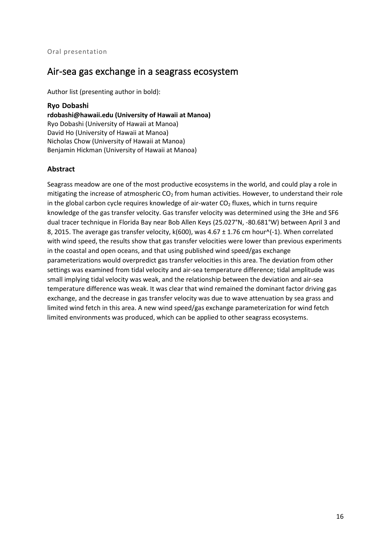### <span id="page-22-0"></span>Air-sea gas exchange in a seagrass ecosystem

Author list (presenting author in bold):

#### <span id="page-22-1"></span>**Ryo Dobashi**

**rdobashi@hawaii.edu (University of Hawaii at Manoa)** Ryo Dobashi (University of Hawaii at Manoa) David Ho (University of Hawaii at Manoa) Nicholas Chow (University of Hawaii at Manoa) Benjamin Hickman (University of Hawaii at Manoa)

#### **Abstract**

Seagrass meadow are one of the most productive ecosystems in the world, and could play a role in mitigating the increase of atmospheric  $CO<sub>2</sub>$  from human activities. However, to understand their role in the global carbon cycle requires knowledge of air-water  $CO<sub>2</sub>$  fluxes, which in turns require knowledge of the gas transfer velocity. Gas transfer velocity was determined using the 3He and SF6 dual tracer technique in Florida Bay near Bob Allen Keys (25.027°N, -80.681°W) between April 3 and 8, 2015. The average gas transfer velocity,  $k(600)$ , was 4.67  $\pm$  1.76 cm hour^(-1). When correlated with wind speed, the results show that gas transfer velocities were lower than previous experiments in the coastal and open oceans, and that using published wind speed/gas exchange parameterizations would overpredict gas transfer velocities in this area. The deviation from other settings was examined from tidal velocity and air-sea temperature difference; tidal amplitude was small implying tidal velocity was weak, and the relationship between the deviation and air-sea temperature difference was weak. It was clear that wind remained the dominant factor driving gas exchange, and the decrease in gas transfer velocity was due to wave attenuation by sea grass and limited wind fetch in this area. A new wind speed/gas exchange parameterization for wind fetch limited environments was produced, which can be applied to other seagrass ecosystems.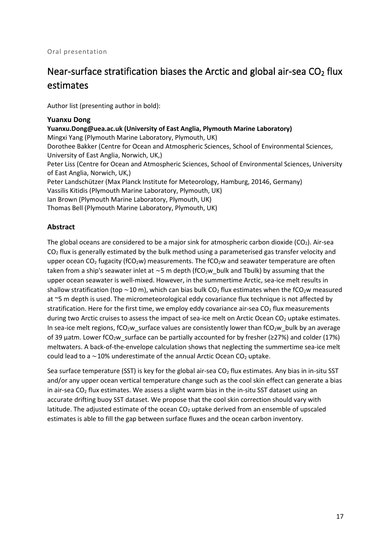# <span id="page-23-0"></span>Near-surface stratification biases the Arctic and global air-sea  $CO<sub>2</sub>$  flux estimates

Author list (presenting author in bold):

#### <span id="page-23-1"></span>**Yuanxu Dong**

**Yuanxu.Dong@uea.ac.uk (University of East Anglia, Plymouth Marine Laboratory)** Mingxi Yang (Plymouth Marine Laboratory, Plymouth, UK) Dorothee Bakker (Centre for Ocean and Atmospheric Sciences, School of Environmental Sciences, University of East Anglia, Norwich, UK,) Peter Liss (Centre for Ocean and Atmospheric Sciences, School of Environmental Sciences, University of East Anglia, Norwich, UK,) Peter Landschützer (Max Planck Institute for Meteorology, Hamburg, 20146, Germany) Vassilis Kitidis (Plymouth Marine Laboratory, Plymouth, UK) Ian Brown (Plymouth Marine Laboratory, Plymouth, UK) Thomas Bell (Plymouth Marine Laboratory, Plymouth, UK)

#### **Abstract**

The global oceans are considered to be a major sink for atmospheric carbon dioxide ( $CO<sub>2</sub>$ ). Air-sea  $CO<sub>2</sub>$  flux is generally estimated by the bulk method using a parameterised gas transfer velocity and upper ocean CO<sub>2</sub> fugacity (fCO<sub>2</sub>w) measurements. The fCO<sub>2</sub>w and seawater temperature are often taken from a ship's seawater inlet at ~5 m depth (fCO<sub>2</sub>w bulk and Tbulk) by assuming that the upper ocean seawater is well-mixed. However, in the summertime Arctic, sea-ice melt results in shallow stratification (top ~10 m), which can bias bulk CO<sub>2</sub> flux estimates when the fCO<sub>2</sub>w measured at ~5 m depth is used. The micrometeorological eddy covariance flux technique is not affected by stratification. Here for the first time, we employ eddy covariance air-sea  $CO<sub>2</sub>$  flux measurements during two Arctic cruises to assess the impact of sea-ice melt on Arctic Ocean CO<sub>2</sub> uptake estimates. In sea-ice melt regions,  $fCO<sub>2</sub>w$  surface values are consistently lower than  $fCO<sub>2</sub>w$  bulk by an average of 39 µatm. Lower fCO<sub>2</sub>w\_surface can be partially accounted for by fresher ( $\geq$ 27%) and colder (17%) meltwaters. A back-of-the-envelope calculation shows that neglecting the summertime sea-ice melt could lead to a ~10% underestimate of the annual Arctic Ocean CO2 uptake.

Sea surface temperature (SST) is key for the global air-sea  $CO<sub>2</sub>$  flux estimates. Any bias in in-situ SST and/or any upper ocean vertical temperature change such as the cool skin effect can generate a bias in air-sea  $CO<sub>2</sub>$  flux estimates. We assess a slight warm bias in the in-situ SST dataset using an accurate drifting buoy SST dataset. We propose that the cool skin correction should vary with latitude. The adjusted estimate of the ocean  $CO<sub>2</sub>$  uptake derived from an ensemble of upscaled estimates is able to fill the gap between surface fluxes and the ocean carbon inventory.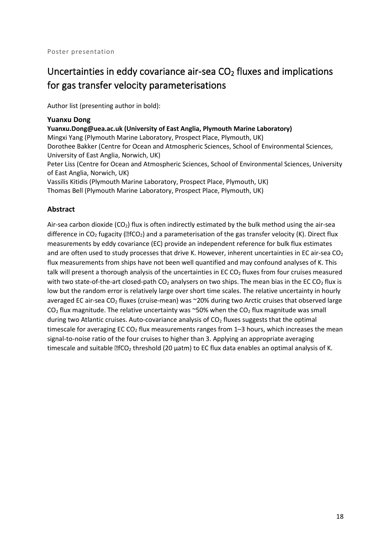# <span id="page-24-0"></span>Uncertainties in eddy covariance air-sea  $CO<sub>2</sub>$  fluxes and implications for gas transfer velocity parameterisations

Author list (presenting author in bold):

#### <span id="page-24-1"></span>**Yuanxu Dong**

**Yuanxu.Dong@uea.ac.uk (University of East Anglia, Plymouth Marine Laboratory)**

Mingxi Yang (Plymouth Marine Laboratory, Prospect Place, Plymouth, UK) Dorothee Bakker (Centre for Ocean and Atmospheric Sciences, School of Environmental Sciences, University of East Anglia, Norwich, UK)

Peter Liss (Centre for Ocean and Atmospheric Sciences, School of Environmental Sciences, University of East Anglia, Norwich, UK)

Vassilis Kitidis (Plymouth Marine Laboratory, Prospect Place, Plymouth, UK)

Thomas Bell (Plymouth Marine Laboratory, Prospect Place, Plymouth, UK)

#### **Abstract**

Air-sea carbon dioxide ( $CO<sub>2</sub>$ ) flux is often indirectly estimated by the bulk method using the air-sea difference in CO<sub>2</sub> fugacity ( $EfCO<sub>2</sub>$ ) and a parameterisation of the gas transfer velocity (K). Direct flux measurements by eddy covariance (EC) provide an independent reference for bulk flux estimates and are often used to study processes that drive K. However, inherent uncertainties in EC air-sea  $CO<sub>2</sub>$ flux measurements from ships have not been well quantified and may confound analyses of K. This talk will present a thorough analysis of the uncertainties in EC  $CO<sub>2</sub>$  fluxes from four cruises measured with two state-of-the-art closed-path  $CO<sub>2</sub>$  analysers on two ships. The mean bias in the EC CO<sub>2</sub> flux is low but the random error is relatively large over short time scales. The relative uncertainty in hourly averaged EC air-sea CO<sub>2</sub> fluxes (cruise-mean) was ~20% during two Arctic cruises that observed large  $CO<sub>2</sub>$  flux magnitude. The relative uncertainty was ~50% when the  $CO<sub>2</sub>$  flux magnitude was small during two Atlantic cruises. Auto-covariance analysis of  $CO<sub>2</sub>$  fluxes suggests that the optimal timescale for averaging EC  $CO<sub>2</sub>$  flux measurements ranges from 1–3 hours, which increases the mean signal-to-noise ratio of the four cruises to higher than 3. Applying an appropriate averaging timescale and suitable  $EfCO<sub>2</sub>$  threshold (20 µatm) to EC flux data enables an optimal analysis of K.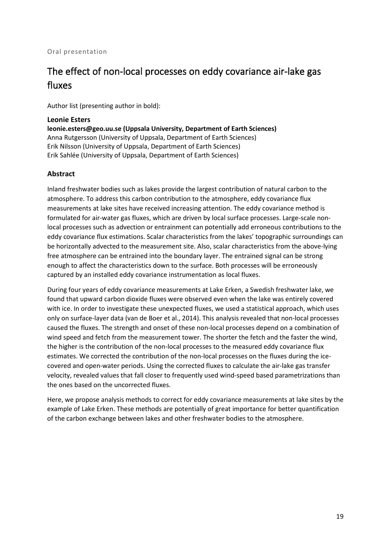#### Oral presentation

## <span id="page-25-0"></span>The effect of non-local processes on eddy covariance air-lake gas fluxes

Author list (presenting author in bold):

#### <span id="page-25-1"></span>**Leonie Esters**

**leonie.esters@geo.uu.se (Uppsala University, Department of Earth Sciences)** Anna Rutgersson (University of Uppsala, Department of Earth Sciences) Erik Nilsson (University of Uppsala, Department of Earth Sciences) Erik Sahlée (University of Uppsala, Department of Earth Sciences)

#### **Abstract**

Inland freshwater bodies such as lakes provide the largest contribution of natural carbon to the atmosphere. To address this carbon contribution to the atmosphere, eddy covariance flux measurements at lake sites have received increasing attention. The eddy covariance method is formulated for air-water gas fluxes, which are driven by local surface processes. Large-scale nonlocal processes such as advection or entrainment can potentially add erroneous contributions to the eddy covariance flux estimations. Scalar characteristics from the lakes' topographic surroundings can be horizontally advected to the measurement site. Also, scalar characteristics from the above-lying free atmosphere can be entrained into the boundary layer. The entrained signal can be strong enough to affect the characteristics down to the surface. Both processes will be erroneously captured by an installed eddy covariance instrumentation as local fluxes.

During four years of eddy covariance measurements at Lake Erken, a Swedish freshwater lake, we found that upward carbon dioxide fluxes were observed even when the lake was entirely covered with ice. In order to investigate these unexpected fluxes, we used a statistical approach, which uses only on surface-layer data (van de Boer et al., 2014). This analysis revealed that non-local processes caused the fluxes. The strength and onset of these non-local processes depend on a combination of wind speed and fetch from the measurement tower. The shorter the fetch and the faster the wind, the higher is the contribution of the non-local processes to the measured eddy covariance flux estimates. We corrected the contribution of the non-local processes on the fluxes during the icecovered and open-water periods. Using the corrected fluxes to calculate the air-lake gas transfer velocity, revealed values that fall closer to frequently used wind-speed based parametrizations than the ones based on the uncorrected fluxes.

Here, we propose analysis methods to correct for eddy covariance measurements at lake sites by the example of Lake Erken. These methods are potentially of great importance for better quantification of the carbon exchange between lakes and other freshwater bodies to the atmosphere.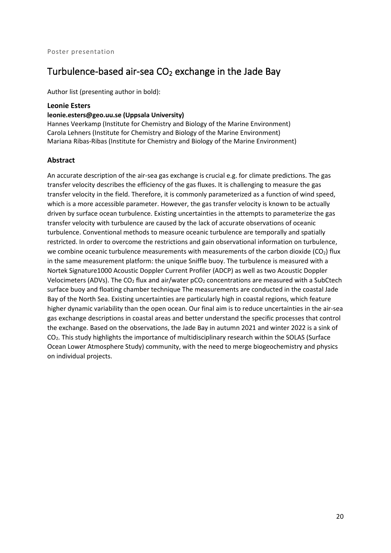### <span id="page-26-0"></span>Turbulence-based air-sea  $CO<sub>2</sub>$  exchange in the Jade Bay

Author list (presenting author in bold):

#### <span id="page-26-1"></span>**Leonie Esters**

#### **leonie.esters@geo.uu.se (Uppsala University)**

Hannes Veerkamp (Institute for Chemistry and Biology of the Marine Environment) Carola Lehners (Institute for Chemistry and Biology of the Marine Environment) Mariana Ribas-Ribas (Institute for Chemistry and Biology of the Marine Environment)

#### **Abstract**

An accurate description of the air-sea gas exchange is crucial e.g. for climate predictions. The gas transfer velocity describes the efficiency of the gas fluxes. It is challenging to measure the gas transfer velocity in the field. Therefore, it is commonly parameterized as a function of wind speed, which is a more accessible parameter. However, the gas transfer velocity is known to be actually driven by surface ocean turbulence. Existing uncertainties in the attempts to parameterize the gas transfer velocity with turbulence are caused by the lack of accurate observations of oceanic turbulence. Conventional methods to measure oceanic turbulence are temporally and spatially restricted. In order to overcome the restrictions and gain observational information on turbulence, we combine oceanic turbulence measurements with measurements of the carbon dioxide ( $CO<sub>2</sub>$ ) flux in the same measurement platform: the unique Sniffle buoy. The turbulence is measured with a Nortek Signature1000 Acoustic Doppler Current Profiler (ADCP) as well as two Acoustic Doppler Velocimeters (ADVs). The CO<sub>2</sub> flux and air/water  $pCO<sub>2</sub>$  concentrations are measured with a SubCtech surface buoy and floating chamber technique The measurements are conducted in the coastal Jade Bay of the North Sea. Existing uncertainties are particularly high in coastal regions, which feature higher dynamic variability than the open ocean. Our final aim is to reduce uncertainties in the air-sea gas exchange descriptions in coastal areas and better understand the specific processes that control the exchange. Based on the observations, the Jade Bay in autumn 2021 and winter 2022 is a sink of CO2. This study highlights the importance of multidisciplinary research within the SOLAS (Surface Ocean Lower Atmosphere Study) community, with the need to merge biogeochemistry and physics on individual projects.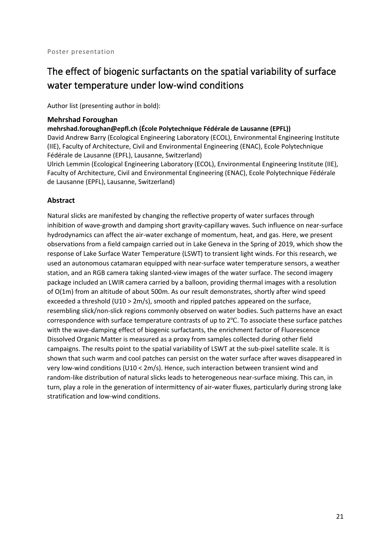# <span id="page-27-0"></span>The effect of biogenic surfactants on the spatial variability of surface water temperature under low-wind conditions

Author list (presenting author in bold):

#### <span id="page-27-1"></span>**Mehrshad Foroughan**

**mehrshad.foroughan@epfl.ch (École Polytechnique Fédérale de Lausanne (EPFL))**

David Andrew Barry (Ecological Engineering Laboratory (ECOL), Environmental Engineering Institute (IIE), Faculty of Architecture, Civil and Environmental Engineering (ENAC), Ecole Polytechnique Fédérale de Lausanne (EPFL), Lausanne, Switzerland)

Ulrich Lemmin (Ecological Engineering Laboratory (ECOL), Environmental Engineering Institute (IIE), Faculty of Architecture, Civil and Environmental Engineering (ENAC), Ecole Polytechnique Fédérale de Lausanne (EPFL), Lausanne, Switzerland)

#### **Abstract**

Natural slicks are manifested by changing the reflective property of water surfaces through inhibition of wave-growth and damping short gravity-capillary waves. Such influence on near-surface hydrodynamics can affect the air-water exchange of momentum, heat, and gas. Here, we present observations from a field campaign carried out in Lake Geneva in the Spring of 2019, which show the response of Lake Surface Water Temperature (LSWT) to transient light winds. For this research, we used an autonomous catamaran equipped with near-surface water temperature sensors, a weather station, and an RGB camera taking slanted-view images of the water surface. The second imagery package included an LWIR camera carried by a balloon, providing thermal images with a resolution of O(1m) from an altitude of about 500m. As our result demonstrates, shortly after wind speed exceeded a threshold (U10 > 2m/s), smooth and rippled patches appeared on the surface, resembling slick/non-slick regions commonly observed on water bodies. Such patterns have an exact correspondence with surface temperature contrasts of up to 2℃. To associate these surface patches with the wave-damping effect of biogenic surfactants, the enrichment factor of Fluorescence Dissolved Organic Matter is measured as a proxy from samples collected during other field campaigns. The results point to the spatial variability of LSWT at the sub-pixel satellite scale. It is shown that such warm and cool patches can persist on the water surface after waves disappeared in very low-wind conditions (U10 < 2m/s). Hence, such interaction between transient wind and random-like distribution of natural slicks leads to heterogeneous near-surface mixing. This can, in turn, play a role in the generation of intermittency of air-water fluxes, particularly during strong lake stratification and low-wind conditions.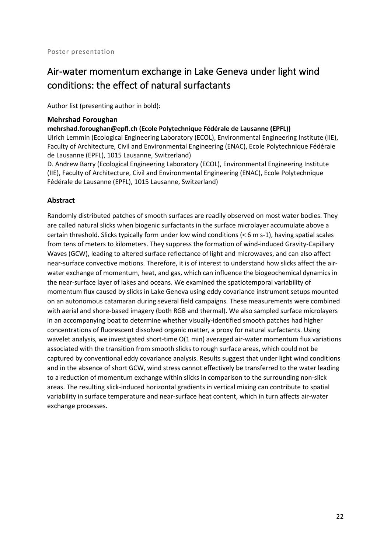### <span id="page-28-0"></span>Air-water momentum exchange in Lake Geneva under light wind conditions: the effect of natural surfactants

Author list (presenting author in bold):

#### <span id="page-28-1"></span>**Mehrshad Foroughan**

**mehrshad.foroughan@epfl.ch (Ecole Polytechnique Fédérale de Lausanne (EPFL))**

Ulrich Lemmin (Ecological Engineering Laboratory (ECOL), Environmental Engineering Institute (IIE), Faculty of Architecture, Civil and Environmental Engineering (ENAC), Ecole Polytechnique Fédérale de Lausanne (EPFL), 1015 Lausanne, Switzerland)

D. Andrew Barry (Ecological Engineering Laboratory (ECOL), Environmental Engineering Institute (IIE), Faculty of Architecture, Civil and Environmental Engineering (ENAC), Ecole Polytechnique Fédérale de Lausanne (EPFL), 1015 Lausanne, Switzerland)

#### **Abstract**

Randomly distributed patches of smooth surfaces are readily observed on most water bodies. They are called natural slicks when biogenic surfactants in the surface microlayer accumulate above a certain threshold. Slicks typically form under low wind conditions (< 6 m s-1), having spatial scales from tens of meters to kilometers. They suppress the formation of wind-induced Gravity-Capillary Waves (GCW), leading to altered surface reflectance of light and microwaves, and can also affect near-surface convective motions. Therefore, it is of interest to understand how slicks affect the airwater exchange of momentum, heat, and gas, which can influence the biogeochemical dynamics in the near-surface layer of lakes and oceans. We examined the spatiotemporal variability of momentum flux caused by slicks in Lake Geneva using eddy covariance instrument setups mounted on an autonomous catamaran during several field campaigns. These measurements were combined with aerial and shore-based imagery (both RGB and thermal). We also sampled surface microlayers in an accompanying boat to determine whether visually-identified smooth patches had higher concentrations of fluorescent dissolved organic matter, a proxy for natural surfactants. Using wavelet analysis, we investigated short-time O(1 min) averaged air-water momentum flux variations associated with the transition from smooth slicks to rough surface areas, which could not be captured by conventional eddy covariance analysis. Results suggest that under light wind conditions and in the absence of short GCW, wind stress cannot effectively be transferred to the water leading to a reduction of momentum exchange within slicks in comparison to the surrounding non-slick areas. The resulting slick-induced horizontal gradients in vertical mixing can contribute to spatial variability in surface temperature and near-surface heat content, which in turn affects air-water exchange processes.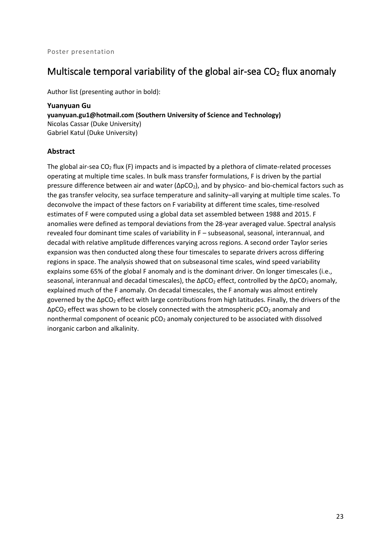### <span id="page-29-0"></span>Multiscale temporal variability of the global air-sea  $CO<sub>2</sub>$  flux anomaly

Author list (presenting author in bold):

<span id="page-29-1"></span>**Yuanyuan Gu yuanyuan.gu1@hotmail.com (Southern University of Science and Technology)** Nicolas Cassar (Duke University) Gabriel Katul (Duke University)

#### **Abstract**

The global air-sea  $CO<sub>2</sub>$  flux (F) impacts and is impacted by a plethora of climate-related processes operating at multiple time scales. In bulk mass transfer formulations, F is driven by the partial pressure difference between air and water ( $\Delta pCO<sub>2</sub>$ ), and by physico- and bio-chemical factors such as the gas transfer velocity, sea surface temperature and salinity–all varying at multiple time scales. To deconvolve the impact of these factors on F variability at different time scales, time-resolved estimates of F were computed using a global data set assembled between 1988 and 2015. F anomalies were defined as temporal deviations from the 28-year averaged value. Spectral analysis revealed four dominant time scales of variability in F – subseasonal, seasonal, interannual, and decadal with relative amplitude differences varying across regions. A second order Taylor series expansion was then conducted along these four timescales to separate drivers across differing regions in space. The analysis showed that on subseasonal time scales, wind speed variability explains some 65% of the global F anomaly and is the dominant driver. On longer timescales (i.e., seasonal, interannual and decadal timescales), the  $\Delta pCO_2$  effect, controlled by the  $\Delta pCO_2$  anomaly, explained much of the F anomaly. On decadal timescales, the F anomaly was almost entirely governed by the ∆pCO<sub>2</sub> effect with large contributions from high latitudes. Finally, the drivers of the  $\Delta pCO_2$  effect was shown to be closely connected with the atmospheric pCO<sub>2</sub> anomaly and nonthermal component of oceanic pCO<sub>2</sub> anomaly conjectured to be associated with dissolved inorganic carbon and alkalinity.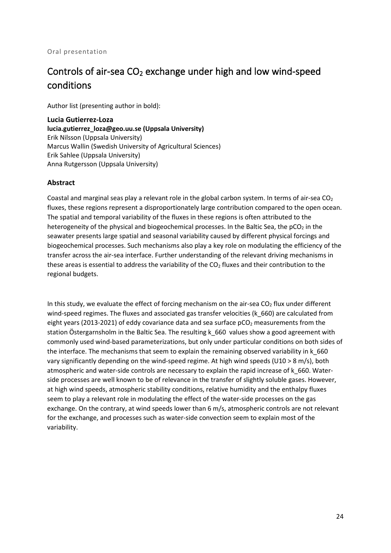#### Oral presentation

## <span id="page-30-0"></span>Controls of air-sea  $CO<sub>2</sub>$  exchange under high and low wind-speed conditions

Author list (presenting author in bold):

<span id="page-30-1"></span>**Lucia Gutierrez-Loza lucia.gutierrez\_loza@geo.uu.se (Uppsala University)** Erik Nilsson (Uppsala University) Marcus Wallin (Swedish University of Agricultural Sciences) Erik Sahlee (Uppsala University) Anna Rutgersson (Uppsala University)

#### **Abstract**

Coastal and marginal seas play a relevant role in the global carbon system. In terms of air-sea  $CO<sub>2</sub>$ fluxes, these regions represent a disproportionately large contribution compared to the open ocean. The spatial and temporal variability of the fluxes in these regions is often attributed to the heterogeneity of the physical and biogeochemical processes. In the Baltic Sea, the  $pCO<sub>2</sub>$  in the seawater presents large spatial and seasonal variability caused by different physical forcings and biogeochemical processes. Such mechanisms also play a key role on modulating the efficiency of the transfer across the air-sea interface. Further understanding of the relevant driving mechanisms in these areas is essential to address the variability of the  $CO<sub>2</sub>$  fluxes and their contribution to the regional budgets.

In this study, we evaluate the effect of forcing mechanism on the air-sea  $CO<sub>2</sub>$  flux under different wind-speed regimes. The fluxes and associated gas transfer velocities (k 660) are calculated from eight years (2013-2021) of eddy covariance data and sea surface  $pCO<sub>2</sub>$  measurements from the station Östergarnsholm in the Baltic Sea. The resulting k\_660 values show a good agreement with commonly used wind-based parameterizations, but only under particular conditions on both sides of the interface. The mechanisms that seem to explain the remaining observed variability in k 660 vary significantly depending on the wind-speed regime. At high wind speeds (U10 > 8 m/s), both atmospheric and water-side controls are necessary to explain the rapid increase of k\_660. Waterside processes are well known to be of relevance in the transfer of slightly soluble gases. However, at high wind speeds, atmospheric stability conditions, relative humidity and the enthalpy fluxes seem to play a relevant role in modulating the effect of the water-side processes on the gas exchange. On the contrary, at wind speeds lower than 6 m/s, atmospheric controls are not relevant for the exchange, and processes such as water-side convection seem to explain most of the variability.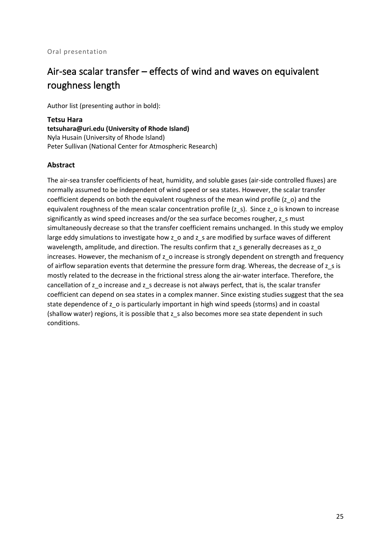#### Oral presentation

### <span id="page-31-0"></span>Air-sea scalar transfer – effects of wind and waves on equivalent roughness length

Author list (presenting author in bold):

<span id="page-31-1"></span>**Tetsu Hara tetsuhara@uri.edu (University of Rhode Island)** Nyla Husain (University of Rhode Island) Peter Sullivan (National Center for Atmospheric Research)

#### **Abstract**

The air-sea transfer coefficients of heat, humidity, and soluble gases (air-side controlled fluxes) are normally assumed to be independent of wind speed or sea states. However, the scalar transfer coefficient depends on both the equivalent roughness of the mean wind profile (z\_o) and the equivalent roughness of the mean scalar concentration profile (z s). Since z o is known to increase significantly as wind speed increases and/or the sea surface becomes rougher, z\_s must simultaneously decrease so that the transfer coefficient remains unchanged. In this study we employ large eddy simulations to investigate how z\_o and z\_s are modified by surface waves of different wavelength, amplitude, and direction. The results confirm that z\_s generally decreases as z\_o increases. However, the mechanism of z\_o increase is strongly dependent on strength and frequency of airflow separation events that determine the pressure form drag. Whereas, the decrease of z\_s is mostly related to the decrease in the frictional stress along the air-water interface. Therefore, the cancellation of z\_o increase and z\_s decrease is not always perfect, that is, the scalar transfer coefficient can depend on sea states in a complex manner. Since existing studies suggest that the sea state dependence of z\_o is particularly important in high wind speeds (storms) and in coastal (shallow water) regions, it is possible that z\_s also becomes more sea state dependent in such conditions.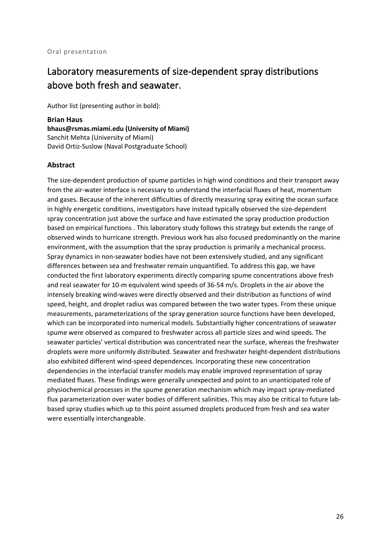### <span id="page-32-0"></span>Laboratory measurements of size-dependent spray distributions above both fresh and seawater.

Author list (presenting author in bold):

<span id="page-32-1"></span>**Brian Haus bhaus@rsmas.miami.edu (University of Miami)** Sanchit Mehta (University of Miami) David Ortiz-Suslow (Naval Postgraduate School)

#### **Abstract**

The size-dependent production of spume particles in high wind conditions and their transport away from the air-water interface is necessary to understand the interfacial fluxes of heat, momentum and gases. Because of the inherent difficulties of directly measuring spray exiting the ocean surface in highly energetic conditions, investigators have instead typically observed the size-dependent spray concentration just above the surface and have estimated the spray production production based on empirical functions . This laboratory study follows this strategy but extends the range of observed winds to hurricane strength. Previous work has also focused predominantly on the marine environment, with the assumption that the spray production is primarily a mechanical process. Spray dynamics in non-seawater bodies have not been extensively studied, and any significant differences between sea and freshwater remain unquantified. To address this gap, we have conducted the first laboratory experiments directly comparing spume concentrations above fresh and real seawater for 10-m equivalent wind speeds of 36-54 m/s. Droplets in the air above the intensely breaking wind-waves were directly observed and their distribution as functions of wind speed, height, and droplet radius was compared between the two water types. From these unique measurements, parameterizations of the spray generation source functions have been developed, which can be incorporated into numerical models. Substantially higher concentrations of seawater spume were observed as compared to freshwater across all particle sizes and wind speeds. The seawater particles' vertical distribution was concentrated near the surface, whereas the freshwater droplets were more uniformly distributed. Seawater and freshwater height-dependent distributions also exhibited different wind-speed dependences. Incorporating these new concentration dependencies in the interfacial transfer models may enable improved representation of spray mediated fluxes. These findings were generally unexpected and point to an unanticipated role of physiochemical processes in the spume generation mechanism which may impact spray-mediated flux parameterization over water bodies of different salinities. This may also be critical to future labbased spray studies which up to this point assumed droplets produced from fresh and sea water were essentially interchangeable.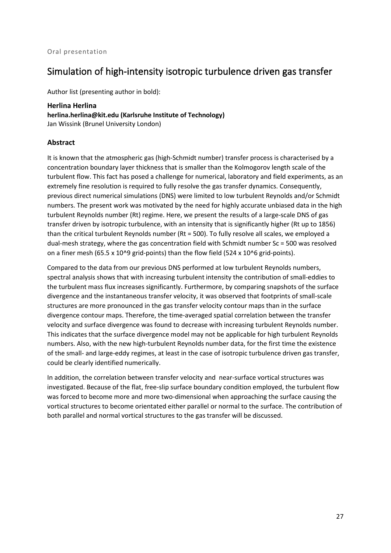### <span id="page-33-0"></span>Simulation of high-intensity isotropic turbulence driven gas transfer

Author list (presenting author in bold):

<span id="page-33-1"></span>**Herlina Herlina herlina.herlina@kit.edu (Karlsruhe Institute of Technology)** Jan Wissink (Brunel University London)

#### **Abstract**

It is known that the atmospheric gas (high-Schmidt number) transfer process is characterised by a concentration boundary layer thickness that is smaller than the Kolmogorov length scale of the turbulent flow. This fact has posed a challenge for numerical, laboratory and field experiments, as an extremely fine resolution is required to fully resolve the gas transfer dynamics. Consequently, previous direct numerical simulations (DNS) were limited to low turbulent Reynolds and/or Schmidt numbers. The present work was motivated by the need for highly accurate unbiased data in the high turbulent Reynolds number (Rt) regime. Here, we present the results of a large-scale DNS of gas transfer driven by isotropic turbulence, with an intensity that is significantly higher (Rt up to 1856) than the critical turbulent Reynolds number (Rt = 500). To fully resolve all scales, we employed a dual-mesh strategy, where the gas concentration field with Schmidt number Sc = 500 was resolved on a finer mesh (65.5 x 10^9 grid-points) than the flow field (524 x 10^6 grid-points).

Compared to the data from our previous DNS performed at low turbulent Reynolds numbers, spectral analysis shows that with increasing turbulent intensity the contribution of small-eddies to the turbulent mass flux increases significantly. Furthermore, by comparing snapshots of the surface divergence and the instantaneous transfer velocity, it was observed that footprints of small-scale structures are more pronounced in the gas transfer velocity contour maps than in the surface divergence contour maps. Therefore, the time-averaged spatial correlation between the transfer velocity and surface divergence was found to decrease with increasing turbulent Reynolds number. This indicates that the surface divergence model may not be applicable for high turbulent Reynolds numbers. Also, with the new high-turbulent Reynolds number data, for the first time the existence of the small- and large-eddy regimes, at least in the case of isotropic turbulence driven gas transfer, could be clearly identified numerically.

In addition, the correlation between transfer velocity and near-surface vortical structures was investigated. Because of the flat, free-slip surface boundary condition employed, the turbulent flow was forced to become more and more two-dimensional when approaching the surface causing the vortical structures to become orientated either parallel or normal to the surface. The contribution of both parallel and normal vortical structures to the gas transfer will be discussed.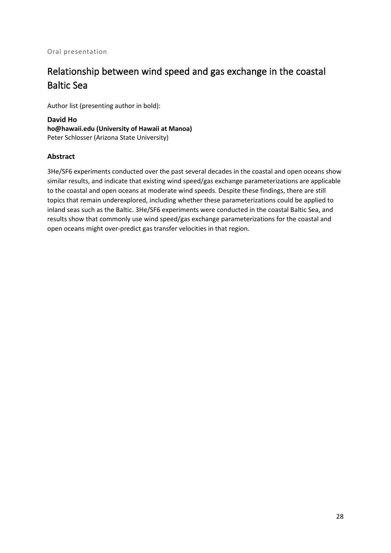#### Oral presentation

# <span id="page-34-0"></span>Relationship between wind speed and gas exchange in the coastal Baltic Sea

Author list (presenting author in bold):

<span id="page-34-1"></span>**David Ho ho@hawaii.edu (University of Hawaii at Manoa)** Peter Schlosser (Arizona State University)

#### **Abstract**

3He/SF6 experiments conducted over the past several decades in the coastal and open oceans show similar results, and indicate that existing wind speed/gas exchange parameterizations are applicable to the coastal and open oceans at moderate wind speeds. Despite these findings, there are still topics that remain underexplored, including whether these parameterizations could be applied to inland seas such as the Baltic. 3He/SF6 experiments were conducted in the coastal Baltic Sea, and results show that commonly use wind speed/gas exchange parameterizations for the coastal and open oceans might over-predict gas transfer velocities in that region.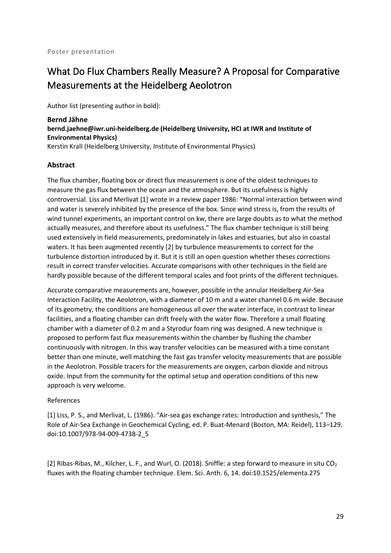# <span id="page-35-0"></span>What Do Flux Chambers Really Measure? A Proposal for Comparative Measurements at the Heidelberg Aeolotron

Author list (presenting author in bold):

<span id="page-35-1"></span>**Bernd Jähne bernd.jaehne@iwr.uni-heidelberg.de (Heidelberg University, HCI at IWR and Institute of Environmental Physics)** Kerstin Krall (Heidelberg University, Institute of Environmental Physics)

#### **Abstract**

The flux chamber, floating box or direct flux measurement is one of the oldest techniques to measure the gas flux between the ocean and the atmosphere. But its usefulness is highly controversial. Liss and Merlivat [1] wrote in a review paper 1986: "Normal interaction between wind and water is severely inhibited by the presence of the box. Since wind stress is, from the results of wind tunnel experiments, an important control on kw, there are large doubts as to what the method actually measures, and therefore about its usefulness." The flux chamber technique is still being used extensively in field measurements, predominately in lakes and estuaries, but also in coastal waters. It has been augmented recently [2] by turbulence measurements to correct for the turbulence distortion introduced by it. But it is still an open question whether theses corrections result in correct transfer velocities. Accurate comparisons with other techniques in the field are hardly possible because of the different temporal scales and foot prints of the different techniques.

Accurate comparative measurements are, however, possible in the annular Heidelberg Air-Sea Interaction Facility, the Aeolotron, with a diameter of 10 m and a water channel 0.6 m wide. Because of its geometry, the conditions are homogeneous all over the water interface, in contrast to linear facilities, and a floating chamber can drift freely with the water flow. Therefore a small floating chamber with a diameter of 0.2 m and a Styrodur foam ring was designed. A new technique is proposed to perform fast flux measurements within the chamber by flushing the chamber continuously with nitrogen. In this way transfer velocities can be measured with a time constant better than one minute, well matching the fast gas transfer velocity measurements that are possible in the Aeolotron. Possible tracers for the measurements are oxygen, carbon dioxide and nitrous oxide. Input from the community for the optimal setup and operation conditions of this new approach is very welcome.

#### References

[1] Liss, P. S., and Merlivat, L. (1986). "Air-sea gas exchange rates: Introduction and synthesis," The Role of Air-Sea Exchange in Geochemical Cycling, ed. P. Buat-Menard (Boston, MA: Reidel), 113–129. doi:10.1007/978-94-009-4738-2\_5

[2] Ribas-Ribas, M., Kilcher, L. F., and Wurl, O. (2018). Sniffle: a step forward to measure in situ  $CO<sub>2</sub>$ fluxes with the floating chamber technique. Elem. Sci. Anth. 6, 14. doi:10.1525/elementa.275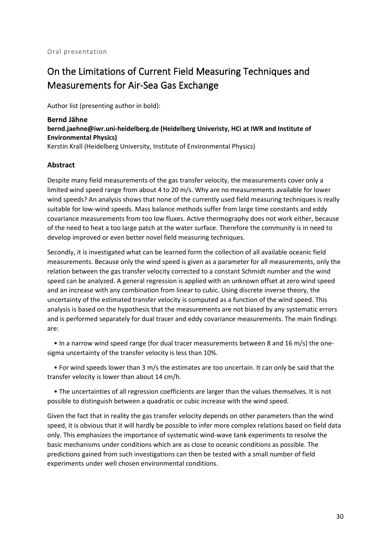# On the Limitations of Current Field Measuring Techniques and Measurements for Air-Sea Gas Exchange

Author list (presenting author in bold):

**Bernd Jähne bernd.jaehne@iwr.uni-heidelberg.de (Heidelberg Univeristy, HCi at IWR and Institute of Environmental Physics)** Kerstin Krall (Heidelberg University, Institute of Environmental Physics)

#### **Abstract**

Despite many field measurements of the gas transfer velocity, the measurements cover only a limited wind speed range from about 4 to 20 m/s. Why are no measurements available for lower wind speeds? An analysis shows that none of the currently used field measuring techniques is really suitable for low-wind speeds. Mass balance methods suffer from large time constants and eddy covariance measurements from too low fluxes. Active thermography does not work either, because of the need to heat a too large patch at the water surface. Therefore the community is in need to develop improved or even better novel field measuring techniques.

Secondly, it is investigated what can be learned form the collection of all available oceanic field measurements. Because only the wind speed is given as a parameter for all measurements, only the relation between the gas transfer velocity corrected to a constant Schmidt number and the wind speed can be analyzed. A general regression is applied with an unknown offset at zero wind speed and an increase with any combination from linear to cubic. Using discrete inverse theory, the uncertainty of the estimated transfer velocity is computed as a function of the wind speed. This analysis is based on the hypothesis that the measurements are not biased by any systematic errors and is performed separately for dual tracer and eddy covariance measurements. The main findings are:

 • In a narrow wind speed range (for dual tracer measurements between 8 and 16 m/s) the onesigma uncertainty of the transfer velocity is less than 10%.

 • For wind speeds lower than 3 m/s the estimates are too uncertain. It can only be said that the transfer velocity is lower than about 14 cm/h.

 • The uncertainties of all regression coefficients are larger than the values themselves. It is not possible to distinguish between a quadratic or cubic increase with the wind speed.

Given the fact that in reality the gas transfer velocity depends on other parameters than the wind speed, it is obvious that it will hardly be possible to infer more complex relations based on field data only. This emphasizes the importance of systematic wind-wave tank experiments to resolve the basic mechanisms under conditions which are as close to oceanic conditions as possible. The predictions gained from such investigations can then be tested with a small number of field experiments under well chosen environmental conditions.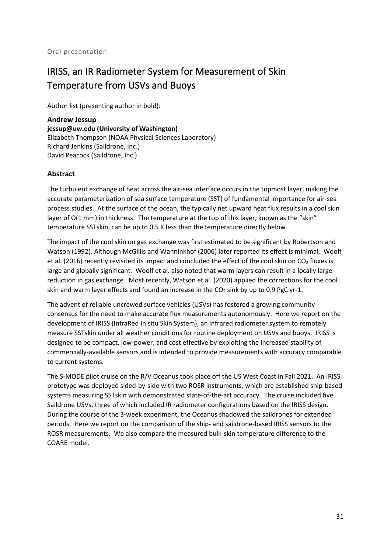# IRISS, an IR Radiometer System for Measurement of Skin Temperature from USVs and Buoys

Author list (presenting author in bold):

**Andrew Jessup jessup@uw.edu (University of Washington)** Elizabeth Thompson (NOAA Physical Sciences Laboratory) Richard Jenkins (Saildrone, Inc.) David Peacock (Saildrone, Inc.)

#### **Abstract**

The turbulent exchange of heat across the air-sea interface occurs in the topmost layer, making the accurate parameterization of sea surface temperature (SST) of fundamental importance for air-sea process studies. At the surface of the ocean, the typically net upward heat flux results in a cool skin layer of  $O(1 \text{ mm})$  in thickness. The temperature at the top of this layer, known as the "skin" temperature SSTskin, can be up to 0.5 K less than the temperature directly below.

The impact of the cool skin on gas exchange was first estimated to be significant by Robertson and Watson (1992). Although McGillis and Wanninkhof (2006) later reported its effect is minimal, Woolf et al. (2016) recently revisited its impact and concluded the effect of the cool skin on  $CO<sub>2</sub>$  fluxes is large and globally significant. Woolf et al. also noted that warm layers can result in a locally large reduction in gas exchange. Most recently, Watson et al. (2020) applied the corrections for the cool skin and warm layer effects and found an increase in the  $CO<sub>2</sub>$  sink by up to 0.9 PgC yr-1.

The advent of reliable uncrewed surface vehicles (USVs) has fostered a growing community consensus for the need to make accurate flux measurements autonomously. Here we report on the development of IRISS (InfraRed In situ Skin System), an infrared radiometer system to remotely measure SSTskin under all weather conditions for routine deployment on USVs and buoys. IRISS is designed to be compact, low-power, and cost effective by exploiting the increased stability of commercially-available sensors and is intended to provide measurements with accuracy comparable to current systems.

The S-MODE pilot cruise on the R/V Oceanus took place off the US West Coast in Fall 2021. An IRISS prototype was deployed sided-by-side with two ROSR instruments, which are established ship-based systems measuring SSTskin with demonstrated state-of-the-art accuracy. The cruise included five Saildrone USVs, three of which included IR radiometer configurations based on the IRISS design. During the course of the 3-week experiment, the Oceanus shadowed the saildrones for extended periods. Here we report on the comparison of the ship- and saildrone-based IRISS sensors to the ROSR measurements. We also compare the measured bulk-skin temperature difference to the COARE model.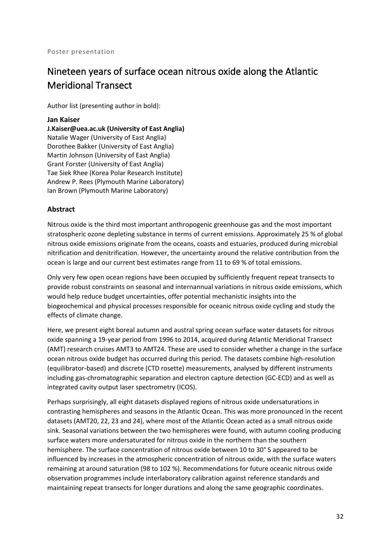# Nineteen years of surface ocean nitrous oxide along the Atlantic Meridional Transect

Author list (presenting author in bold):

#### **Jan Kaiser**

**J.Kaiser@uea.ac.uk (University of East Anglia)** Natalie Wager (University of East Anglia) Dorothee Bakker (University of East Anglia) Martin Johnson (University of East Anglia) Grant Forster (University of East Anglia) Tae Siek Rhee (Korea Polar Research Institute) Andrew P. Rees (Plymouth Marine Laboratory) Ian Brown (Plymouth Marine Laboratory)

#### **Abstract**

Nitrous oxide is the third most important anthropogenic greenhouse gas and the most important stratospheric ozone depleting substance in terms of current emissions. Approximately 25 % of global nitrous oxide emissions originate from the oceans, coasts and estuaries, produced during microbial nitrification and denitrification. However, the uncertainty around the relative contribution from the ocean is large and our current best estimates range from 11 to 69 % of total emissions.

Only very few open ocean regions have been occupied by sufficiently frequent repeat transects to provide robust constraints on seasonal and internannual variations in nitrous oxide emissions, which would help reduce budget uncertainties, offer potential mechanistic insights into the biogeochemical and physical processes responsible for oceanic nitrous oxide cycling and study the effects of climate change.

Here, we present eight boreal autumn and austral spring ocean surface water datasets for nitrous oxide spanning a 19-year period from 1996 to 2014, acquired during Atlantic Meridional Transect (AMT) research cruises AMT3 to AMT24. These are used to consider whether a change in the surface ocean nitrous oxide budget has occurred during this period. The datasets combine high-resolution (equilibrator-based) and discrete (CTD rosette) measurements, analysed by different instruments including gas-chromatographic separation and electron capture detection (GC-ECD) and as well as integrated cavity output laser spectrometry (ICOS).

Perhaps surprisingly, all eight datasets displayed regions of nitrous oxide undersaturations in contrasting hemispheres and seasons in the Atlantic Ocean. This was more pronounced in the recent datasets (AMT20, 22, 23 and 24), where most of the Atlantic Ocean acted as a small nitrous oxide sink. Seasonal variations between the two hemispheres were found, with autumn cooling producing surface waters more undersaturated for nitrous oxide in the northern than the southern hemisphere. The surface concentration of nitrous oxide between 10 to 30° S appeared to be influenced by increases in the atmospheric concentration of nitrous oxide, with the surface waters remaining at around saturation (98 to 102 %). Recommendations for future oceanic nitrous oxide observation programmes include interlaboratory calibration against reference standards and maintaining repeat transects for longer durations and along the same geographic coordinates.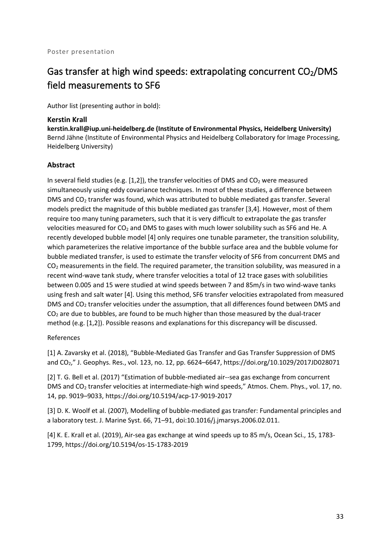# Gas transfer at high wind speeds: extrapolating concurrent  $CO<sub>2</sub>/DMS$ field measurements to SF6

Author list (presenting author in bold):

#### **Kerstin Krall**

**kerstin.krall@iup.uni-heidelberg.de (Institute of Environmental Physics, Heidelberg University)** Bernd Jähne (Institute of Environmental Physics and Heidelberg Collaboratory for Image Processing, Heidelberg University)

#### **Abstract**

In several field studies (e.g.  $[1,2]$ ), the transfer velocities of DMS and CO<sub>2</sub> were measured simultaneously using eddy covariance techniques. In most of these studies, a difference between DMS and CO<sub>2</sub> transfer was found, which was attributed to bubble mediated gas transfer. Several models predict the magnitude of this bubble mediated gas transfer [3,4]. However, most of them require too many tuning parameters, such that it is very difficult to extrapolate the gas transfer velocities measured for  $CO<sub>2</sub>$  and DMS to gases with much lower solubility such as SF6 and He. A recently developed bubble model [4] only requires one tunable parameter, the transition solubility, which parameterizes the relative importance of the bubble surface area and the bubble volume for bubble mediated transfer, is used to estimate the transfer velocity of SF6 from concurrent DMS and CO2 measurements in the field. The required parameter, the transition solubility, was measured in a recent wind-wave tank study, where transfer velocities a total of 12 trace gases with solubilities between 0.005 and 15 were studied at wind speeds between 7 and 85m/s in two wind-wave tanks using fresh and salt water [4]. Using this method, SF6 transfer velocities extrapolated from measured DMS and CO<sub>2</sub> transfer velocities under the assumption, that all differences found between DMS and  $CO<sub>2</sub>$  are due to bubbles, are found to be much higher than those measured by the dual-tracer method (e.g. [1,2]). Possible reasons and explanations for this discrepancy will be discussed.

#### References

[1] A. Zavarsky et al. (2018), "Bubble-Mediated Gas Transfer and Gas Transfer Suppression of DMS and CO2," J. Geophys. Res., vol. 123, no. 12, pp. 6624–6647, https://doi.org/10.1029/2017JD028071

[2] T. G. Bell et al. (2017) "Estimation of bubble-mediated air--sea gas exchange from concurrent DMS and CO2 transfer velocities at intermediate-high wind speeds," Atmos. Chem. Phys., vol. 17, no. 14, pp. 9019–9033, https://doi.org/10.5194/acp-17-9019-2017

[3] D. K. Woolf et al. (2007), Modelling of bubble-mediated gas transfer: Fundamental principles and a laboratory test. J. Marine Syst. 66, 71–91, doi:10.1016/j.jmarsys.2006.02.011.

[4] K. E. Krall et al. (2019), Air-sea gas exchange at wind speeds up to 85 m/s, Ocean Sci., 15, 1783- 1799, https://doi.org/10.5194/os-15-1783-2019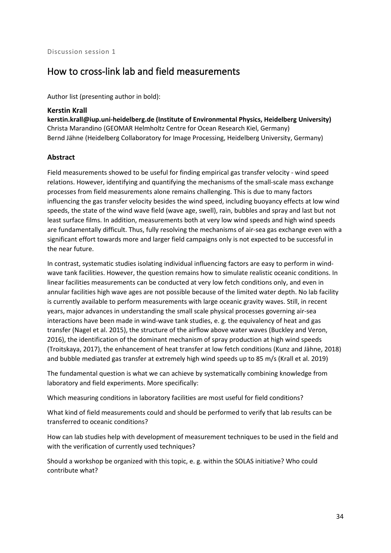### How to cross-link lab and field measurements

Author list (presenting author in bold):

#### **Kerstin Krall**

**kerstin.krall@iup.uni-heidelberg.de (Institute of Environmental Physics, Heidelberg University)** Christa Marandino (GEOMAR Helmholtz Centre for Ocean Research Kiel, Germany) Bernd Jähne (Heidelberg Collaboratory for Image Processing, Heidelberg University, Germany)

#### **Abstract**

Field measurements showed to be useful for finding empirical gas transfer velocity - wind speed relations. However, identifying and quantifying the mechanisms of the small-scale mass exchange processes from field measurements alone remains challenging. This is due to many factors influencing the gas transfer velocity besides the wind speed, including buoyancy effects at low wind speeds, the state of the wind wave field (wave age, swell), rain, bubbles and spray and last but not least surface films. In addition, measurements both at very low wind speeds and high wind speeds are fundamentally difficult. Thus, fully resolving the mechanisms of air-sea gas exchange even with a significant effort towards more and larger field campaigns only is not expected to be successful in the near future.

In contrast, systematic studies isolating individual influencing factors are easy to perform in windwave tank facilities. However, the question remains how to simulate realistic oceanic conditions. In linear facilities measurements can be conducted at very low fetch conditions only, and even in annular facilities high wave ages are not possible because of the limited water depth. No lab facility is currently available to perform measurements with large oceanic gravity waves. Still, in recent years, major advances in understanding the small scale physical processes governing air-sea interactions have been made in wind-wave tank studies, e. g. the equivalency of heat and gas transfer (Nagel et al. 2015), the structure of the airflow above water waves (Buckley and Veron, 2016), the identification of the dominant mechanism of spray production at high wind speeds (Troitskaya, 2017), the enhancement of heat transfer at low fetch conditions (Kunz and Jähne, 2018) and bubble mediated gas transfer at extremely high wind speeds up to 85 m/s (Krall et al. 2019)

The fundamental question is what we can achieve by systematically combining knowledge from laboratory and field experiments. More specifically:

Which measuring conditions in laboratory facilities are most useful for field conditions?

What kind of field measurements could and should be performed to verify that lab results can be transferred to oceanic conditions?

How can lab studies help with development of measurement techniques to be used in the field and with the verification of currently used techniques?

Should a workshop be organized with this topic, e. g. within the SOLAS initiative? Who could contribute what?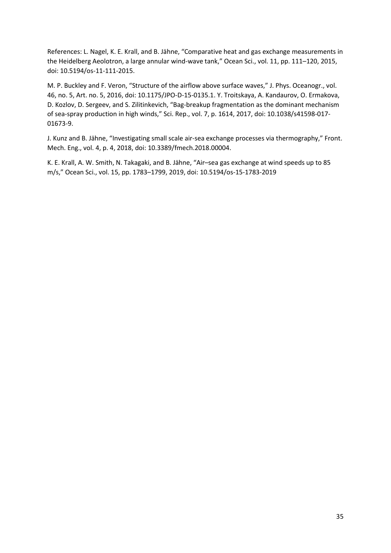References: L. Nagel, K. E. Krall, and B. Jähne, "Comparative heat and gas exchange measurements in the Heidelberg Aeolotron, a large annular wind-wave tank," Ocean Sci., vol. 11, pp. 111–120, 2015, doi: 10.5194/os-11-111-2015.

M. P. Buckley and F. Veron, "Structure of the airflow above surface waves," J. Phys. Oceanogr., vol. 46, no. 5, Art. no. 5, 2016, doi: 10.1175/JPO-D-15-0135.1. Y. Troitskaya, A. Kandaurov, O. Ermakova, D. Kozlov, D. Sergeev, and S. Zilitinkevich, "Bag-breakup fragmentation as the dominant mechanism of sea-spray production in high winds," Sci. Rep., vol. 7, p. 1614, 2017, doi: 10.1038/s41598-017- 01673-9.

J. Kunz and B. Jähne, "Investigating small scale air-sea exchange processes via thermography," Front. Mech. Eng., vol. 4, p. 4, 2018, doi: 10.3389/fmech.2018.00004.

K. E. Krall, A. W. Smith, N. Takagaki, and B. Jähne, "Air–sea gas exchange at wind speeds up to 85 m/s," Ocean Sci., vol. 15, pp. 1783–1799, 2019, doi: 10.5194/os-15-1783-2019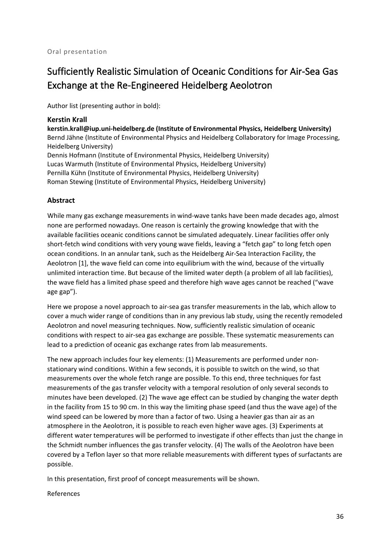# Sufficiently Realistic Simulation of Oceanic Conditions for Air-Sea Gas Exchange at the Re-Engineered Heidelberg Aeolotron

Author list (presenting author in bold):

#### **Kerstin Krall**

**kerstin.krall@iup.uni-heidelberg.de (Institute of Environmental Physics, Heidelberg University)** Bernd Jähne (Institute of Environmental Physics and Heidelberg Collaboratory for Image Processing, Heidelberg University) Dennis Hofmann (Institute of Environmental Physics, Heidelberg University) Lucas Warmuth (Institute of Environmental Physics, Heidelberg University) Pernilla Kühn (Institute of Environmental Physics, Heidelberg University)

Roman Stewing (Institute of Environmental Physics, Heidelberg University)

#### **Abstract**

While many gas exchange measurements in wind-wave tanks have been made decades ago, almost none are performed nowadays. One reason is certainly the growing knowledge that with the available facilities oceanic conditions cannot be simulated adequately. Linear facilities offer only short-fetch wind conditions with very young wave fields, leaving a "fetch gap" to long fetch open ocean conditions. In an annular tank, such as the Heidelberg Air-Sea Interaction Facility, the Aeolotron [1], the wave field can come into equilibrium with the wind, because of the virtually unlimited interaction time. But because of the limited water depth (a problem of all lab facilities), the wave field has a limited phase speed and therefore high wave ages cannot be reached ("wave age gap").

Here we propose a novel approach to air-sea gas transfer measurements in the lab, which allow to cover a much wider range of conditions than in any previous lab study, using the recently remodeled Aeolotron and novel measuring techniques. Now, sufficiently realistic simulation of oceanic conditions with respect to air-sea gas exchange are possible. These systematic measurements can lead to a prediction of oceanic gas exchange rates from lab measurements.

The new approach includes four key elements: (1) Measurements are performed under nonstationary wind conditions. Within a few seconds, it is possible to switch on the wind, so that measurements over the whole fetch range are possible. To this end, three techniques for fast measurements of the gas transfer velocity with a temporal resolution of only several seconds to minutes have been developed. (2) The wave age effect can be studied by changing the water depth in the facility from 15 to 90 cm. In this way the limiting phase speed (and thus the wave age) of the wind speed can be lowered by more than a factor of two. Using a heavier gas than air as an atmosphere in the Aeolotron, it is possible to reach even higher wave ages. (3) Experiments at different water temperatures will be performed to investigate if other effects than just the change in the Schmidt number influences the gas transfer velocity. (4) The walls of the Aeolotron have been covered by a Teflon layer so that more reliable measurements with different types of surfactants are possible.

In this presentation, first proof of concept measurements will be shown.

References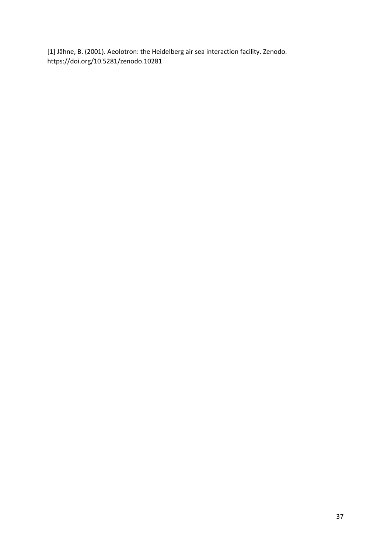[1] Jähne, B. (2001). Aeolotron: the Heidelberg air sea interaction facility. Zenodo. https://doi.org/10.5281/zenodo.10281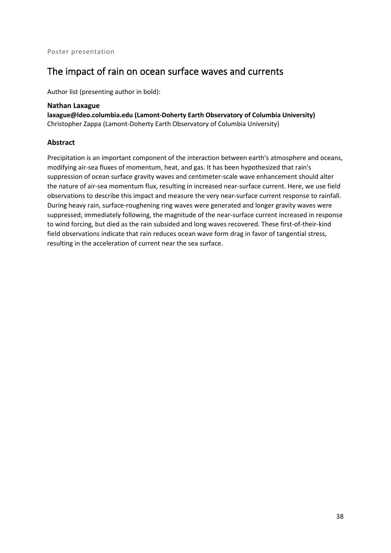### The impact of rain on ocean surface waves and currents

Author list (presenting author in bold):

**Nathan Laxague laxague@ldeo.columbia.edu (Lamont-Doherty Earth Observatory of Columbia University)** Christopher Zappa (Lamont-Doherty Earth Observatory of Columbia University)

#### **Abstract**

Precipitation is an important component of the interaction between earth's atmosphere and oceans, modifying air-sea fluxes of momentum, heat, and gas. It has been hypothesized that rain's suppression of ocean surface gravity waves and centimeter-scale wave enhancement should alter the nature of air-sea momentum flux, resulting in increased near-surface current. Here, we use field observations to describe this impact and measure the very near-surface current response to rainfall. During heavy rain, surface-roughening ring waves were generated and longer gravity waves were suppressed; immediately following, the magnitude of the near-surface current increased in response to wind forcing, but died as the rain subsided and long waves recovered. These first-of-their-kind field observations indicate that rain reduces ocean wave form drag in favor of tangential stress, resulting in the acceleration of current near the sea surface.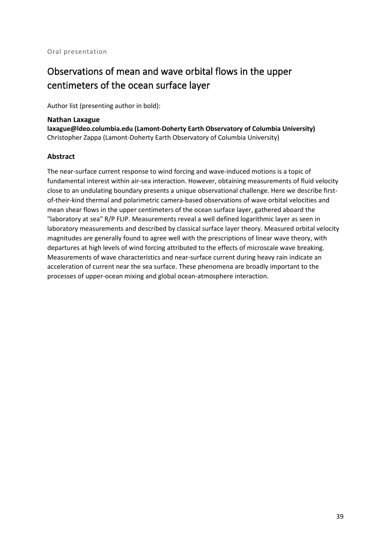# Observations of mean and wave orbital flows in the upper centimeters of the ocean surface layer

Author list (presenting author in bold):

#### **Nathan Laxague**

**laxague@ldeo.columbia.edu (Lamont-Doherty Earth Observatory of Columbia University)** Christopher Zappa (Lamont-Doherty Earth Observatory of Columbia University)

#### **Abstract**

The near-surface current response to wind forcing and wave-induced motions is a topic of fundamental interest within air-sea interaction. However, obtaining measurements of fluid velocity close to an undulating boundary presents a unique observational challenge. Here we describe firstof-their-kind thermal and polarimetric camera-based observations of wave orbital velocities and mean shear flows in the upper centimeters of the ocean surface layer, gathered aboard the "laboratory at sea" R/P FLIP. Measurements reveal a well defined logarithmic layer as seen in laboratory measurements and described by classical surface layer theory. Measured orbital velocity magnitudes are generally found to agree well with the prescriptions of linear wave theory, with departures at high levels of wind forcing attributed to the effects of microscale wave breaking. Measurements of wave characteristics and near-surface current during heavy rain indicate an acceleration of current near the sea surface. These phenomena are broadly important to the processes of upper-ocean mixing and global ocean-atmosphere interaction.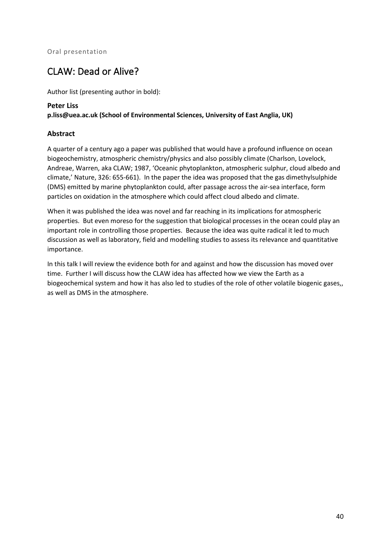### CLAW: Dead or Alive?

Author list (presenting author in bold):

#### **Peter Liss**

**p.liss@uea.ac.uk (School of Environmental Sciences, University of East Anglia, UK)**

#### **Abstract**

A quarter of a century ago a paper was published that would have a profound influence on ocean biogeochemistry, atmospheric chemistry/physics and also possibly climate (Charlson, Lovelock, Andreae, Warren, aka CLAW; 1987, 'Oceanic phytoplankton, atmospheric sulphur, cloud albedo and climate,' Nature, 326: 655-661). In the paper the idea was proposed that the gas dimethylsulphide (DMS) emitted by marine phytoplankton could, after passage across the air-sea interface, form particles on oxidation in the atmosphere which could affect cloud albedo and climate.

When it was published the idea was novel and far reaching in its implications for atmospheric properties. But even moreso for the suggestion that biological processes in the ocean could play an important role in controlling those properties. Because the idea was quite radical it led to much discussion as well as laboratory, field and modelling studies to assess its relevance and quantitative importance.

In this talk I will review the evidence both for and against and how the discussion has moved over time. Further I will discuss how the CLAW idea has affected how we view the Earth as a biogeochemical system and how it has also led to studies of the role of other volatile biogenic gases,, as well as DMS in the atmosphere.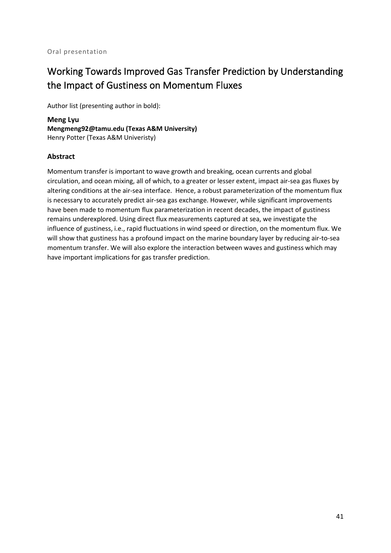# Working Towards Improved Gas Transfer Prediction by Understanding the Impact of Gustiness on Momentum Fluxes

Author list (presenting author in bold):

**Meng Lyu Mengmeng92@tamu.edu (Texas A&M University)** Henry Potter (Texas A&M Univeristy)

#### **Abstract**

Momentum transfer is important to wave growth and breaking, ocean currents and global circulation, and ocean mixing, all of which, to a greater or lesser extent, impact air-sea gas fluxes by altering conditions at the air-sea interface. Hence, a robust parameterization of the momentum flux is necessary to accurately predict air-sea gas exchange. However, while significant improvements have been made to momentum flux parameterization in recent decades, the impact of gustiness remains underexplored. Using direct flux measurements captured at sea, we investigate the influence of gustiness, i.e., rapid fluctuations in wind speed or direction, on the momentum flux. We will show that gustiness has a profound impact on the marine boundary layer by reducing air-to-sea momentum transfer. We will also explore the interaction between waves and gustiness which may have important implications for gas transfer prediction.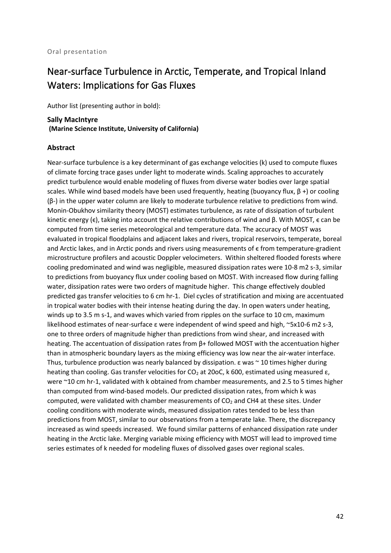## Near-surface Turbulence in Arctic, Temperate, and Tropical Inland Waters: Implications for Gas Fluxes

Author list (presenting author in bold):

#### **Sally MacIntyre (Marine Science Institute, University of California)**

#### **Abstract**

Near-surface turbulence is a key determinant of gas exchange velocities (k) used to compute fluxes of climate forcing trace gases under light to moderate winds. Scaling approaches to accurately predict turbulence would enable modeling of fluxes from diverse water bodies over large spatial scales. While wind based models have been used frequently, heating (buoyancy flux,  $\beta$  +) or cooling (β-) in the upper water column are likely to moderate turbulence relative to predictions from wind. Monin-Obukhov similarity theory (MOST) estimates turbulence, as rate of dissipation of turbulent kinetic energy ( $\epsilon$ ), taking into account the relative contributions of wind and β. With MOST,  $\epsilon$  can be computed from time series meteorological and temperature data. The accuracy of MOST was evaluated in tropical floodplains and adjacent lakes and rivers, tropical reservoirs, temperate, boreal and Arctic lakes, and in Arctic ponds and rivers using measurements of  $\epsilon$  from temperature-gradient microstructure profilers and acoustic Doppler velocimeters. Within sheltered flooded forests where cooling predominated and wind was negligible, measured dissipation rates were 10-8 m2 s-3, similar to predictions from buoyancy flux under cooling based on MOST. With increased flow during falling water, dissipation rates were two orders of magnitude higher. This change effectively doubled predicted gas transfer velocities to 6 cm hr-1. Diel cycles of stratification and mixing are accentuated in tropical water bodies with their intense heating during the day. In open waters under heating, winds up to 3.5 m s-1, and waves which varied from ripples on the surface to 10 cm, maximum likelihood estimates of near-surface ε were independent of wind speed and high, ~5x10-6 m2 s-3, one to three orders of magnitude higher than predictions from wind shear, and increased with heating. The accentuation of dissipation rates from β+ followed MOST with the accentuation higher than in atmospheric boundary layers as the mixing efficiency was low near the air-water interface. Thus, turbulence production was nearly balanced by dissipation.  $\varepsilon$  was  $\sim$  10 times higher during heating than cooling. Gas transfer velocities for  $CO<sub>2</sub>$  at 20oC, k 600, estimated using measured ε, were ~10 cm hr-1, validated with k obtained from chamber measurements, and 2.5 to 5 times higher than computed from wind-based models. Our predicted dissipation rates, from which k was computed, were validated with chamber measurements of  $CO<sub>2</sub>$  and CH4 at these sites. Under cooling conditions with moderate winds, measured dissipation rates tended to be less than predictions from MOST, similar to our observations from a temperate lake. There, the discrepancy increased as wind speeds increased. We found similar patterns of enhanced dissipation rate under heating in the Arctic lake. Merging variable mixing efficiency with MOST will lead to improved time series estimates of k needed for modeling fluxes of dissolved gases over regional scales.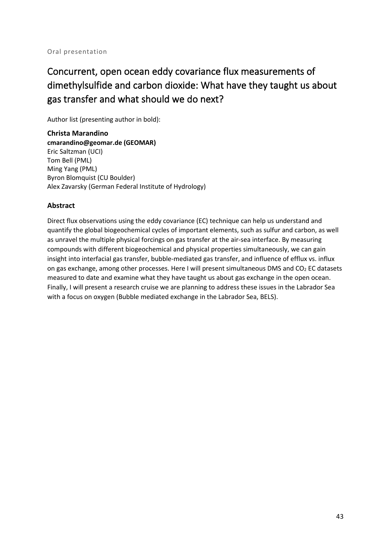# Concurrent, open ocean eddy covariance flux measurements of dimethylsulfide and carbon dioxide: What have they taught us about gas transfer and what should we do next?

Author list (presenting author in bold):

**Christa Marandino cmarandino@geomar.de (GEOMAR)** Eric Saltzman (UCI) Tom Bell (PML) Ming Yang (PML) Byron Blomquist (CU Boulder) Alex Zavarsky (German Federal Institute of Hydrology)

#### **Abstract**

Direct flux observations using the eddy covariance (EC) technique can help us understand and quantify the global biogeochemical cycles of important elements, such as sulfur and carbon, as well as unravel the multiple physical forcings on gas transfer at the air-sea interface. By measuring compounds with different biogeochemical and physical properties simultaneously, we can gain insight into interfacial gas transfer, bubble-mediated gas transfer, and influence of efflux vs. influx on gas exchange, among other processes. Here I will present simultaneous DMS and  $CO<sub>2</sub>$  EC datasets measured to date and examine what they have taught us about gas exchange in the open ocean. Finally, I will present a research cruise we are planning to address these issues in the Labrador Sea with a focus on oxygen (Bubble mediated exchange in the Labrador Sea, BELS).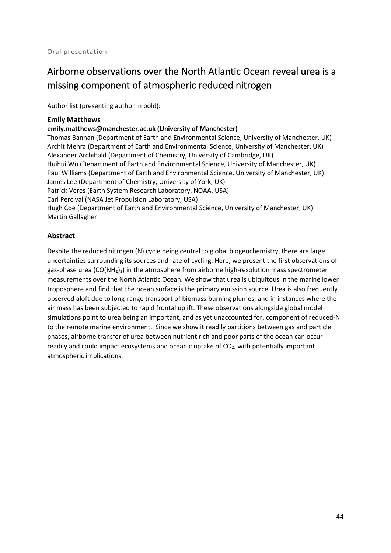# Airborne observations over the North Atlantic Ocean reveal urea is a missing component of atmospheric reduced nitrogen

Author list (presenting author in bold):

#### **Emily Matthews**

#### **emily.matthews@manchester.ac.uk (University of Manchester)**

Thomas Bannan (Department of Earth and Environmental Science, University of Manchester, UK) Archit Mehra (Department of Earth and Environmental Science, University of Manchester, UK) Alexander Archibald (Department of Chemistry, University of Cambridge, UK) Huihui Wu (Department of Earth and Environmental Science, University of Manchester, UK) Paul Williams (Department of Earth and Environmental Science, University of Manchester, UK) James Lee (Department of Chemistry, University of York, UK) Patrick Veres (Earth System Research Laboratory, NOAA, USA) Carl Percival (NASA Jet Propulsion Laboratory, USA) Hugh Coe (Department of Earth and Environmental Science, University of Manchester, UK) Martin Gallagher

#### **Abstract**

Despite the reduced nitrogen (N) cycle being central to global biogeochemistry, there are large uncertainties surrounding its sources and rate of cycling. Here, we present the first observations of gas-phase urea (CO(NH<sub>2</sub>)<sub>2</sub>) in the atmosphere from airborne high-resolution mass spectrometer measurements over the North Atlantic Ocean. We show that urea is ubiquitous in the marine lower troposphere and find that the ocean surface is the primary emission source. Urea is also frequently observed aloft due to long-range transport of biomass-burning plumes, and in instances where the air mass has been subjected to rapid frontal uplift. These observations alongside global model simulations point to urea being an important, and as yet unaccounted for, component of reduced-N to the remote marine environment. Since we show it readily partitions between gas and particle phases, airborne transfer of urea between nutrient rich and poor parts of the ocean can occur readily and could impact ecosystems and oceanic uptake of  $CO<sub>2</sub>$ , with potentially important atmospheric implications.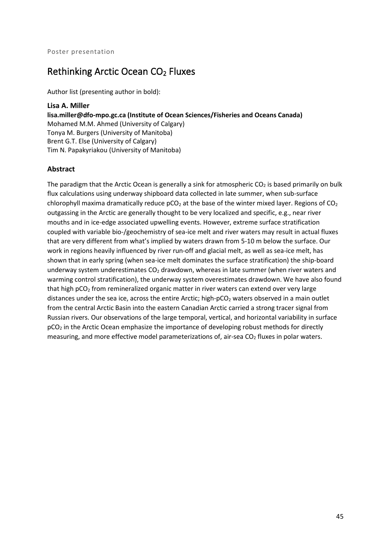## Rethinking Arctic Ocean CO<sub>2</sub> Fluxes

Author list (presenting author in bold):

**Lisa A. Miller lisa.miller@dfo-mpo.gc.ca (Institute of Ocean Sciences/Fisheries and Oceans Canada)** Mohamed M.M. Ahmed (University of Calgary) Tonya M. Burgers (University of Manitoba) Brent G.T. Else (University of Calgary) Tim N. Papakyriakou (University of Manitoba)

#### **Abstract**

The paradigm that the Arctic Ocean is generally a sink for atmospheric  $CO<sub>2</sub>$  is based primarily on bulk flux calculations using underway shipboard data collected in late summer, when sub-surface chlorophyll maxima dramatically reduce  $pCO<sub>2</sub>$  at the base of the winter mixed layer. Regions of  $CO<sub>2</sub>$ outgassing in the Arctic are generally thought to be very localized and specific, e.g., near river mouths and in ice-edge associated upwelling events. However, extreme surface stratification coupled with variable bio-/geochemistry of sea-ice melt and river waters may result in actual fluxes that are very different from what's implied by waters drawn from 5-10 m below the surface. Our work in regions heavily influenced by river run-off and glacial melt, as well as sea-ice melt, has shown that in early spring (when sea-ice melt dominates the surface stratification) the ship-board underway system underestimates  $CO<sub>2</sub>$  drawdown, whereas in late summer (when river waters and warming control stratification), the underway system overestimates drawdown. We have also found that high pCO<sub>2</sub> from remineralized organic matter in river waters can extend over very large distances under the sea ice, across the entire Arctic; high- $pCO<sub>2</sub>$  waters observed in a main outlet from the central Arctic Basin into the eastern Canadian Arctic carried a strong tracer signal from Russian rivers. Our observations of the large temporal, vertical, and horizontal variability in surface pCO2 in the Arctic Ocean emphasize the importance of developing robust methods for directly measuring, and more effective model parameterizations of, air-sea  $CO<sub>2</sub>$  fluxes in polar waters.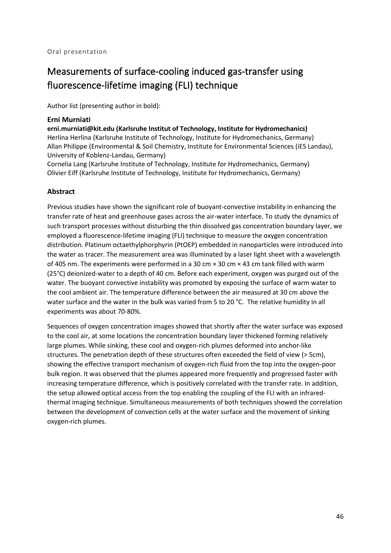# Measurements of surface-cooling induced gas-transfer using fluorescence-lifetime imaging (FLI) technique

Author list (presenting author in bold):

#### **Erni Murniati**

**erni.murniati@kit.edu (Karlsruhe Institut of Technology, Institute for Hydromechanics)** Herlina Herlina (Karlsruhe Institute of Technology, Institute for Hydromechanics, Germany) Allan Philippe (Environmental & Soil Chemistry, Institute for Environmental Sciences (iES Landau), University of Koblenz-Landau, Germany)

Cornelia Lang (Karlsruhe Institute of Technology, Institute for Hydromechanics, Germany) Olivier Eiff (Karlsruhe Institute of Technology, Institute for Hydromechanics, Germany)

#### **Abstract**

Previous studies have shown the significant role of buoyant-convective instability in enhancing the transfer rate of heat and greenhouse gases across the air-water interface. To study the dynamics of such transport processes without disturbing the thin dissolved gas concentration boundary layer, we employed a fluorescence-lifetime imaging (FLI) technique to measure the oxygen concentration distribution. Platinum octaethylphorphyrin (PtOEP) embedded in nanoparticles were introduced into the water as tracer. The measurement area was illuminated by a laser light sheet with a wavelength of 405 nm. The experiments were performed in a 30 cm × 30 cm × 43 cm tank filled with warm (25°C) deionized-water to a depth of 40 cm. Before each experiment, oxygen was purged out of the water. The buoyant convective instability was promoted by exposing the surface of warm water to the cool ambient air. The temperature difference between the air measured at 30 cm above the water surface and the water in the bulk was varied from 5 to 20 °C. The relative humidity in all experiments was about 70-80%.

Sequences of oxygen concentration images showed that shortly after the water surface was exposed to the cool air, at some locations the concentration boundary layer thickened forming relatively large plumes. While sinking, these cool and oxygen-rich plumes deformed into anchor-like structures. The penetration depth of these structures often exceeded the field of view (> 5cm), showing the effective transport mechanism of oxygen-rich fluid from the top into the oxygen-poor bulk region. It was observed that the plumes appeared more frequently and progressed faster with increasing temperature difference, which is positively correlated with the transfer rate. In addition, the setup allowed optical access from the top enabling the coupling of the FLI with an infraredthermal imaging technique. Simultaneous measurements of both techniques showed the correlation between the development of convection cells at the water surface and the movement of sinking oxygen-rich plumes.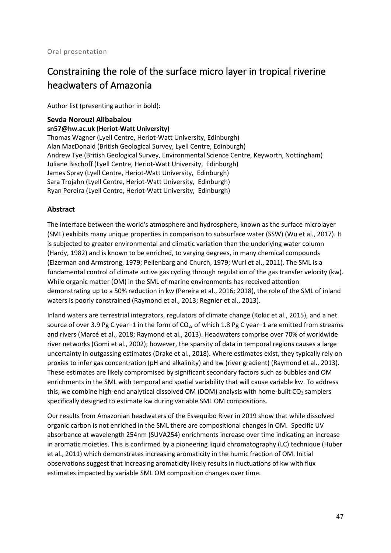# Constraining the role of the surface micro layer in tropical riverine headwaters of Amazonia

Author list (presenting author in bold):

### **Sevda Norouzi Alibabalou**

**sn57@hw.ac.uk (Heriot-Watt University)**

Thomas Wagner (Lyell Centre, Heriot-Watt University, Edinburgh) Alan MacDonald (British Geological Survey, Lyell Centre, Edinburgh) Andrew Tye (British Geological Survey, Environmental Science Centre, Keyworth, Nottingham) Juliane Bischoff (Lyell Centre, Heriot-Watt University, Edinburgh) James Spray (Lyell Centre, Heriot-Watt University, Edinburgh) Sara Trojahn (Lyell Centre, Heriot-Watt University, Edinburgh) Ryan Pereira (Lyell Centre, Heriot-Watt University, Edinburgh)

#### **Abstract**

The interface between the world's atmosphere and hydrosphere, known as the surface microlayer (SML) exhibits many unique properties in comparison to subsurface water (SSW) (Wu et al., 2017). It is subjected to greater environmental and climatic variation than the underlying water column (Hardy, 1982) and is known to be enriched, to varying degrees, in many chemical compounds (Elzerman and Armstrong, 1979; Pellenbarg and Church, 1979; Wurl et al., 2011). The SML is a fundamental control of climate active gas cycling through regulation of the gas transfer velocity (kw). While organic matter (OM) in the SML of marine environments has received attention demonstrating up to a 50% reduction in kw (Pereira et al., 2016; 2018), the role of the SML of inland waters is poorly constrained (Raymond et al., 2013; Regnier et al., 2013).

Inland waters are terrestrial integrators, regulators of climate change (Kokic et al., 2015), and a net source of over 3.9 Pg C year−1 in the form of CO<sub>2</sub>, of which 1.8 Pg C year-1 are emitted from streams and rivers (Marcé et al., 2018; Raymond et al., 2013). Headwaters comprise over 70% of worldwide river networks (Gomi et al., 2002); however, the sparsity of data in temporal regions causes a large uncertainty in outgassing estimates (Drake et al., 2018). Where estimates exist, they typically rely on proxies to infer gas concentration (pH and alkalinity) and kw (river gradient) (Raymond et al., 2013). These estimates are likely compromised by significant secondary factors such as bubbles and OM enrichments in the SML with temporal and spatial variability that will cause variable kw. To address this, we combine high-end analytical dissolved OM (DOM) analysis with home-built  $CO<sub>2</sub>$  samplers specifically designed to estimate kw during variable SML OM compositions.

Our results from Amazonian headwaters of the Essequibo River in 2019 show that while dissolved organic carbon is not enriched in the SML there are compositional changes in OM. Specific UV absorbance at wavelength 254nm (SUVA254) enrichments increase over time indicating an increase in aromatic moieties. This is confirmed by a pioneering liquid chromatography (LC) technique (Huber et al., 2011) which demonstrates increasing aromaticity in the humic fraction of OM. Initial observations suggest that increasing aromaticity likely results in fluctuations of kw with flux estimates impacted by variable SML OM composition changes over time.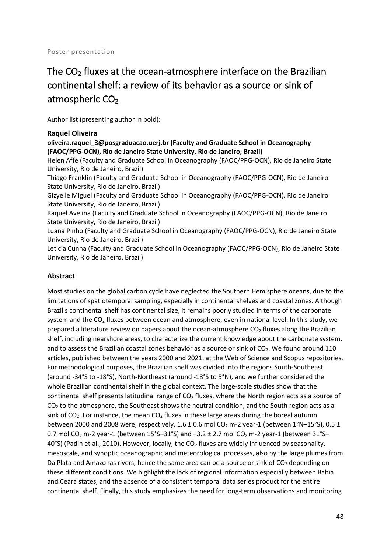# The  $CO<sub>2</sub>$  fluxes at the ocean-atmosphere interface on the Brazilian continental shelf: a review of its behavior as a source or sink of atmospheric  $CO<sub>2</sub>$

Author list (presenting author in bold):

#### **Raquel Oliveira**

**oliveira.raquel\_3@posgraduacao.uerj.br (Faculty and Graduate School in Oceanography (FAOC/PPG-OCN), Rio de Janeiro State University, Rio de Janeiro, Brazil)**

Helen Affe (Faculty and Graduate School in Oceanography (FAOC/PPG-OCN), Rio de Janeiro State University, Rio de Janeiro, Brazil)

Thiago Franklin (Faculty and Graduate School in Oceanography (FAOC/PPG-OCN), Rio de Janeiro State University, Rio de Janeiro, Brazil)

Gizyelle Miguel (Faculty and Graduate School in Oceanography (FAOC/PPG-OCN), Rio de Janeiro State University, Rio de Janeiro, Brazil)

Raquel Avelina (Faculty and Graduate School in Oceanography (FAOC/PPG-OCN), Rio de Janeiro State University, Rio de Janeiro, Brazil)

Luana Pinho (Faculty and Graduate School in Oceanography (FAOC/PPG-OCN), Rio de Janeiro State University, Rio de Janeiro, Brazil)

Leticia Cunha (Faculty and Graduate School in Oceanography (FAOC/PPG-OCN), Rio de Janeiro State University, Rio de Janeiro, Brazil)

#### **Abstract**

Most studies on the global carbon cycle have neglected the Southern Hemisphere oceans, due to the limitations of spatiotemporal sampling, especially in continental shelves and coastal zones. Although Brazil's continental shelf has continental size, it remains poorly studied in terms of the carbonate system and the  $CO<sub>2</sub>$  fluxes between ocean and atmosphere, even in national level. In this study, we prepared a literature review on papers about the ocean-atmosphere  $CO<sub>2</sub>$  fluxes along the Brazilian shelf, including nearshore areas, to characterize the current knowledge about the carbonate system, and to assess the Brazilian coastal zones behavior as a source or sink of CO<sub>2</sub>. We found around 110 articles, published between the years 2000 and 2021, at the Web of Science and Scopus repositories. For methodological purposes, the Brazilian shelf was divided into the regions South-Southeast (around -34°S to -18°S), North-Northeast (around -18°S to 5°N), and we further considered the whole Brazilian continental shelf in the global context. The large-scale studies show that the continental shelf presents latitudinal range of  $CO<sub>2</sub>$  fluxes, where the North region acts as a source of  $CO<sub>2</sub>$  to the atmosphere, the Southeast shows the neutral condition, and the South region acts as a sink of  $CO<sub>2</sub>$ . For instance, the mean  $CO<sub>2</sub>$  fluxes in these large areas during the boreal autumn between 2000 and 2008 were, respectively,  $1.6 \pm 0.6$  mol CO<sub>2</sub> m-2 year-1 (between  $1^{\circ}N-15^{\circ}S$ ), 0.5  $\pm$ 0.7 mol CO<sub>2</sub> m-2 year-1 (between 15°S–31°S) and −3.2 ± 2.7 mol CO<sub>2</sub> m-2 year-1 (between 31°S– 40°S) (Padin et al., 2010). However, locally, the  $CO<sub>2</sub>$  fluxes are widely influenced by seasonality, mesoscale, and synoptic oceanographic and meteorological processes, also by the large plumes from Da Plata and Amazonas rivers, hence the same area can be a source or sink of  $CO<sub>2</sub>$  depending on these different conditions. We highlight the lack of regional information especially between Bahia and Ceara states, and the absence of a consistent temporal data series product for the entire continental shelf. Finally, this study emphasizes the need for long-term observations and monitoring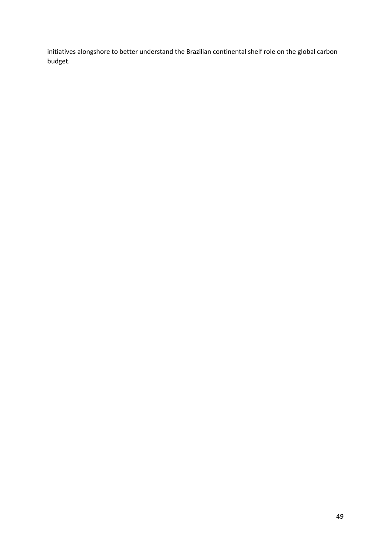initiatives alongshore to better understand the Brazilian continental shelf role on the global carbon budget.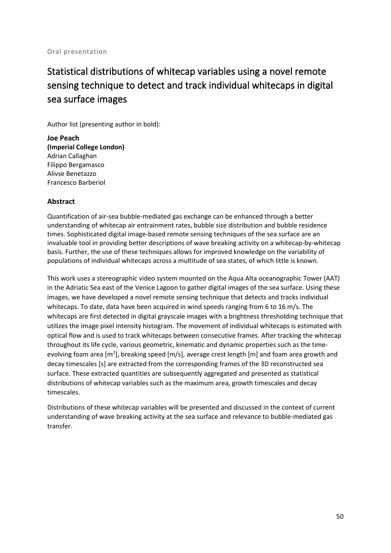# Statistical distributions of whitecap variables using a novel remote sensing technique to detect and track individual whitecaps in digital sea surface images

Author list (presenting author in bold):

**Joe Peach (Imperial College London)** Adrian Callaghan Filippo Bergamasco Alivse Benetazzo Francesco Barberiol

#### **Abstract**

Quantification of air-sea bubble-mediated gas exchange can be enhanced through a better understanding of whitecap air entrainment rates, bubble size distribution and bubble residence times. Sophisticated digital image-based remote sensing techniques of the sea surface are an invaluable tool in providing better descriptions of wave breaking activity on a whitecap-by-whitecap basis. Further, the use of these techniques allows for improved knowledge on the variability of populations of individual whitecaps across a multitude of sea states, of which little is known.

This work uses a stereographic video system mounted on the Aqua Alta oceanographic Tower (AAT) in the Adriatic Sea east of the Venice Lagoon to gather digital images of the sea surface. Using these images, we have developed a novel remote sensing technique that detects and tracks individual whitecaps. To date, data have been acquired in wind speeds ranging from 6 to 16 m/s. The whitecaps are first detected in digital grayscale images with a brightness thresholding technique that utilizes the image pixel intensity histogram. The movement of individual whitecaps is estimated with optical flow and is used to track whitecaps between consecutive frames. After tracking the whitecap throughout its life cycle, various geometric, kinematic and dynamic properties such as the timeevolving foam area [m<sup>2</sup>], breaking speed [m/s], average crest length [m] and foam area growth and decay timescales [s] are extracted from the corresponding frames of the 3D reconstructed sea surface. These extracted quantities are subsequently aggregated and presented as statistical distributions of whitecap variables such as the maximum area, growth timescales and decay timescales.

Distributions of these whitecap variables will be presented and discussed in the context of current understanding of wave breaking activity at the sea surface and relevance to bubble-mediated gas transfer.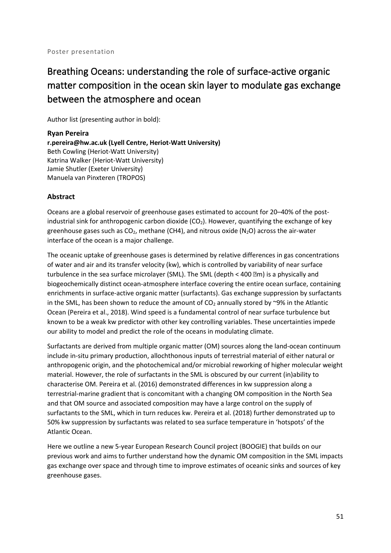# Breathing Oceans: understanding the role of surface-active organic matter composition in the ocean skin layer to modulate gas exchange between the atmosphere and ocean

Author list (presenting author in bold):

**Ryan Pereira r.pereira@hw.ac.uk (Lyell Centre, Heriot-Watt University)** Beth Cowling (Heriot-Watt University) Katrina Walker (Heriot-Watt University) Jamie Shutler (Exeter University) Manuela van Pinxteren (TROPOS)

#### **Abstract**

Oceans are a global reservoir of greenhouse gases estimated to account for 20–40% of the postindustrial sink for anthropogenic carbon dioxide  $(CO<sub>2</sub>)$ . However, quantifying the exchange of key greenhouse gases such as  $CO<sub>2</sub>$ , methane (CH4), and nitrous oxide (N<sub>2</sub>O) across the air-water interface of the ocean is a major challenge.

The oceanic uptake of greenhouse gases is determined by relative differences in gas concentrations of water and air and its transfer velocity (kw), which is controlled by variability of near surface turbulence in the sea surface microlayer (SML). The SML (depth < 400 \meq | is a physically and biogeochemically distinct ocean-atmosphere interface covering the entire ocean surface, containing enrichments in surface-active organic matter (surfactants). Gas exchange suppression by surfactants in the SML, has been shown to reduce the amount of  $CO<sub>2</sub>$  annually stored by ~9% in the Atlantic Ocean (Pereira et al., 2018). Wind speed is a fundamental control of near surface turbulence but known to be a weak kw predictor with other key controlling variables. These uncertainties impede our ability to model and predict the role of the oceans in modulating climate.

Surfactants are derived from multiple organic matter (OM) sources along the land-ocean continuum include in-situ primary production, allochthonous inputs of terrestrial material of either natural or anthropogenic origin, and the photochemical and/or microbial reworking of higher molecular weight material. However, the role of surfactants in the SML is obscured by our current (in)ability to characterise OM. Pereira et al. (2016) demonstrated differences in kw suppression along a terrestrial-marine gradient that is concomitant with a changing OM composition in the North Sea and that OM source and associated composition may have a large control on the supply of surfactants to the SML, which in turn reduces kw. Pereira et al. (2018) further demonstrated up to 50% kw suppression by surfactants was related to sea surface temperature in 'hotspots' of the Atlantic Ocean.

Here we outline a new 5-year European Research Council project (BOOGIE) that builds on our previous work and aims to further understand how the dynamic OM composition in the SML impacts gas exchange over space and through time to improve estimates of oceanic sinks and sources of key greenhouse gases.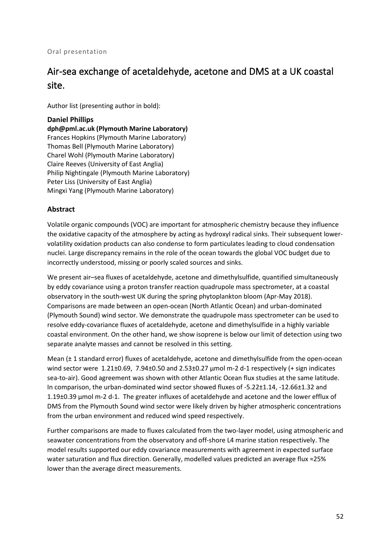#### Oral presentation

## Air-sea exchange of acetaldehyde, acetone and DMS at a UK coastal site.

Author list (presenting author in bold):

#### **Daniel Phillips**

**dph@pml.ac.uk (Plymouth Marine Laboratory)** Frances Hopkins (Plymouth Marine Laboratory) Thomas Bell (Plymouth Marine Laboratory) Charel Wohl (Plymouth Marine Laboratory) Claire Reeves (University of East Anglia) Philip Nightingale (Plymouth Marine Laboratory) Peter Liss (University of East Anglia) Mingxi Yang (Plymouth Marine Laboratory)

#### **Abstract**

Volatile organic compounds (VOC) are important for atmospheric chemistry because they influence the oxidative capacity of the atmosphere by acting as hydroxyl radical sinks. Their subsequent lowervolatility oxidation products can also condense to form particulates leading to cloud condensation nuclei. Large discrepancy remains in the role of the ocean towards the global VOC budget due to incorrectly understood, missing or poorly scaled sources and sinks.

We present air–sea fluxes of acetaldehyde, acetone and dimethylsulfide, quantified simultaneously by eddy covariance using a proton transfer reaction quadrupole mass spectrometer, at a coastal observatory in the south-west UK during the spring phytoplankton bloom (Apr-May 2018). Comparisons are made between an open-ocean (North Atlantic Ocean) and urban-dominated (Plymouth Sound) wind sector. We demonstrate the quadrupole mass spectrometer can be used to resolve eddy-covariance fluxes of acetaldehyde, acetone and dimethylsulfide in a highly variable coastal environment. On the other hand, we show isoprene is below our limit of detection using two separate analyte masses and cannot be resolved in this setting.

Mean (± 1 standard error) fluxes of acetaldehyde, acetone and dimethylsulfide from the open-ocean wind sector were 1.21±0.69, 7.94±0.50 and 2.53±0.27 μmol m-2 d-1 respectively (+ sign indicates sea-to-air). Good agreement was shown with other Atlantic Ocean flux studies at the same latitude. In comparison, the urban-dominated wind sector showed fluxes of -5.22±1.14, -12.66±1.32 and 1.19±0.39 μmol m-2 d-1. The greater influxes of acetaldehyde and acetone and the lower efflux of DMS from the Plymouth Sound wind sector were likely driven by higher atmospheric concentrations from the urban environment and reduced wind speed respectively.

Further comparisons are made to fluxes calculated from the two-layer model, using atmospheric and seawater concentrations from the observatory and off-shore L4 marine station respectively. The model results supported our eddy covariance measurements with agreement in expected surface water saturation and flux direction. Generally, modelled values predicted an average flux ≈25% lower than the average direct measurements.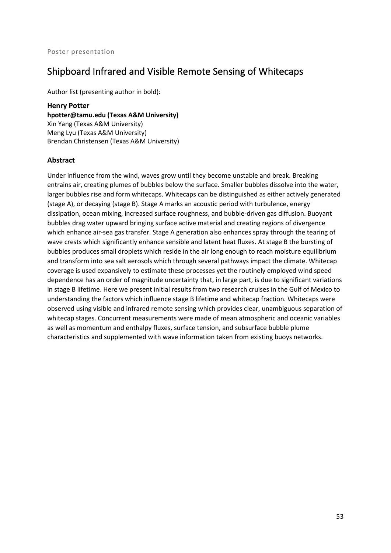## Shipboard Infrared and Visible Remote Sensing of Whitecaps

Author list (presenting author in bold):

**Henry Potter hpotter@tamu.edu (Texas A&M University)** Xin Yang (Texas A&M University) Meng Lyu (Texas A&M University) Brendan Christensen (Texas A&M University)

#### **Abstract**

Under influence from the wind, waves grow until they become unstable and break. Breaking entrains air, creating plumes of bubbles below the surface. Smaller bubbles dissolve into the water, larger bubbles rise and form whitecaps. Whitecaps can be distinguished as either actively generated (stage A), or decaying (stage B). Stage A marks an acoustic period with turbulence, energy dissipation, ocean mixing, increased surface roughness, and bubble-driven gas diffusion. Buoyant bubbles drag water upward bringing surface active material and creating regions of divergence which enhance air-sea gas transfer. Stage A generation also enhances spray through the tearing of wave crests which significantly enhance sensible and latent heat fluxes. At stage B the bursting of bubbles produces small droplets which reside in the air long enough to reach moisture equilibrium and transform into sea salt aerosols which through several pathways impact the climate. Whitecap coverage is used expansively to estimate these processes yet the routinely employed wind speed dependence has an order of magnitude uncertainty that, in large part, is due to significant variations in stage B lifetime. Here we present initial results from two research cruises in the Gulf of Mexico to understanding the factors which influence stage B lifetime and whitecap fraction. Whitecaps were observed using visible and infrared remote sensing which provides clear, unambiguous separation of whitecap stages. Concurrent measurements were made of mean atmospheric and oceanic variables as well as momentum and enthalpy fluxes, surface tension, and subsurface bubble plume characteristics and supplemented with wave information taken from existing buoys networks.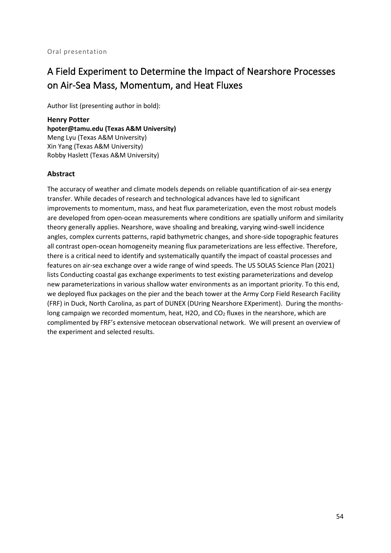# A Field Experiment to Determine the Impact of Nearshore Processes on Air-Sea Mass, Momentum, and Heat Fluxes

Author list (presenting author in bold):

**Henry Potter hpoter@tamu.edu (Texas A&M University)** Meng Lyu (Texas A&M University) Xin Yang (Texas A&M University) Robby Haslett (Texas A&M University)

#### **Abstract**

The accuracy of weather and climate models depends on reliable quantification of air-sea energy transfer. While decades of research and technological advances have led to significant improvements to momentum, mass, and heat flux parameterization, even the most robust models are developed from open-ocean measurements where conditions are spatially uniform and similarity theory generally applies. Nearshore, wave shoaling and breaking, varying wind-swell incidence angles, complex currents patterns, rapid bathymetric changes, and shore-side topographic features all contrast open-ocean homogeneity meaning flux parameterizations are less effective. Therefore, there is a critical need to identify and systematically quantify the impact of coastal processes and features on air-sea exchange over a wide range of wind speeds. The US SOLAS Science Plan (2021) lists Conducting coastal gas exchange experiments to test existing parameterizations and develop new parameterizations in various shallow water environments as an important priority. To this end, we deployed flux packages on the pier and the beach tower at the Army Corp Field Research Facility (FRF) in Duck, North Carolina, as part of DUNEX (DUring Nearshore EXperiment). During the monthslong campaign we recorded momentum, heat, H2O, and  $CO<sub>2</sub>$  fluxes in the nearshore, which are complimented by FRF's extensive metocean observational network. We will present an overview of the experiment and selected results.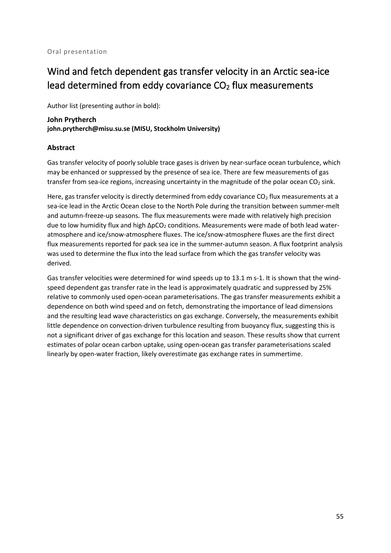# Wind and fetch dependent gas transfer velocity in an Arctic sea-ice lead determined from eddy covariance  $CO<sub>2</sub>$  flux measurements

Author list (presenting author in bold):

#### **John Prytherch john.prytherch@misu.su.se (MISU, Stockholm University)**

#### **Abstract**

Gas transfer velocity of poorly soluble trace gases is driven by near-surface ocean turbulence, which may be enhanced or suppressed by the presence of sea ice. There are few measurements of gas transfer from sea-ice regions, increasing uncertainty in the magnitude of the polar ocean  $CO<sub>2</sub>$  sink.

Here, gas transfer velocity is directly determined from eddy covariance  $CO<sub>2</sub>$  flux measurements at a sea-ice lead in the Arctic Ocean close to the North Pole during the transition between summer-melt and autumn-freeze-up seasons. The flux measurements were made with relatively high precision due to low humidity flux and high ΔpCO<sub>2</sub> conditions. Measurements were made of both lead wateratmosphere and ice/snow-atmosphere fluxes. The ice/snow-atmosphere fluxes are the first direct flux measurements reported for pack sea ice in the summer-autumn season. A flux footprint analysis was used to determine the flux into the lead surface from which the gas transfer velocity was derived.

Gas transfer velocities were determined for wind speeds up to 13.1 m s-1. It is shown that the windspeed dependent gas transfer rate in the lead is approximately quadratic and suppressed by 25% relative to commonly used open-ocean parameterisations. The gas transfer measurements exhibit a dependence on both wind speed and on fetch, demonstrating the importance of lead dimensions and the resulting lead wave characteristics on gas exchange. Conversely, the measurements exhibit little dependence on convection-driven turbulence resulting from buoyancy flux, suggesting this is not a significant driver of gas exchange for this location and season. These results show that current estimates of polar ocean carbon uptake, using open-ocean gas transfer parameterisations scaled linearly by open-water fraction, likely overestimate gas exchange rates in summertime.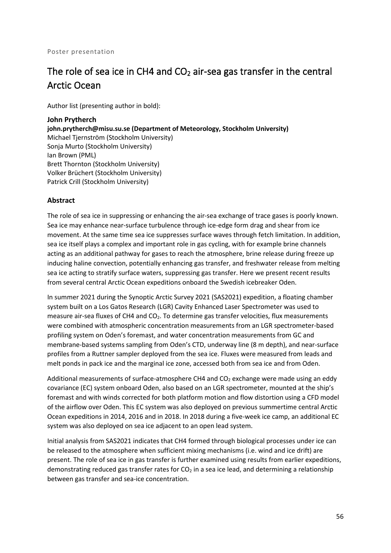# The role of sea ice in CH4 and  $CO<sub>2</sub>$  air-sea gas transfer in the central Arctic Ocean

Author list (presenting author in bold):

**John Prytherch john.prytherch@misu.su.se (Department of Meteorology, Stockholm University)** Michael Tjernström (Stockholm University) Sonja Murto (Stockholm University) Ian Brown (PML) Brett Thornton (Stockholm University) Volker Brüchert (Stockholm University) Patrick Crill (Stockholm University)

#### **Abstract**

The role of sea ice in suppressing or enhancing the air-sea exchange of trace gases is poorly known. Sea ice may enhance near-surface turbulence through ice-edge form drag and shear from ice movement. At the same time sea ice suppresses surface waves through fetch limitation. In addition, sea ice itself plays a complex and important role in gas cycling, with for example brine channels acting as an additional pathway for gases to reach the atmosphere, brine release during freeze up inducing haline convection, potentially enhancing gas transfer, and freshwater release from melting sea ice acting to stratify surface waters, suppressing gas transfer. Here we present recent results from several central Arctic Ocean expeditions onboard the Swedish icebreaker Oden.

In summer 2021 during the Synoptic Arctic Survey 2021 (SAS2021) expedition, a floating chamber system built on a Los Gatos Research (LGR) Cavity Enhanced Laser Spectrometer was used to measure air-sea fluxes of CH4 and CO<sub>2</sub>. To determine gas transfer velocities, flux measurements were combined with atmospheric concentration measurements from an LGR spectrometer-based profiling system on Oden's foremast, and water concentration measurements from GC and membrane-based systems sampling from Oden's CTD, underway line (8 m depth), and near-surface profiles from a Ruttner sampler deployed from the sea ice. Fluxes were measured from leads and melt ponds in pack ice and the marginal ice zone, accessed both from sea ice and from Oden.

Additional measurements of surface-atmosphere CH4 and CO<sub>2</sub> exchange were made using an eddy covariance (EC) system onboard Oden, also based on an LGR spectrometer, mounted at the ship's foremast and with winds corrected for both platform motion and flow distortion using a CFD model of the airflow over Oden. This EC system was also deployed on previous summertime central Arctic Ocean expeditions in 2014, 2016 and in 2018. In 2018 during a five-week ice camp, an additional EC system was also deployed on sea ice adjacent to an open lead system.

Initial analysis from SAS2021 indicates that CH4 formed through biological processes under ice can be released to the atmosphere when sufficient mixing mechanisms (i.e. wind and ice drift) are present. The role of sea ice in gas transfer is further examined using results from earlier expeditions, demonstrating reduced gas transfer rates for  $CO<sub>2</sub>$  in a sea ice lead, and determining a relationship between gas transfer and sea-ice concentration.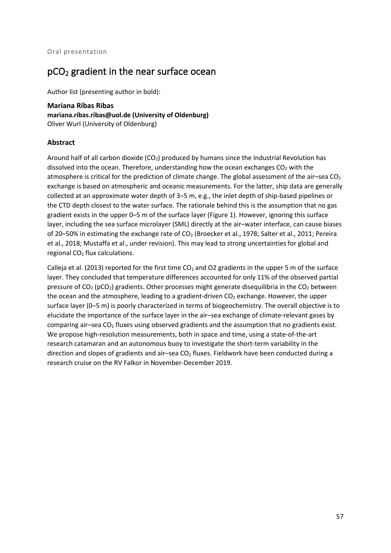## pCO2 gradient in the near surface ocean

Author list (presenting author in bold):

**Mariana Ribas Ribas mariana.ribas.ribas@uol.de (University of Oldenburg)** Oliver Wurl (University of Oldenburg)

#### **Abstract**

Around half of all carbon dioxide  $(CO<sub>2</sub>)$  produced by humans since the Industrial Revolution has dissolved into the ocean. Therefore, understanding how the ocean exchanges  $CO<sub>2</sub>$  with the atmosphere is critical for the prediction of climate change. The global assessment of the air–sea  $CO<sub>2</sub>$ exchange is based on atmospheric and oceanic measurements. For the latter, ship data are generally collected at an approximate water depth of 3–5 m, e.g., the inlet depth of ship-based pipelines or the CTD depth closest to the water surface. The rationale behind this is the assumption that no gas gradient exists in the upper 0–5 m of the surface layer (Figure 1). However, ignoring this surface layer, including the sea surface microlayer (SML) directly at the air–water interface, can cause biases of 20–50% in estimating the exchange rate of  $CO<sub>2</sub>$  (Broecker et al., 1978; Salter et al., 2011; Pereira et al., 2018; Mustaffa et al., under revision). This may lead to strong uncertainties for global and regional CO<sub>2</sub> flux calculations.

Calleja et al. (2013) reported for the first time  $CO<sub>2</sub>$  and O2 gradients in the upper 5 m of the surface layer. They concluded that temperature differences accounted for only 11% of the observed partial pressure of  $CO_2$  (pCO<sub>2</sub>) gradients. Other processes might generate disequilibria in the  $CO_2$  between the ocean and the atmosphere, leading to a gradient-driven  $CO<sub>2</sub>$  exchange. However, the upper surface layer (0–5 m) is poorly characterized in terms of biogeochemistry. The overall objective is to elucidate the importance of the surface layer in the air–sea exchange of climate-relevant gases by comparing air-sea CO<sub>2</sub> fluxes using observed gradients and the assumption that no gradients exist. We propose high-resolution measurements, both in space and time, using a state-of-the-art research catamaran and an autonomous buoy to investigate the short-term variability in the direction and slopes of gradients and air–sea  $CO<sub>2</sub>$  fluxes. Fieldwork have been conducted during a research cruise on the RV Falkor in November-December 2019.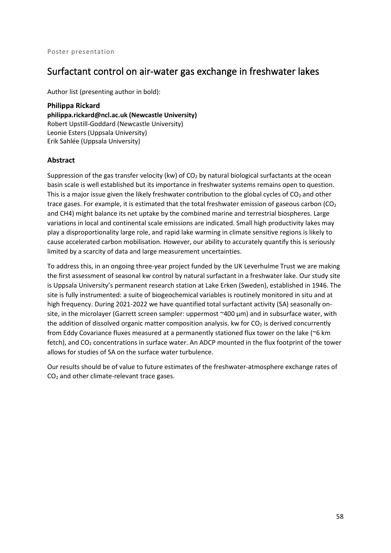### Surfactant control on air-water gas exchange in freshwater lakes

Author list (presenting author in bold):

**Philippa Rickard philippa.rickard@ncl.ac.uk (Newcastle University)** Robert Upstill-Goddard (Newcastle University) Leonie Esters (Uppsala University) Erik Sahlée (Uppsala University)

#### **Abstract**

Suppression of the gas transfer velocity (kw) of  $CO<sub>2</sub>$  by natural biological surfactants at the ocean basin scale is well established but its importance in freshwater systems remains open to question. This is a major issue given the likely freshwater contribution to the global cycles of  $CO<sub>2</sub>$  and other trace gases. For example, it is estimated that the total freshwater emission of gaseous carbon ( $CO<sub>2</sub>$ ) and CH4) might balance its net uptake by the combined marine and terrestrial biospheres. Large variations in local and continental scale emissions are indicated. Small high productivity lakes may play a disproportionality large role, and rapid lake warming in climate sensitive regions is likely to cause accelerated carbon mobilisation. However, our ability to accurately quantify this is seriously limited by a scarcity of data and large measurement uncertainties.

To address this, in an ongoing three-year project funded by the UK Leverhulme Trust we are making the first assessment of seasonal kw control by natural surfactant in a freshwater lake. Our study site is Uppsala University's permanent research station at Lake Erken (Sweden), established in 1946. The site is fully instrumented: a suite of biogeochemical variables is routinely monitored in situ and at high frequency. During 2021-2022 we have quantified total surfactant activity (SA) seasonally onsite, in the microlayer (Garrett screen sampler: uppermost ~400  $\mu$ m) and in subsurface water, with the addition of dissolved organic matter composition analysis. kw for  $CO<sub>2</sub>$  is derived concurrently from Eddy Covariance fluxes measured at a permanently stationed flux tower on the lake (~6 km fetch), and  $CO<sub>2</sub>$  concentrations in surface water. An ADCP mounted in the flux footprint of the tower allows for studies of SA on the surface water turbulence.

Our results should be of value to future estimates of the freshwater-atmosphere exchange rates of CO2 and other climate-relevant trace gases.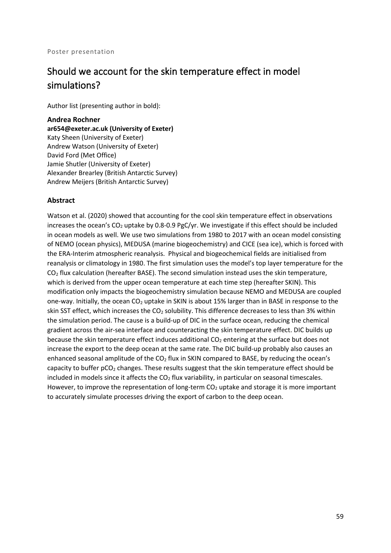#### Poster presentation

## Should we account for the skin temperature effect in model simulations?

Author list (presenting author in bold):

#### **Andrea Rochner**

**ar654@exeter.ac.uk (University of Exeter)** Katy Sheen (University of Exeter) Andrew Watson (University of Exeter) David Ford (Met Office) Jamie Shutler (University of Exeter) Alexander Brearley (British Antarctic Survey) Andrew Meijers (British Antarctic Survey)

#### **Abstract**

Watson et al. (2020) showed that accounting for the cool skin temperature effect in observations increases the ocean's  $CO<sub>2</sub>$  uptake by 0.8-0.9 PgC/yr. We investigate if this effect should be included in ocean models as well. We use two simulations from 1980 to 2017 with an ocean model consisting of NEMO (ocean physics), MEDUSA (marine biogeochemistry) and CICE (sea ice), which is forced with the ERA-Interim atmospheric reanalysis. Physical and biogeochemical fields are initialised from reanalysis or climatology in 1980. The first simulation uses the model's top layer temperature for the  $CO<sub>2</sub>$  flux calculation (hereafter BASE). The second simulation instead uses the skin temperature, which is derived from the upper ocean temperature at each time step (hereafter SKIN). This modification only impacts the biogeochemistry simulation because NEMO and MEDUSA are coupled one-way. Initially, the ocean CO<sub>2</sub> uptake in SKIN is about 15% larger than in BASE in response to the skin SST effect, which increases the CO<sub>2</sub> solubility. This difference decreases to less than 3% within the simulation period. The cause is a build-up of DIC in the surface ocean, reducing the chemical gradient across the air-sea interface and counteracting the skin temperature effect. DIC builds up because the skin temperature effect induces additional  $CO<sub>2</sub>$  entering at the surface but does not increase the export to the deep ocean at the same rate. The DIC build-up probably also causes an enhanced seasonal amplitude of the  $CO<sub>2</sub>$  flux in SKIN compared to BASE, by reducing the ocean's capacity to buffer  $pCO<sub>2</sub>$  changes. These results suggest that the skin temperature effect should be included in models since it affects the  $CO<sub>2</sub>$  flux variability, in particular on seasonal timescales. However, to improve the representation of long-term  $CO<sub>2</sub>$  uptake and storage it is more important to accurately simulate processes driving the export of carbon to the deep ocean.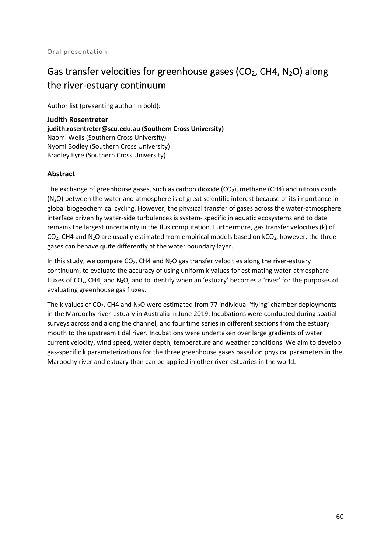# Gas transfer velocities for greenhouse gases ( $CO<sub>2</sub>$ , CH4, N<sub>2</sub>O) along the river-estuary continuum

Author list (presenting author in bold):

**Judith Rosentreter judith.rosentreter@scu.edu.au (Southern Cross University)** Naomi Wells (Southern Cross University) Nyomi Bodley (Southern Cross University) Bradley Eyre (Southern Cross University)

#### **Abstract**

The exchange of greenhouse gases, such as carbon dioxide  $(CO<sub>2</sub>)$ , methane  $(CH4)$  and nitrous oxide  $(N<sub>2</sub>O)$  between the water and atmosphere is of great scientific interest because of its importance in global biogeochemical cycling. However, the physical transfer of gases across the water-atmosphere interface driven by water-side turbulences is system- specific in aquatic ecosystems and to date remains the largest uncertainty in the flux computation. Furthermore, gas transfer velocities (k) of  $CO<sub>2</sub>$ , CH4 and N<sub>2</sub>O are usually estimated from empirical models based on kCO<sub>2</sub>, however, the three gases can behave quite differently at the water boundary layer.

In this study, we compare  $CO<sub>2</sub>$ , CH4 and N<sub>2</sub>O gas transfer velocities along the river-estuary continuum, to evaluate the accuracy of using uniform k values for estimating water-atmosphere fluxes of CO<sub>2</sub>, CH4, and N<sub>2</sub>O, and to identify when an 'estuary' becomes a 'river' for the purposes of evaluating greenhouse gas fluxes.

The k values of  $CO<sub>2</sub>$ , CH4 and N<sub>2</sub>O were estimated from 77 individual 'flying' chamber deployments in the Maroochy river-estuary in Australia in June 2019. Incubations were conducted during spatial surveys across and along the channel, and four time series in different sections from the estuary mouth to the upstream tidal river. Incubations were undertaken over large gradients of water current velocity, wind speed, water depth, temperature and weather conditions. We aim to develop gas-specific k parameterizations for the three greenhouse gases based on physical parameters in the Maroochy river and estuary than can be applied in other river-estuaries in the world.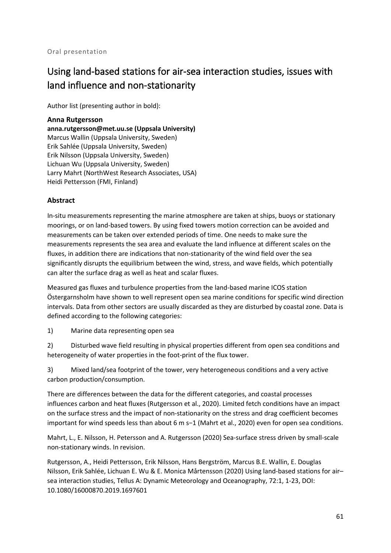# Using land-based stations for air-sea interaction studies, issues with land influence and non-stationarity

Author list (presenting author in bold):

**Anna Rutgersson anna.rutgersson@met.uu.se (Uppsala University)** Marcus Wallin (Uppsala University, Sweden) Erik Sahlée (Uppsala University, Sweden) Erik Nilsson (Uppsala University, Sweden) Lichuan Wu (Uppsala University, Sweden) Larry Mahrt (NorthWest Research Associates, USA) Heidi Pettersson (FMI, Finland)

#### **Abstract**

In-situ measurements representing the marine atmosphere are taken at ships, buoys or stationary moorings, or on land-based towers. By using fixed towers motion correction can be avoided and measurements can be taken over extended periods of time. One needs to make sure the measurements represents the sea area and evaluate the land influence at different scales on the fluxes, in addition there are indications that non-stationarity of the wind field over the sea significantly disrupts the equilibrium between the wind, stress, and wave fields, which potentially can alter the surface drag as well as heat and scalar fluxes.

Measured gas fluxes and turbulence properties from the land-based marine ICOS station Östergarnsholm have shown to well represent open sea marine conditions for specific wind direction intervals. Data from other sectors are usually discarded as they are disturbed by coastal zone. Data is defined according to the following categories:

1) Marine data representing open sea

2) Disturbed wave field resulting in physical properties different from open sea conditions and heterogeneity of water properties in the foot-print of the flux tower.

3) Mixed land/sea footprint of the tower, very heterogeneous conditions and a very active carbon production/consumption.

There are differences between the data for the different categories, and coastal processes influences carbon and heat fluxes (Rutgersson et al., 2020). Limited fetch conditions have an impact on the surface stress and the impact of non-stationarity on the stress and drag coefficient becomes important for wind speeds less than about 6 m s−1 (Mahrt et al., 2020) even for open sea conditions.

Mahrt, L., E. Nilsson, H. Petersson and A. Rutgersson (2020) Sea-surface stress driven by small-scale non-stationary winds. In revision.

Rutgersson, A., Heidi Pettersson, Erik Nilsson, Hans Bergström, Marcus B.E. Wallin, E. Douglas Nilsson, Erik Sahlée, Lichuan E. Wu & E. Monica Mårtensson (2020) Using land-based stations for air– sea interaction studies, Tellus A: Dynamic Meteorology and Oceanography, 72:1, 1-23, DOI: 10.1080/16000870.2019.1697601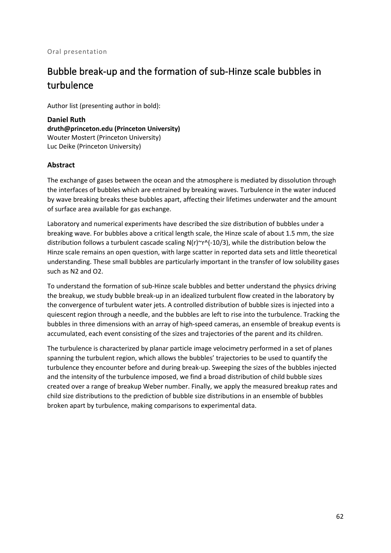# Bubble break-up and the formation of sub-Hinze scale bubbles in turbulence

Author list (presenting author in bold):

**Daniel Ruth druth@princeton.edu (Princeton University)** Wouter Mostert (Princeton University) Luc Deike (Princeton University)

#### **Abstract**

The exchange of gases between the ocean and the atmosphere is mediated by dissolution through the interfaces of bubbles which are entrained by breaking waves. Turbulence in the water induced by wave breaking breaks these bubbles apart, affecting their lifetimes underwater and the amount of surface area available for gas exchange.

Laboratory and numerical experiments have described the size distribution of bubbles under a breaking wave. For bubbles above a critical length scale, the Hinze scale of about 1.5 mm, the size distribution follows a turbulent cascade scaling  $N(r)^{\sim}r^{\wedge}(-10/3)$ , while the distribution below the Hinze scale remains an open question, with large scatter in reported data sets and little theoretical understanding. These small bubbles are particularly important in the transfer of low solubility gases such as N2 and O2.

To understand the formation of sub-Hinze scale bubbles and better understand the physics driving the breakup, we study bubble break-up in an idealized turbulent flow created in the laboratory by the convergence of turbulent water jets. A controlled distribution of bubble sizes is injected into a quiescent region through a needle, and the bubbles are left to rise into the turbulence. Tracking the bubbles in three dimensions with an array of high-speed cameras, an ensemble of breakup events is accumulated, each event consisting of the sizes and trajectories of the parent and its children.

The turbulence is characterized by planar particle image velocimetry performed in a set of planes spanning the turbulent region, which allows the bubbles' trajectories to be used to quantify the turbulence they encounter before and during break-up. Sweeping the sizes of the bubbles injected and the intensity of the turbulence imposed, we find a broad distribution of child bubble sizes created over a range of breakup Weber number. Finally, we apply the measured breakup rates and child size distributions to the prediction of bubble size distributions in an ensemble of bubbles broken apart by turbulence, making comparisons to experimental data.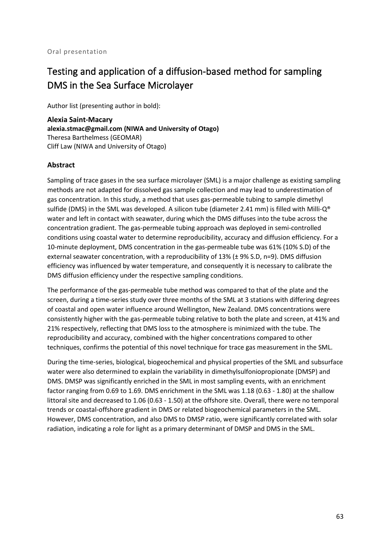# Testing and application of a diffusion-based method for sampling DMS in the Sea Surface Microlayer

Author list (presenting author in bold):

**Alexia Saint-Macary alexia.stmac@gmail.com (NIWA and University of Otago)** Theresa Barthelmess (GEOMAR) Cliff Law (NIWA and University of Otago)

#### **Abstract**

Sampling of trace gases in the sea surface microlayer (SML) is a major challenge as existing sampling methods are not adapted for dissolved gas sample collection and may lead to underestimation of gas concentration. In this study, a method that uses gas-permeable tubing to sample dimethyl sulfide (DMS) in the SML was developed. A silicon tube (diameter 2.41 mm) is filled with Milli- $Q^{\circ}$ water and left in contact with seawater, during which the DMS diffuses into the tube across the concentration gradient. The gas-permeable tubing approach was deployed in semi-controlled conditions using coastal water to determine reproducibility, accuracy and diffusion efficiency. For a 10-minute deployment, DMS concentration in the gas-permeable tube was 61% (10% S.D) of the external seawater concentration, with a reproducibility of 13% (± 9% S.D, n=9). DMS diffusion efficiency was influenced by water temperature, and consequently it is necessary to calibrate the DMS diffusion efficiency under the respective sampling conditions.

The performance of the gas-permeable tube method was compared to that of the plate and the screen, during a time-series study over three months of the SML at 3 stations with differing degrees of coastal and open water influence around Wellington, New Zealand. DMS concentrations were consistently higher with the gas-permeable tubing relative to both the plate and screen, at 41% and 21% respectively, reflecting that DMS loss to the atmosphere is minimized with the tube. The reproducibility and accuracy, combined with the higher concentrations compared to other techniques, confirms the potential of this novel technique for trace gas measurement in the SML.

During the time-series, biological, biogeochemical and physical properties of the SML and subsurface water were also determined to explain the variability in dimethylsulfoniopropionate (DMSP) and DMS. DMSP was significantly enriched in the SML in most sampling events, with an enrichment factor ranging from 0.69 to 1.69. DMS enrichment in the SML was 1.18 (0.63 - 1.80) at the shallow littoral site and decreased to 1.06 (0.63 - 1.50) at the offshore site. Overall, there were no temporal trends or coastal-offshore gradient in DMS or related biogeochemical parameters in the SML. However, DMS concentration, and also DMS to DMSP ratio, were significantly correlated with solar radiation, indicating a role for light as a primary determinant of DMSP and DMS in the SML.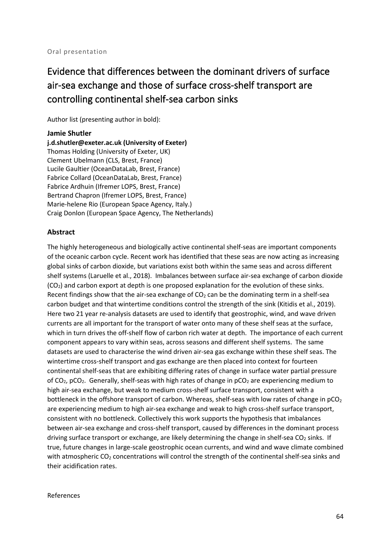# Evidence that differences between the dominant drivers of surface air-sea exchange and those of surface cross-shelf transport are controlling continental shelf-sea carbon sinks

Author list (presenting author in bold):

**Jamie Shutler j.d.shutler@exeter.ac.uk (University of Exeter)** Thomas Holding (University of Exeter, UK) Clement Ubelmann (CLS, Brest, France) Lucile Gaultier (OceanDataLab, Brest, France) Fabrice Collard (OceanDataLab, Brest, France) Fabrice Ardhuin (Ifremer LOPS, Brest, France) Bertrand Chapron (Ifremer LOPS, Brest, France) Marie-helene Rio (European Space Agency, Italy.) Craig Donlon (European Space Agency, The Netherlands)

#### **Abstract**

The highly heterogeneous and biologically active continental shelf-seas are important components of the oceanic carbon cycle. Recent work has identified that these seas are now acting as increasing global sinks of carbon dioxide, but variations exist both within the same seas and across different shelf systems (Laruelle et al., 2018). Imbalances between surface air-sea exchange of carbon dioxide  $(CO<sub>2</sub>)$  and carbon export at depth is one proposed explanation for the evolution of these sinks. Recent findings show that the air-sea exchange of  $CO<sub>2</sub>$  can be the dominating term in a shelf-sea carbon budget and that wintertime conditions control the strength of the sink (Kitidis et al., 2019). Here two 21 year re-analysis datasets are used to identify that geostrophic, wind, and wave driven currents are all important for the transport of water onto many of these shelf seas at the surface, which in turn drives the off-shelf flow of carbon rich water at depth. The importance of each current component appears to vary within seas, across seasons and different shelf systems. The same datasets are used to characterise the wind driven air-sea gas exchange within these shelf seas. The wintertime cross-shelf transport and gas exchange are then placed into context for fourteen continental shelf-seas that are exhibiting differing rates of change in surface water partial pressure of  $CO<sub>2</sub>$ ,  $pCO<sub>2</sub>$ . Generally, shelf-seas with high rates of change in  $pCO<sub>2</sub>$  are experiencing medium to high air-sea exchange, but weak to medium cross-shelf surface transport, consistent with a bottleneck in the offshore transport of carbon. Whereas, shelf-seas with low rates of change in  $pCO<sub>2</sub>$ are experiencing medium to high air-sea exchange and weak to high cross-shelf surface transport, consistent with no bottleneck. Collectively this work supports the hypothesis that imbalances between air-sea exchange and cross-shelf transport, caused by differences in the dominant process driving surface transport or exchange, are likely determining the change in shelf-sea CO<sub>2</sub> sinks. If true, future changes in large-scale geostrophic ocean currents, and wind and wave climate combined with atmospheric CO<sub>2</sub> concentrations will control the strength of the continental shelf-sea sinks and their acidification rates.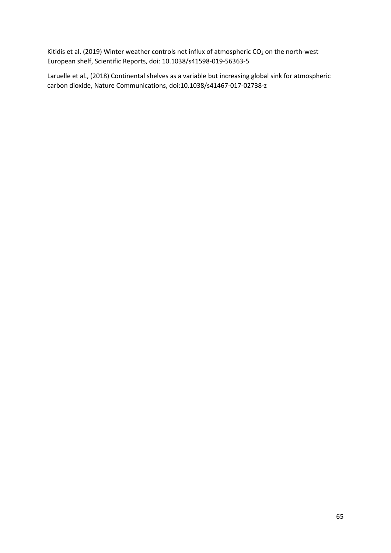Kitidis et al. (2019) Winter weather controls net influx of atmospheric  $CO<sub>2</sub>$  on the north-west European shelf, Scientific Reports, doi: 10.1038/s41598-019-56363-5

Laruelle et al., (2018) Continental shelves as a variable but increasing global sink for atmospheric carbon dioxide, Nature Communications, doi:10.1038/s41467-017-02738-z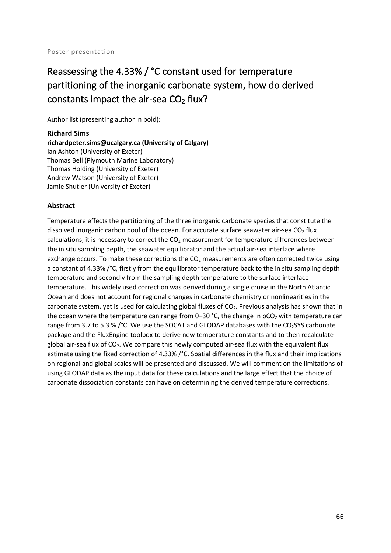# Reassessing the 4.33% / °C constant used for temperature partitioning of the inorganic carbonate system, how do derived constants impact the air-sea  $CO<sub>2</sub>$  flux?

Author list (presenting author in bold):

**Richard Sims richardpeter.sims@ucalgary.ca (University of Calgary)** Ian Ashton (University of Exeter) Thomas Bell (Plymouth Marine Laboratory) Thomas Holding (University of Exeter) Andrew Watson (University of Exeter) Jamie Shutler (University of Exeter)

### **Abstract**

Temperature effects the partitioning of the three inorganic carbonate species that constitute the dissolved inorganic carbon pool of the ocean. For accurate surface seawater air-sea  $CO<sub>2</sub>$  flux calculations, it is necessary to correct the  $CO<sub>2</sub>$  measurement for temperature differences between the in situ sampling depth, the seawater equilibrator and the actual air-sea interface where exchange occurs. To make these corrections the  $CO<sub>2</sub>$  measurements are often corrected twice using a constant of 4.33% /°C, firstly from the equilibrator temperature back to the in situ sampling depth temperature and secondly from the sampling depth temperature to the surface interface temperature. This widely used correction was derived during a single cruise in the North Atlantic Ocean and does not account for regional changes in carbonate chemistry or nonlinearities in the carbonate system, yet is used for calculating global fluxes of  $CO<sub>2</sub>$ . Previous analysis has shown that in the ocean where the temperature can range from  $0-30$  °C, the change in  $pCO<sub>2</sub>$  with temperature can range from 3.7 to 5.3 % / $^{\circ}$ C. We use the SOCAT and GLODAP databases with the CO<sub>2</sub>SYS carbonate package and the FluxEngine toolbox to derive new temperature constants and to then recalculate global air-sea flux of  $CO<sub>2</sub>$ . We compare this newly computed air-sea flux with the equivalent flux estimate using the fixed correction of 4.33% /°C. Spatial differences in the flux and their implications on regional and global scales will be presented and discussed. We will comment on the limitations of using GLODAP data as the input data for these calculations and the large effect that the choice of carbonate dissociation constants can have on determining the derived temperature corrections.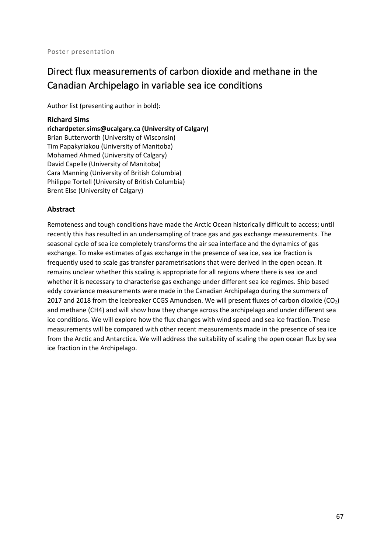# Direct flux measurements of carbon dioxide and methane in the Canadian Archipelago in variable sea ice conditions

Author list (presenting author in bold):

### **Richard Sims**

**richardpeter.sims@ucalgary.ca (University of Calgary)** Brian Butterworth (University of Wisconsin) Tim Papakyriakou (University of Manitoba) Mohamed Ahmed (University of Calgary) David Capelle (University of Manitoba) Cara Manning (University of British Columbia) Philippe Tortell (University of British Columbia) Brent Else (University of Calgary)

## **Abstract**

Remoteness and tough conditions have made the Arctic Ocean historically difficult to access; until recently this has resulted in an undersampling of trace gas and gas exchange measurements. The seasonal cycle of sea ice completely transforms the air sea interface and the dynamics of gas exchange. To make estimates of gas exchange in the presence of sea ice, sea ice fraction is frequently used to scale gas transfer parametrisations that were derived in the open ocean. It remains unclear whether this scaling is appropriate for all regions where there is sea ice and whether it is necessary to characterise gas exchange under different sea ice regimes. Ship based eddy covariance measurements were made in the Canadian Archipelago during the summers of 2017 and 2018 from the icebreaker CCGS Amundsen. We will present fluxes of carbon dioxide (CO2) and methane (CH4) and will show how they change across the archipelago and under different sea ice conditions. We will explore how the flux changes with wind speed and sea ice fraction. These measurements will be compared with other recent measurements made in the presence of sea ice from the Arctic and Antarctica. We will address the suitability of scaling the open ocean flux by sea ice fraction in the Archipelago.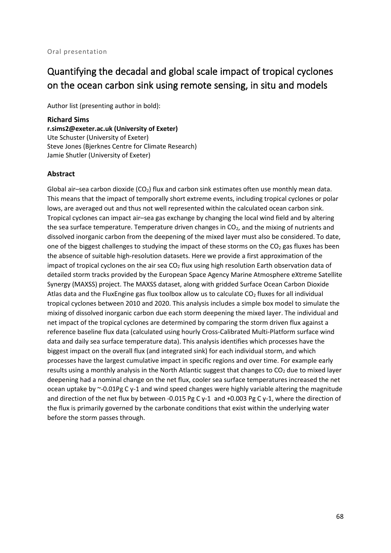# Quantifying the decadal and global scale impact of tropical cyclones on the ocean carbon sink using remote sensing, in situ and models

Author list (presenting author in bold):

#### **Richard Sims**

**r.sims2@exeter.ac.uk (University of Exeter)** Ute Schuster (University of Exeter) Steve Jones (Bjerknes Centre for Climate Research) Jamie Shutler (University of Exeter)

### **Abstract**

Global air–sea carbon dioxide (CO<sub>2</sub>) flux and carbon sink estimates often use monthly mean data. This means that the impact of temporally short extreme events, including tropical cyclones or polar lows, are averaged out and thus not well represented within the calculated ocean carbon sink. Tropical cyclones can impact air–sea gas exchange by changing the local wind field and by altering the sea surface temperature. Temperature driven changes in  $CO<sub>2</sub>$ , and the mixing of nutrients and dissolved inorganic carbon from the deepening of the mixed layer must also be considered. To date, one of the biggest challenges to studying the impact of these storms on the  $CO<sub>2</sub>$  gas fluxes has been the absence of suitable high-resolution datasets. Here we provide a first approximation of the impact of tropical cyclones on the air sea  $CO<sub>2</sub>$  flux using high resolution Earth observation data of detailed storm tracks provided by the European Space Agency Marine Atmosphere eXtreme Satellite Synergy (MAXSS) project. The MAXSS dataset, along with gridded Surface Ocean Carbon Dioxide Atlas data and the FluxEngine gas flux toolbox allow us to calculate  $CO<sub>2</sub>$  fluxes for all individual tropical cyclones between 2010 and 2020. This analysis includes a simple box model to simulate the mixing of dissolved inorganic carbon due each storm deepening the mixed layer. The individual and net impact of the tropical cyclones are determined by comparing the storm driven flux against a reference baseline flux data (calculated using hourly Cross-Calibrated Multi-Platform surface wind data and daily sea surface temperature data). This analysis identifies which processes have the biggest impact on the overall flux (and integrated sink) for each individual storm, and which processes have the largest cumulative impact in specific regions and over time. For example early results using a monthly analysis in the North Atlantic suggest that changes to  $CO<sub>2</sub>$  due to mixed layer deepening had a nominal change on the net flux, cooler sea surface temperatures increased the net ocean uptake by ~-0.01Pg C y-1 and wind speed changes were highly variable altering the magnitude and direction of the net flux by between -0.015 Pg C y-1 and +0.003 Pg C y-1, where the direction of the flux is primarily governed by the carbonate conditions that exist within the underlying water before the storm passes through.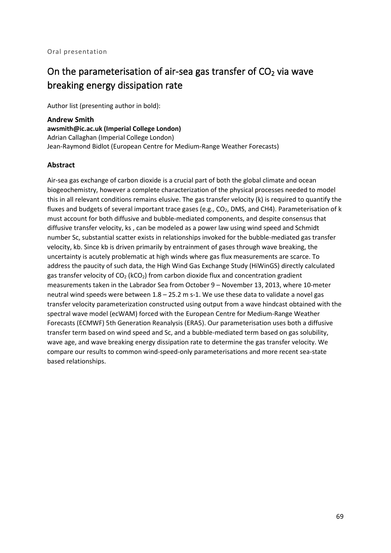# On the parameterisation of air-sea gas transfer of  $CO<sub>2</sub>$  via wave breaking energy dissipation rate

Author list (presenting author in bold):

**Andrew Smith awsmith@ic.ac.uk (Imperial College London)** Adrian Callaghan (Imperial College London) Jean-Raymond Bidlot (European Centre for Medium-Range Weather Forecasts)

### **Abstract**

Air-sea gas exchange of carbon dioxide is a crucial part of both the global climate and ocean biogeochemistry, however a complete characterization of the physical processes needed to model this in all relevant conditions remains elusive. The gas transfer velocity (k) is required to quantify the fluxes and budgets of several important trace gases (e.g.,  $CO<sub>2</sub>$ , DMS, and CH4). Parameterisation of k must account for both diffusive and bubble-mediated components, and despite consensus that diffusive transfer velocity, ks , can be modeled as a power law using wind speed and Schmidt number Sc, substantial scatter exists in relationships invoked for the bubble-mediated gas transfer velocity, kb. Since kb is driven primarily by entrainment of gases through wave breaking, the uncertainty is acutely problematic at high winds where gas flux measurements are scarce. To address the paucity of such data, the High Wind Gas Exchange Study (HiWinGS) directly calculated gas transfer velocity of  $CO<sub>2</sub>$  (kCO<sub>2</sub>) from carbon dioxide flux and concentration gradient measurements taken in the Labrador Sea from October 9 – November 13, 2013, where 10-meter neutral wind speeds were between 1.8 – 25.2 m s-1. We use these data to validate a novel gas transfer velocity parameterization constructed using output from a wave hindcast obtained with the spectral wave model (ecWAM) forced with the European Centre for Medium-Range Weather Forecasts (ECMWF) 5th Generation Reanalysis (ERA5). Our parameterisation uses both a diffusive transfer term based on wind speed and Sc, and a bubble-mediated term based on gas solubility, wave age, and wave breaking energy dissipation rate to determine the gas transfer velocity. We compare our results to common wind-speed-only parameterisations and more recent sea-state based relationships.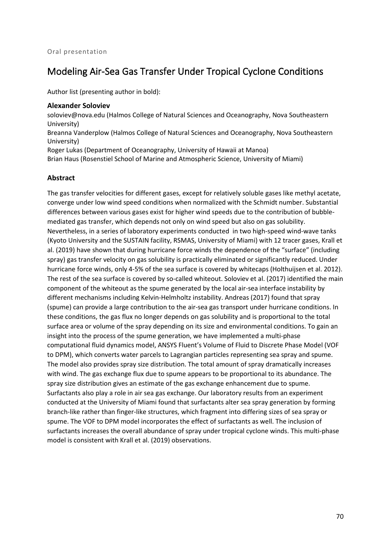# Modeling Air-Sea Gas Transfer Under Tropical Cyclone Conditions

Author list (presenting author in bold):

#### **Alexander Soloviev**

soloviev@nova.edu (Halmos College of Natural Sciences and Oceanography, Nova Southeastern University) Breanna Vanderplow (Halmos College of Natural Sciences and Oceanography, Nova Southeastern

University) Roger Lukas (Department of Oceanography, University of Hawaii at Manoa)

Brian Haus (Rosenstiel School of Marine and Atmospheric Science, University of Miami)

### **Abstract**

The gas transfer velocities for different gases, except for relatively soluble gases like methyl acetate, converge under low wind speed conditions when normalized with the Schmidt number. Substantial differences between various gases exist for higher wind speeds due to the contribution of bubblemediated gas transfer, which depends not only on wind speed but also on gas solubility. Nevertheless, in a series of laboratory experiments conducted in two high-speed wind-wave tanks (Kyoto University and the SUSTAIN facility, RSMAS, University of Miami) with 12 tracer gases, Krall et al. (2019) have shown that during hurricane force winds the dependence of the "surface" (including spray) gas transfer velocity on gas solubility is practically eliminated or significantly reduced. Under hurricane force winds, only 4-5% of the sea surface is covered by whitecaps (Holthuijsen et al. 2012). The rest of the sea surface is covered by so-called whiteout. Soloviev et al. (2017) identified the main component of the whiteout as the spume generated by the local air-sea interface instability by different mechanisms including Kelvin-Helmholtz instability. Andreas (2017) found that spray (spume) can provide a large contribution to the air-sea gas transport under hurricane conditions. In these conditions, the gas flux no longer depends on gas solubility and is proportional to the total surface area or volume of the spray depending on its size and environmental conditions. To gain an insight into the process of the spume generation, we have implemented a multi-phase computational fluid dynamics model, ANSYS Fluent's Volume of Fluid to Discrete Phase Model (VOF to DPM), which converts water parcels to Lagrangian particles representing sea spray and spume. The model also provides spray size distribution. The total amount of spray dramatically increases with wind. The gas exchange flux due to spume appears to be proportional to its abundance. The spray size distribution gives an estimate of the gas exchange enhancement due to spume. Surfactants also play a role in air sea gas exchange. Our laboratory results from an experiment conducted at the University of Miami found that surfactants alter sea spray generation by forming branch-like rather than finger-like structures, which fragment into differing sizes of sea spray or spume. The VOF to DPM model incorporates the effect of surfactants as well. The inclusion of surfactants increases the overall abundance of spray under tropical cyclone winds. This multi-phase model is consistent with Krall et al. (2019) observations.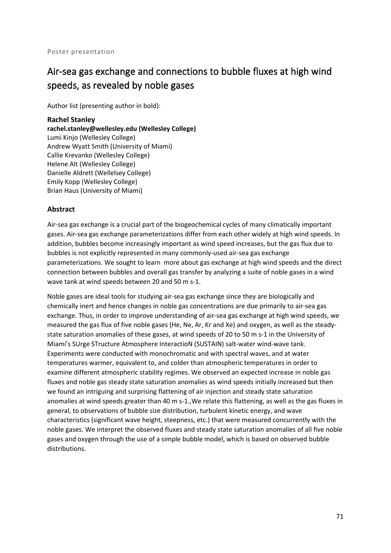# Air-sea gas exchange and connections to bubble fluxes at high wind speeds, as revealed by noble gases

Author list (presenting author in bold):

#### **Rachel Stanley**

**rachel.stanley@wellesley.edu (Wellesley College)** Lumi Kinjo (Wellesley College) Andrew Wyatt Smith (University of Miami) Callie Krevanko (Wellesley College) Helene Alt (Wellesley College) Danielle Aldrett (Wellelsey College) Emily Kopp (Wellesley College) Brian Haus (University of Miami)

### **Abstract**

Air-sea gas exchange is a crucial part of the biogeochemical cycles of many climatically important gases. Air-sea gas exchange parameterizations differ from each other widely at high wind speeds. In addition, bubbles become increasingly important as wind speed increases, but the gas flux due to bubbles is not explicitly represented in many commonly-used air-sea gas exchange parameterizations. We sought to learn more about gas exchange at high wind speeds and the direct connection between bubbles and overall gas transfer by analyzing a suite of noble gases in a wind wave tank at wind speeds between 20 and 50 m s-1.

Noble gases are ideal tools for studying air-sea gas exchange since they are biologically and chemically inert and hence changes in noble gas concentrations are due primarily to air-sea gas exchange. Thus, in order to improve understanding of air-sea gas exchange at high wind speeds, we measured the gas flux of five noble gases (He, Ne, Ar, Kr and Xe) and oxygen, as well as the steadystate saturation anomalies of these gases, at wind speeds of 20 to 50 m s-1 in the University of Miami's SUrge STructure Atmosphere InteractioN (SUSTAIN) salt-water wind-wave tank. Experiments were conducted with monochromatic and with spectral waves, and at water temperatures warmer, equivalent to, and colder than atmospheric temperatures in order to examine different atmospheric stability regimes. We observed an expected increase in noble gas fluxes and noble gas steady state saturation anomalies as wind speeds initially increased but then we found an intriguing and surprising flattening of air injection and steady state saturation anomalies at wind speeds greater than 40 m s-1.,We relate this flattening, as well as the gas fluxes in general, to observations of bubble size distribution, turbulent kinetic energy, and wave characteristics (significant wave height, steepness, etc.) that were measured concurrently with the noble gases. We interpret the observed fluxes and steady state saturation anomalies of all five noble gases and oxygen through the use of a simple bubble model, which is based on observed bubble distributions.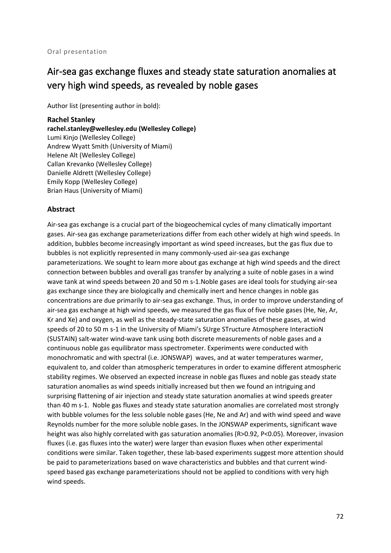# Air-sea gas exchange fluxes and steady state saturation anomalies at very high wind speeds, as revealed by noble gases

Author list (presenting author in bold):

#### **Rachel Stanley**

**rachel.stanley@wellesley.edu (Wellesley College)** Lumi Kinjo (Wellesley College) Andrew Wyatt Smith (University of Miami) Helene Alt (Wellesley College) Callan Krevanko (Wellesley College) Danielle Aldrett (Wellesley College) Emily Kopp (Wellesley College) Brian Haus (University of Miami)

### **Abstract**

Air-sea gas exchange is a crucial part of the biogeochemical cycles of many climatically important gases. Air-sea gas exchange parameterizations differ from each other widely at high wind speeds. In addition, bubbles become increasingly important as wind speed increases, but the gas flux due to bubbles is not explicitly represented in many commonly-used air-sea gas exchange parameterizations. We sought to learn more about gas exchange at high wind speeds and the direct connection between bubbles and overall gas transfer by analyzing a suite of noble gases in a wind wave tank at wind speeds between 20 and 50 m s-1.Noble gases are ideal tools for studying air-sea gas exchange since they are biologically and chemically inert and hence changes in noble gas concentrations are due primarily to air-sea gas exchange. Thus, in order to improve understanding of air-sea gas exchange at high wind speeds, we measured the gas flux of five noble gases (He, Ne, Ar, Kr and Xe) and oxygen, as well as the steady-state saturation anomalies of these gases, at wind speeds of 20 to 50 m s-1 in the University of Miami's SUrge STructure Atmosphere InteractioN (SUSTAIN) salt-water wind-wave tank using both discrete measurements of noble gases and a continuous noble gas equilibrator mass spectrometer. Experiments were conducted with monochromatic and with spectral (i.e. JONSWAP) waves, and at water temperatures warmer, equivalent to, and colder than atmospheric temperatures in order to examine different atmospheric stability regimes. We observed an expected increase in noble gas fluxes and noble gas steady state saturation anomalies as wind speeds initially increased but then we found an intriguing and surprising flattening of air injection and steady state saturation anomalies at wind speeds greater than 40 m s-1. Noble gas fluxes and steady state saturation anomalies are correlated most strongly with bubble volumes for the less soluble noble gases (He, Ne and Ar) and with wind speed and wave Reynolds number for the more soluble noble gases. In the JONSWAP experiments, significant wave height was also highly correlated with gas saturation anomalies (R>0.92, P<0.05). Moreover, invasion fluxes (i.e. gas fluxes into the water) were larger than evasion fluxes when other experimental conditions were similar. Taken together, these lab-based experiments suggest more attention should be paid to parameterizations based on wave characteristics and bubbles and that current windspeed based gas exchange parameterizations should not be applied to conditions with very high wind speeds.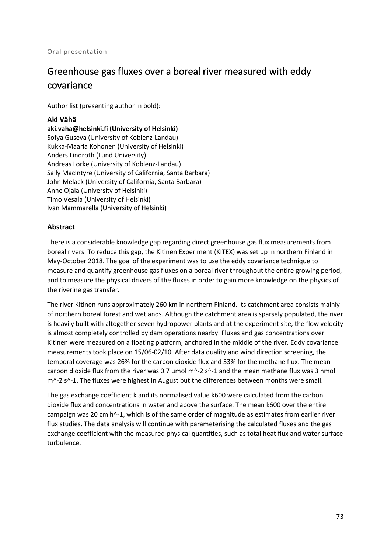#### Oral presentation

# Greenhouse gas fluxes over a boreal river measured with eddy covariance

Author list (presenting author in bold):

#### **Aki Vähä**

**aki.vaha@helsinki.fi (University of Helsinki)** Sofya Guseva (University of Koblenz-Landau) Kukka-Maaria Kohonen (University of Helsinki) Anders Lindroth (Lund University) Andreas Lorke (University of Koblenz-Landau) Sally MacIntyre (University of California, Santa Barbara) John Melack (University of California, Santa Barbara) Anne Ojala (University of Helsinki) Timo Vesala (University of Helsinki) Ivan Mammarella (University of Helsinki)

### **Abstract**

There is a considerable knowledge gap regarding direct greenhouse gas flux measurements from boreal rivers. To reduce this gap, the Kitinen Experiment (KITEX) was set up in northern Finland in May-October 2018. The goal of the experiment was to use the eddy covariance technique to measure and quantify greenhouse gas fluxes on a boreal river throughout the entire growing period, and to measure the physical drivers of the fluxes in order to gain more knowledge on the physics of the riverine gas transfer.

The river Kitinen runs approximately 260 km in northern Finland. Its catchment area consists mainly of northern boreal forest and wetlands. Although the catchment area is sparsely populated, the river is heavily built with altogether seven hydropower plants and at the experiment site, the flow velocity is almost completely controlled by dam operations nearby. Fluxes and gas concentrations over Kitinen were measured on a floating platform, anchored in the middle of the river. Eddy covariance measurements took place on 15/06-02/10. After data quality and wind direction screening, the temporal coverage was 26% for the carbon dioxide flux and 33% for the methane flux. The mean carbon dioxide flux from the river was 0.7 μmol m^-2 s^-1 and the mean methane flux was 3 nmol m^-2 s^-1. The fluxes were highest in August but the differences between months were small.

The gas exchange coefficient k and its normalised value k600 were calculated from the carbon dioxide flux and concentrations in water and above the surface. The mean k600 over the entire campaign was 20 cm h^-1, which is of the same order of magnitude as estimates from earlier river flux studies. The data analysis will continue with parameterising the calculated fluxes and the gas exchange coefficient with the measured physical quantities, such as total heat flux and water surface turbulence.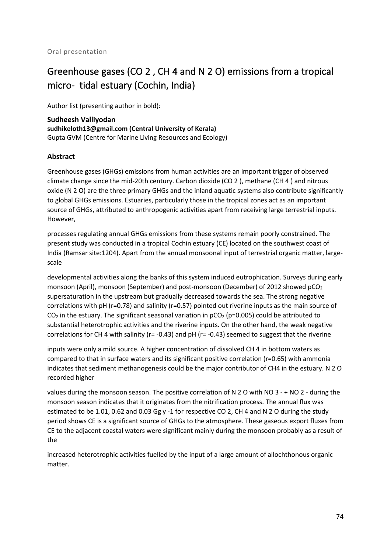# Greenhouse gases (CO 2 , CH 4 and N 2 O) emissions from a tropical micro- tidal estuary (Cochin, India)

Author list (presenting author in bold):

**Sudheesh Valliyodan sudhikeloth13@gmail.com (Central University of Kerala)** Gupta GVM (Centre for Marine Living Resources and Ecology)

### **Abstract**

Greenhouse gases (GHGs) emissions from human activities are an important trigger of observed climate change since the mid-20th century. Carbon dioxide (CO 2 ), methane (CH 4 ) and nitrous oxide (N 2 O) are the three primary GHGs and the inland aquatic systems also contribute significantly to global GHGs emissions. Estuaries, particularly those in the tropical zones act as an important source of GHGs, attributed to anthropogenic activities apart from receiving large terrestrial inputs. However,

processes regulating annual GHGs emissions from these systems remain poorly constrained. The present study was conducted in a tropical Cochin estuary (CE) located on the southwest coast of India (Ramsar site:1204). Apart from the annual monsoonal input of terrestrial organic matter, largescale

developmental activities along the banks of this system induced eutrophication. Surveys during early monsoon (April), monsoon (September) and post-monsoon (December) of 2012 showed pCO<sub>2</sub> supersaturation in the upstream but gradually decreased towards the sea. The strong negative correlations with pH (r=0.78) and salinity (r=0.57) pointed out riverine inputs as the main source of  $CO<sub>2</sub>$  in the estuary. The significant seasonal variation in  $pCO<sub>2</sub>$  (p=0.005) could be attributed to substantial heterotrophic activities and the riverine inputs. On the other hand, the weak negative correlations for CH 4 with salinity ( $r = -0.43$ ) and  $pH$  ( $r = -0.43$ ) seemed to suggest that the riverine

inputs were only a mild source. A higher concentration of dissolved CH 4 in bottom waters as compared to that in surface waters and its significant positive correlation (r=0.65) with ammonia indicates that sediment methanogenesis could be the major contributor of CH4 in the estuary. N 2 O recorded higher

values during the monsoon season. The positive correlation of N 2 O with NO 3 - + NO 2 - during the monsoon season indicates that it originates from the nitrification process. The annual flux was estimated to be 1.01, 0.62 and 0.03 Gg y -1 for respective CO 2, CH 4 and N 2 O during the study period shows CE is a significant source of GHGs to the atmosphere. These gaseous export fluxes from CE to the adjacent coastal waters were significant mainly during the monsoon probably as a result of the

increased heterotrophic activities fuelled by the input of a large amount of allochthonous organic matter.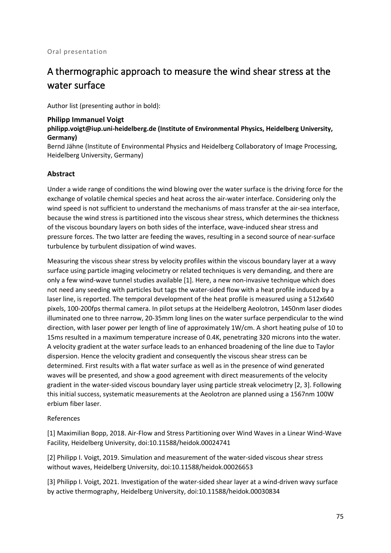# A thermographic approach to measure the wind shear stress at the water surface

Author list (presenting author in bold):

#### **Philipp Immanuel Voigt**

### **philipp.voigt@iup.uni-heidelberg.de (Institute of Environmental Physics, Heidelberg University, Germany)**

Bernd Jähne (Institute of Environmental Physics and Heidelberg Collaboratory of Image Processing, Heidelberg University, Germany)

### **Abstract**

Under a wide range of conditions the wind blowing over the water surface is the driving force for the exchange of volatile chemical species and heat across the air-water interface. Considering only the wind speed is not sufficient to understand the mechanisms of mass transfer at the air-sea interface, because the wind stress is partitioned into the viscous shear stress, which determines the thickness of the viscous boundary layers on both sides of the interface, wave-induced shear stress and pressure forces. The two latter are feeding the waves, resulting in a second source of near-surface turbulence by turbulent dissipation of wind waves.

Measuring the viscous shear stress by velocity profiles within the viscous boundary layer at a wavy surface using particle imaging velocimetry or related techniques is very demanding, and there are only a few wind-wave tunnel studies available [1]. Here, a new non-invasive technique which does not need any seeding with particles but tags the water-sided flow with a heat profile induced by a laser line, is reported. The temporal development of the heat profile is measured using a 512x640 pixels, 100-200fps thermal camera. In pilot setups at the Heidelberg Aeolotron, 1450nm laser diodes illuminated one to three narrow, 20-35mm long lines on the water surface perpendicular to the wind direction, with laser power per length of line of approximately 1W/cm. A short heating pulse of 10 to 15ms resulted in a maximum temperature increase of 0.4K, penetrating 320 microns into the water. A velocity gradient at the water surface leads to an enhanced broadening of the line due to Taylor dispersion. Hence the velocity gradient and consequently the viscous shear stress can be determined. First results with a flat water surface as well as in the presence of wind generated waves will be presented, and show a good agreement with direct measurements of the velocity gradient in the water-sided viscous boundary layer using particle streak velocimetry [2, 3]. Following this initial success, systematic measurements at the Aeolotron are planned using a 1567nm 100W erbium fiber laser.

#### References

[1] Maximilian Bopp, 2018. Air-Flow and Stress Partitioning over Wind Waves in a Linear Wind-Wave Facility, Heidelberg University, doi:10.11588/heidok.00024741

[2] Philipp I. Voigt, 2019. Simulation and measurement of the water-sided viscous shear stress without waves, Heidelberg University, doi:10.11588/heidok.00026653

[3] Philipp I. Voigt, 2021. Investigation of the water-sided shear layer at a wind-driven wavy surface by active thermography, Heidelberg University, doi:10.11588/heidok.00030834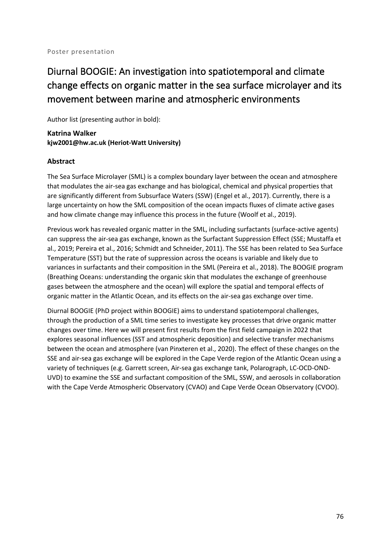# Diurnal BOOGIE: An investigation into spatiotemporal and climate change effects on organic matter in the sea surface microlayer and its movement between marine and atmospheric environments

Author list (presenting author in bold):

**Katrina Walker kjw2001@hw.ac.uk (Heriot-Watt University)**

### **Abstract**

The Sea Surface Microlayer (SML) is a complex boundary layer between the ocean and atmosphere that modulates the air-sea gas exchange and has biological, chemical and physical properties that are significantly different from Subsurface Waters (SSW) (Engel et al., 2017). Currently, there is a large uncertainty on how the SML composition of the ocean impacts fluxes of climate active gases and how climate change may influence this process in the future (Woolf et al., 2019).

Previous work has revealed organic matter in the SML, including surfactants (surface-active agents) can suppress the air-sea gas exchange, known as the Surfactant Suppression Effect (SSE; Mustaffa et al., 2019; Pereira et al., 2016; Schmidt and Schneider, 2011). The SSE has been related to Sea Surface Temperature (SST) but the rate of suppression across the oceans is variable and likely due to variances in surfactants and their composition in the SML (Pereira et al., 2018). The BOOGIE program (Breathing Oceans: understanding the organic skin that modulates the exchange of greenhouse gases between the atmosphere and the ocean) will explore the spatial and temporal effects of organic matter in the Atlantic Ocean, and its effects on the air-sea gas exchange over time.

Diurnal BOOGIE (PhD project within BOOGIE) aims to understand spatiotemporal challenges, through the production of a SML time series to investigate key processes that drive organic matter changes over time. Here we will present first results from the first field campaign in 2022 that explores seasonal influences (SST and atmospheric deposition) and selective transfer mechanisms between the ocean and atmosphere (van Pinxteren et al., 2020). The effect of these changes on the SSE and air-sea gas exchange will be explored in the Cape Verde region of the Atlantic Ocean using a variety of techniques (e.g. Garrett screen, Air-sea gas exchange tank, Polarograph, LC-OCD-OND-UVD) to examine the SSE and surfactant composition of the SML, SSW, and aerosols in collaboration with the Cape Verde Atmospheric Observatory (CVAO) and Cape Verde Ocean Observatory (CVOO).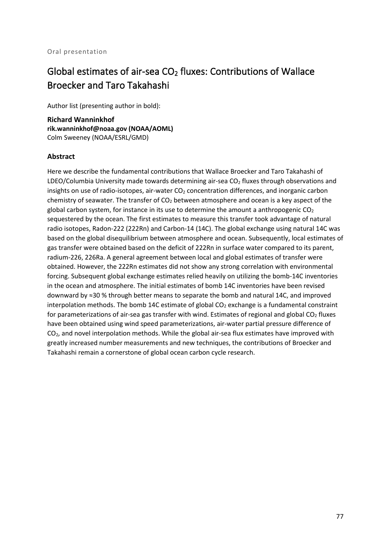# Global estimates of air-sea  $CO<sub>2</sub>$  fluxes: Contributions of Wallace Broecker and Taro Takahashi

Author list (presenting author in bold):

**Richard Wanninkhof rik.wanninkhof@noaa.gov (NOAA/AOML)** Colm Sweeney (NOAA/ESRL/GMD)

### **Abstract**

Here we describe the fundamental contributions that Wallace Broecker and Taro Takahashi of LDEO/Columbia University made towards determining air-sea  $CO<sub>2</sub>$  fluxes through observations and insights on use of radio-isotopes, air-water  $CO<sub>2</sub>$  concentration differences, and inorganic carbon chemistry of seawater. The transfer of  $CO<sub>2</sub>$  between atmosphere and ocean is a key aspect of the global carbon system, for instance in its use to determine the amount a anthropogenic  $CO<sub>2</sub>$ sequestered by the ocean. The first estimates to measure this transfer took advantage of natural radio isotopes, Radon-222 (222Rn) and Carbon-14 (14C). The global exchange using natural 14C was based on the global disequilibrium between atmosphere and ocean. Subsequently, local estimates of gas transfer were obtained based on the deficit of 222Rn in surface water compared to its parent, radium-226, 226Ra. A general agreement between local and global estimates of transfer were obtained. However, the 222Rn estimates did not show any strong correlation with environmental forcing. Subsequent global exchange estimates relied heavily on utilizing the bomb-14C inventories in the ocean and atmosphere. The initial estimates of bomb 14C inventories have been revised downward by ≈30 % through better means to separate the bomb and natural 14C, and improved interpolation methods. The bomb 14C estimate of global  $CO<sub>2</sub>$  exchange is a fundamental constraint for parameterizations of air-sea gas transfer with wind. Estimates of regional and global  $CO<sub>2</sub>$  fluxes have been obtained using wind speed parameterizations, air-water partial pressure difference of CO<sub>2</sub>, and novel interpolation methods. While the global air-sea flux estimates have improved with greatly increased number measurements and new techniques, the contributions of Broecker and Takahashi remain a cornerstone of global ocean carbon cycle research.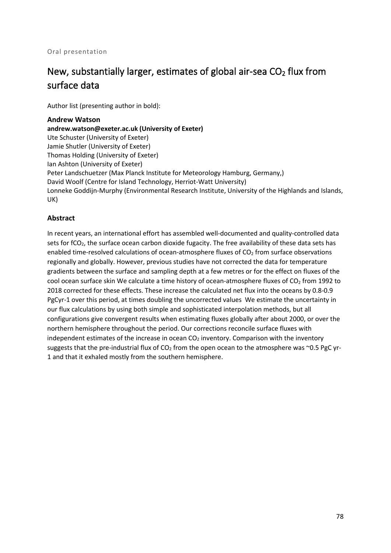# New, substantially larger, estimates of global air-sea  $CO<sub>2</sub>$  flux from surface data

Author list (presenting author in bold):

**Andrew Watson**

**andrew.watson@exeter.ac.uk (University of Exeter)** Ute Schuster (University of Exeter) Jamie Shutler (University of Exeter) Thomas Holding (University of Exeter) Ian Ashton (University of Exeter) Peter Landschuetzer (Max Planck Institute for Meteorology Hamburg, Germany,) David Woolf (Centre for Island Technology, Herriot-Watt University) Lonneke Goddijn-Murphy (Environmental Research Institute, University of the Highlands and Islands, UK)

### **Abstract**

In recent years, an international effort has assembled well-documented and quality-controlled data sets for fCO<sub>2</sub>, the surface ocean carbon dioxide fugacity. The free availability of these data sets has enabled time-resolved calculations of ocean-atmosphere fluxes of  $CO<sub>2</sub>$  from surface observations regionally and globally. However, previous studies have not corrected the data for temperature gradients between the surface and sampling depth at a few metres or for the effect on fluxes of the cool ocean surface skin We calculate a time history of ocean-atmosphere fluxes of  $CO<sub>2</sub>$  from 1992 to 2018 corrected for these effects. These increase the calculated net flux into the oceans by 0.8-0.9 PgCyr-1 over this period, at times doubling the uncorrected values We estimate the uncertainty in our flux calculations by using both simple and sophisticated interpolation methods, but all configurations give convergent results when estimating fluxes globally after about 2000, or over the northern hemisphere throughout the period. Our corrections reconcile surface fluxes with independent estimates of the increase in ocean  $CO<sub>2</sub>$  inventory. Comparison with the inventory suggests that the pre-industrial flux of  $CO<sub>2</sub>$  from the open ocean to the atmosphere was ~0.5 PgC yr-1 and that it exhaled mostly from the southern hemisphere.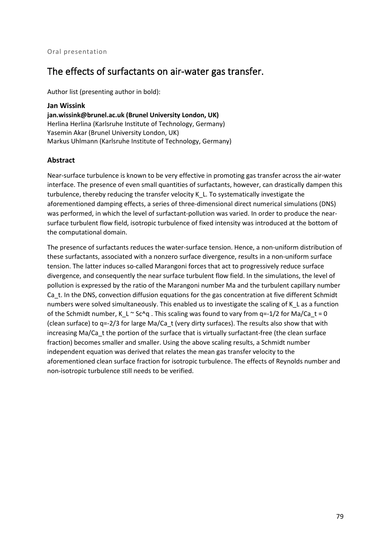# The effects of surfactants on air-water gas transfer.

Author list (presenting author in bold):

**Jan Wissink jan.wissink@brunel.ac.uk (Brunel University London, UK)** Herlina Herlina (Karlsruhe Institute of Technology, Germany) Yasemin Akar (Brunel University London, UK) Markus Uhlmann (Karlsruhe Institute of Technology, Germany)

### **Abstract**

Near-surface turbulence is known to be very effective in promoting gas transfer across the air-water interface. The presence of even small quantities of surfactants, however, can drastically dampen this turbulence, thereby reducing the transfer velocity K\_L. To systematically investigate the aforementioned damping effects, a series of three-dimensional direct numerical simulations (DNS) was performed, in which the level of surfactant-pollution was varied. In order to produce the nearsurface turbulent flow field, isotropic turbulence of fixed intensity was introduced at the bottom of the computational domain.

The presence of surfactants reduces the water-surface tension. Hence, a non-uniform distribution of these surfactants, associated with a nonzero surface divergence, results in a non-uniform surface tension. The latter induces so-called Marangoni forces that act to progressively reduce surface divergence, and consequently the near surface turbulent flow field. In the simulations, the level of pollution is expressed by the ratio of the Marangoni number Ma and the turbulent capillary number Ca\_t. In the DNS, convection diffusion equations for the gas concentration at five different Schmidt numbers were solved simultaneously. This enabled us to investigate the scaling of K\_L as a function of the Schmidt number, K\_L ~ Sc^q . This scaling was found to vary from q=-1/2 for Ma/Ca\_t = 0 (clean surface) to q=-2/3 for large Ma/Ca\_t (very dirty surfaces). The results also show that with increasing Ma/Ca t the portion of the surface that is virtually surfactant-free (the clean surface fraction) becomes smaller and smaller. Using the above scaling results, a Schmidt number independent equation was derived that relates the mean gas transfer velocity to the aforementioned clean surface fraction for isotropic turbulence. The effects of Reynolds number and non-isotropic turbulence still needs to be verified.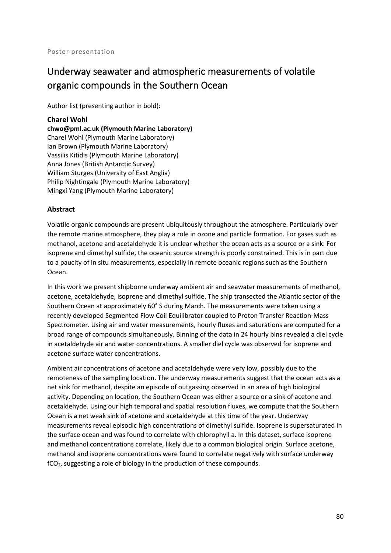# Underway seawater and atmospheric measurements of volatile organic compounds in the Southern Ocean

Author list (presenting author in bold):

### **Charel Wohl**

**chwo@pml.ac.uk (Plymouth Marine Laboratory)** Charel Wohl (Plymouth Marine Laboratory) Ian Brown (Plymouth Marine Laboratory) Vassilis Kitidis (Plymouth Marine Laboratory) Anna Jones (British Antarctic Survey) William Sturges (University of East Anglia) Philip Nightingale (Plymouth Marine Laboratory) Mingxi Yang (Plymouth Marine Laboratory)

### **Abstract**

Volatile organic compounds are present ubiquitously throughout the atmosphere. Particularly over the remote marine atmosphere, they play a role in ozone and particle formation. For gases such as methanol, acetone and acetaldehyde it is unclear whether the ocean acts as a source or a sink. For isoprene and dimethyl sulfide, the oceanic source strength is poorly constrained. This is in part due to a paucity of in situ measurements, especially in remote oceanic regions such as the Southern Ocean.

In this work we present shipborne underway ambient air and seawater measurements of methanol, acetone, acetaldehyde, isoprene and dimethyl sulfide. The ship transected the Atlantic sector of the Southern Ocean at approximately 60° S during March. The measurements were taken using a recently developed Segmented Flow Coil Equilibrator coupled to Proton Transfer Reaction-Mass Spectrometer. Using air and water measurements, hourly fluxes and saturations are computed for a broad range of compounds simultaneously. Binning of the data in 24 hourly bins revealed a diel cycle in acetaldehyde air and water concentrations. A smaller diel cycle was observed for isoprene and acetone surface water concentrations.

Ambient air concentrations of acetone and acetaldehyde were very low, possibly due to the remoteness of the sampling location. The underway measurements suggest that the ocean acts as a net sink for methanol, despite an episode of outgassing observed in an area of high biological activity. Depending on location, the Southern Ocean was either a source or a sink of acetone and acetaldehyde. Using our high temporal and spatial resolution fluxes, we compute that the Southern Ocean is a net weak sink of acetone and acetaldehyde at this time of the year. Underway measurements reveal episodic high concentrations of dimethyl sulfide. Isoprene is supersaturated in the surface ocean and was found to correlate with chlorophyll a. In this dataset, surface isoprene and methanol concentrations correlate, likely due to a common biological origin. Surface acetone, methanol and isoprene concentrations were found to correlate negatively with surface underway fCO2, suggesting a role of biology in the production of these compounds.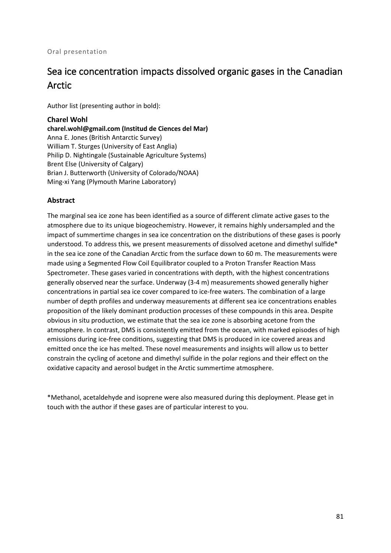# Sea ice concentration impacts dissolved organic gases in the Canadian Arctic

Author list (presenting author in bold):

### **Charel Wohl**

**charel.wohl@gmail.com (Institud de Ciences del Mar)** Anna E. Jones (British Antarctic Survey) William T. Sturges (University of East Anglia) Philip D. Nightingale (Sustainable Agriculture Systems) Brent Else (University of Calgary) Brian J. Butterworth (University of Colorado/NOAA) Ming-xi Yang (Plymouth Marine Laboratory)

### **Abstract**

The marginal sea ice zone has been identified as a source of different climate active gases to the atmosphere due to its unique biogeochemistry. However, it remains highly undersampled and the impact of summertime changes in sea ice concentration on the distributions of these gases is poorly understood. To address this, we present measurements of dissolved acetone and dimethyl sulfide\* in the sea ice zone of the Canadian Arctic from the surface down to 60 m. The measurements were made using a Segmented Flow Coil Equilibrator coupled to a Proton Transfer Reaction Mass Spectrometer. These gases varied in concentrations with depth, with the highest concentrations generally observed near the surface. Underway (3-4 m) measurements showed generally higher concentrations in partial sea ice cover compared to ice-free waters. The combination of a large number of depth profiles and underway measurements at different sea ice concentrations enables proposition of the likely dominant production processes of these compounds in this area. Despite obvious in situ production, we estimate that the sea ice zone is absorbing acetone from the atmosphere. In contrast, DMS is consistently emitted from the ocean, with marked episodes of high emissions during ice-free conditions, suggesting that DMS is produced in ice covered areas and emitted once the ice has melted. These novel measurements and insights will allow us to better constrain the cycling of acetone and dimethyl sulfide in the polar regions and their effect on the oxidative capacity and aerosol budget in the Arctic summertime atmosphere.

\*Methanol, acetaldehyde and isoprene were also measured during this deployment. Please get in touch with the author if these gases are of particular interest to you.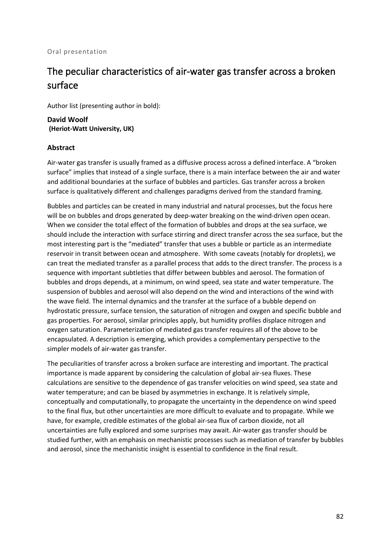#### Oral presentation

# The peculiar characteristics of air-water gas transfer across a broken surface

Author list (presenting author in bold):

**David Woolf (Heriot-Watt University, UK)**

#### **Abstract**

Air-water gas transfer is usually framed as a diffusive process across a defined interface. A "broken surface" implies that instead of a single surface, there is a main interface between the air and water and additional boundaries at the surface of bubbles and particles. Gas transfer across a broken surface is qualitatively different and challenges paradigms derived from the standard framing.

Bubbles and particles can be created in many industrial and natural processes, but the focus here will be on bubbles and drops generated by deep-water breaking on the wind-driven open ocean. When we consider the total effect of the formation of bubbles and drops at the sea surface, we should include the interaction with surface stirring and direct transfer across the sea surface, but the most interesting part is the "mediated" transfer that uses a bubble or particle as an intermediate reservoir in transit between ocean and atmosphere. With some caveats (notably for droplets), we can treat the mediated transfer as a parallel process that adds to the direct transfer. The process is a sequence with important subtleties that differ between bubbles and aerosol. The formation of bubbles and drops depends, at a minimum, on wind speed, sea state and water temperature. The suspension of bubbles and aerosol will also depend on the wind and interactions of the wind with the wave field. The internal dynamics and the transfer at the surface of a bubble depend on hydrostatic pressure, surface tension, the saturation of nitrogen and oxygen and specific bubble and gas properties. For aerosol, similar principles apply, but humidity profiles displace nitrogen and oxygen saturation. Parameterization of mediated gas transfer requires all of the above to be encapsulated. A description is emerging, which provides a complementary perspective to the simpler models of air-water gas transfer.

The peculiarities of transfer across a broken surface are interesting and important. The practical importance is made apparent by considering the calculation of global air-sea fluxes. These calculations are sensitive to the dependence of gas transfer velocities on wind speed, sea state and water temperature; and can be biased by asymmetries in exchange. It is relatively simple, conceptually and computationally, to propagate the uncertainty in the dependence on wind speed to the final flux, but other uncertainties are more difficult to evaluate and to propagate. While we have, for example, credible estimates of the global air-sea flux of carbon dioxide, not all uncertainties are fully explored and some surprises may await. Air-water gas transfer should be studied further, with an emphasis on mechanistic processes such as mediation of transfer by bubbles and aerosol, since the mechanistic insight is essential to confidence in the final result.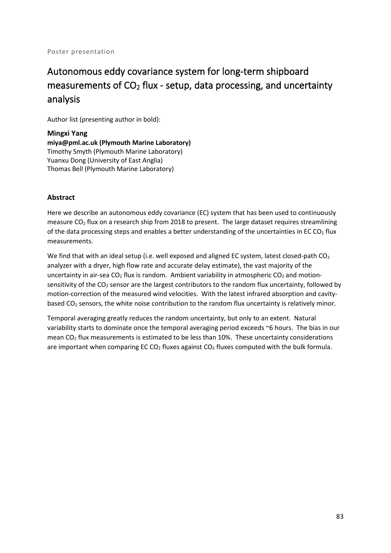# Autonomous eddy covariance system for long-term shipboard measurements of  $CO<sub>2</sub>$  flux - setup, data processing, and uncertainty analysis

Author list (presenting author in bold):

**Mingxi Yang miya@pml.ac.uk (Plymouth Marine Laboratory)** Timothy Smyth (Plymouth Marine Laboratory) Yuanxu Dong (University of East Anglia) Thomas Bell (Plymouth Marine Laboratory)

## **Abstract**

Here we describe an autonomous eddy covariance (EC) system that has been used to continuously measure  $CO<sub>2</sub>$  flux on a research ship from 2018 to present. The large dataset requires streamlining of the data processing steps and enables a better understanding of the uncertainties in EC CO<sub>2</sub> flux measurements.

We find that with an ideal setup (i.e. well exposed and aligned EC system, latest closed-path  $CO<sub>2</sub>$ analyzer with a dryer, high flow rate and accurate delay estimate), the vast majority of the uncertainty in air-sea  $CO<sub>2</sub>$  flux is random. Ambient variability in atmospheric  $CO<sub>2</sub>$  and motionsensitivity of the CO<sub>2</sub> sensor are the largest contributors to the random flux uncertainty, followed by motion-correction of the measured wind velocities. With the latest infrared absorption and cavitybased  $CO<sub>2</sub>$  sensors, the white noise contribution to the random flux uncertainty is relatively minor.

Temporal averaging greatly reduces the random uncertainty, but only to an extent. Natural variability starts to dominate once the temporal averaging period exceeds ~6 hours. The bias in our mean  $CO<sub>2</sub>$  flux measurements is estimated to be less than 10%. These uncertainty considerations are important when comparing EC  $CO<sub>2</sub>$  fluxes against  $CO<sub>2</sub>$  fluxes computed with the bulk formula.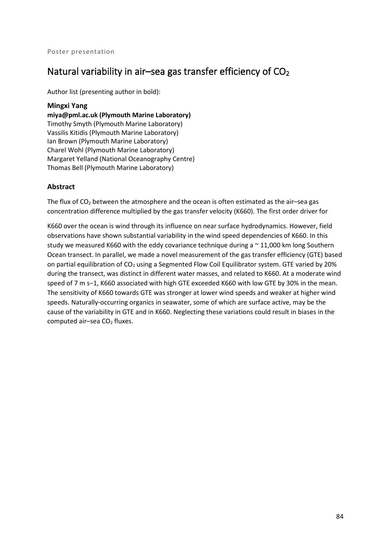## Natural variability in air–sea gas transfer efficiency of  $CO<sub>2</sub>$

Author list (presenting author in bold):

#### **Mingxi Yang**

**miya@pml.ac.uk (Plymouth Marine Laboratory)** Timothy Smyth (Plymouth Marine Laboratory) Vassilis Kitidis (Plymouth Marine Laboratory) Ian Brown (Plymouth Marine Laboratory) Charel Wohl (Plymouth Marine Laboratory) Margaret Yelland (National Oceanography Centre) Thomas Bell (Plymouth Marine Laboratory)

### **Abstract**

The flux of  $CO<sub>2</sub>$  between the atmosphere and the ocean is often estimated as the air-sea gas concentration difference multiplied by the gas transfer velocity (K660). The first order driver for

K660 over the ocean is wind through its influence on near surface hydrodynamics. However, field observations have shown substantial variability in the wind speed dependencies of K660. In this study we measured K660 with the eddy covariance technique during a  $\sim$  11,000 km long Southern Ocean transect. In parallel, we made a novel measurement of the gas transfer efficiency (GTE) based on partial equilibration of CO<sub>2</sub> using a Segmented Flow Coil Equilibrator system. GTE varied by 20% during the transect, was distinct in different water masses, and related to K660. At a moderate wind speed of 7 m s−1, K660 associated with high GTE exceeded K660 with low GTE by 30% in the mean. The sensitivity of K660 towards GTE was stronger at lower wind speeds and weaker at higher wind speeds. Naturally-occurring organics in seawater, some of which are surface active, may be the cause of the variability in GTE and in K660. Neglecting these variations could result in biases in the computed air-sea  $CO<sub>2</sub>$  fluxes.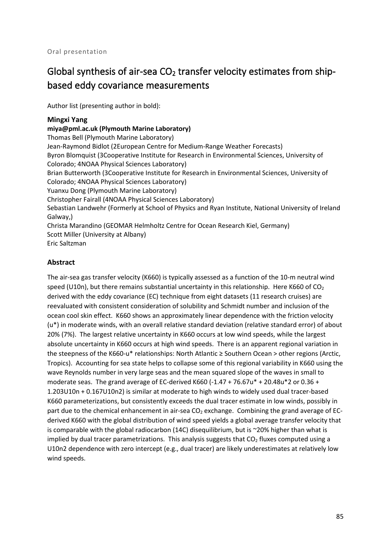# Global synthesis of air-sea  $CO<sub>2</sub>$  transfer velocity estimates from shipbased eddy covariance measurements

Author list (presenting author in bold):

#### **Mingxi Yang**

**miya@pml.ac.uk (Plymouth Marine Laboratory)** Thomas Bell (Plymouth Marine Laboratory) Jean-Raymond Bidlot (2European Centre for Medium-Range Weather Forecasts) Byron Blomquist (3Cooperative Institute for Research in Environmental Sciences, University of Colorado; 4NOAA Physical Sciences Laboratory) Brian Butterworth (3Cooperative Institute for Research in Environmental Sciences, University of Colorado; 4NOAA Physical Sciences Laboratory) Yuanxu Dong (Plymouth Marine Laboratory) Christopher Fairall (4NOAA Physical Sciences Laboratory) Sebastian Landwehr (Formerly at School of Physics and Ryan Institute, National University of Ireland Galway,) Christa Marandino (GEOMAR Helmholtz Centre for Ocean Research Kiel, Germany) Scott Miller (University at Albany) Eric Saltzman

### **Abstract**

The air-sea gas transfer velocity (K660) is typically assessed as a function of the 10-m neutral wind speed (U10n), but there remains substantial uncertainty in this relationship. Here K660 of  $CO<sub>2</sub>$ derived with the eddy covariance (EC) technique from eight datasets (11 research cruises) are reevaluated with consistent consideration of solubility and Schmidt number and inclusion of the ocean cool skin effect. K660 shows an approximately linear dependence with the friction velocity (u\*) in moderate winds, with an overall relative standard deviation (relative standard error) of about 20% (7%). The largest relative uncertainty in K660 occurs at low wind speeds, while the largest absolute uncertainty in K660 occurs at high wind speeds. There is an apparent regional variation in the steepness of the K660-u\* relationships: North Atlantic ≥ Southern Ocean > other regions (Arctic, Tropics). Accounting for sea state helps to collapse some of this regional variability in K660 using the wave Reynolds number in very large seas and the mean squared slope of the waves in small to moderate seas. The grand average of EC-derived K660 (-1.47 + 76.67u\* + 20.48u\*2 or 0.36 + 1.203U10n + 0.167U10n2) is similar at moderate to high winds to widely used dual tracer-based K660 parameterizations, but consistently exceeds the dual tracer estimate in low winds, possibly in part due to the chemical enhancement in air-sea CO<sub>2</sub> exchange. Combining the grand average of ECderived K660 with the global distribution of wind speed yields a global average transfer velocity that is comparable with the global radiocarbon (14C) disequilibrium, but is  $\sim$  20% higher than what is implied by dual tracer parametrizations. This analysis suggests that  $CO<sub>2</sub>$  fluxes computed using a U10n2 dependence with zero intercept (e.g., dual tracer) are likely underestimates at relatively low wind speeds.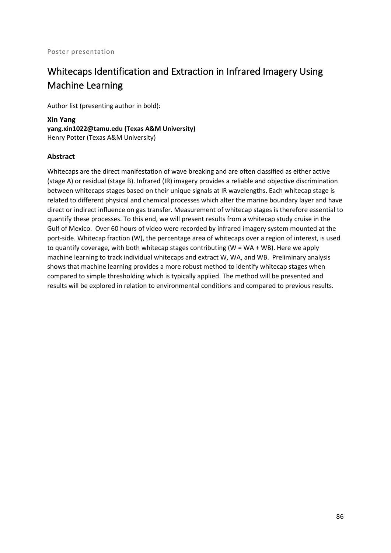# Whitecaps Identification and Extraction in Infrared Imagery Using Machine Learning

Author list (presenting author in bold):

**Xin Yang yang.xin1022@tamu.edu (Texas A&M University)** Henry Potter (Texas A&M University)

### **Abstract**

Whitecaps are the direct manifestation of wave breaking and are often classified as either active (stage A) or residual (stage B). Infrared (IR) imagery provides a reliable and objective discrimination between whitecaps stages based on their unique signals at IR wavelengths. Each whitecap stage is related to different physical and chemical processes which alter the marine boundary layer and have direct or indirect influence on gas transfer. Measurement of whitecap stages is therefore essential to quantify these processes. To this end, we will present results from a whitecap study cruise in the Gulf of Mexico. Over 60 hours of video were recorded by infrared imagery system mounted at the port-side. Whitecap fraction (W), the percentage area of whitecaps over a region of interest, is used to quantify coverage, with both whitecap stages contributing (W = WA + WB). Here we apply machine learning to track individual whitecaps and extract W, WA, and WB. Preliminary analysis shows that machine learning provides a more robust method to identify whitecap stages when compared to simple thresholding which is typically applied. The method will be presented and results will be explored in relation to environmental conditions and compared to previous results.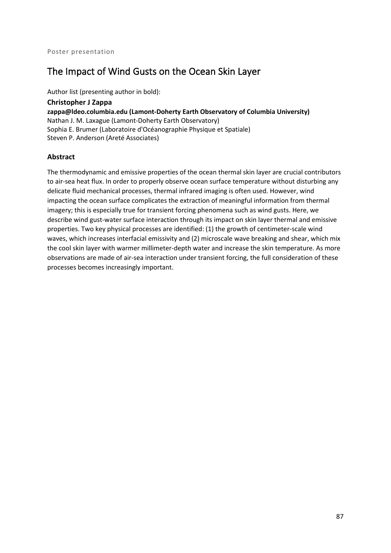# The Impact of Wind Gusts on the Ocean Skin Layer

Author list (presenting author in bold):

**Christopher J Zappa zappa@ldeo.columbia.edu (Lamont-Doherty Earth Observatory of Columbia University)** Nathan J. M. Laxague (Lamont-Doherty Earth Observatory) Sophia E. Brumer (Laboratoire d'Océanographie Physique et Spatiale) Steven P. Anderson (Areté Associates)

### **Abstract**

The thermodynamic and emissive properties of the ocean thermal skin layer are crucial contributors to air-sea heat flux. In order to properly observe ocean surface temperature without disturbing any delicate fluid mechanical processes, thermal infrared imaging is often used. However, wind impacting the ocean surface complicates the extraction of meaningful information from thermal imagery; this is especially true for transient forcing phenomena such as wind gusts. Here, we describe wind gust-water surface interaction through its impact on skin layer thermal and emissive properties. Two key physical processes are identified: (1) the growth of centimeter-scale wind waves, which increases interfacial emissivity and (2) microscale wave breaking and shear, which mix the cool skin layer with warmer millimeter-depth water and increase the skin temperature. As more observations are made of air-sea interaction under transient forcing, the full consideration of these processes becomes increasingly important.